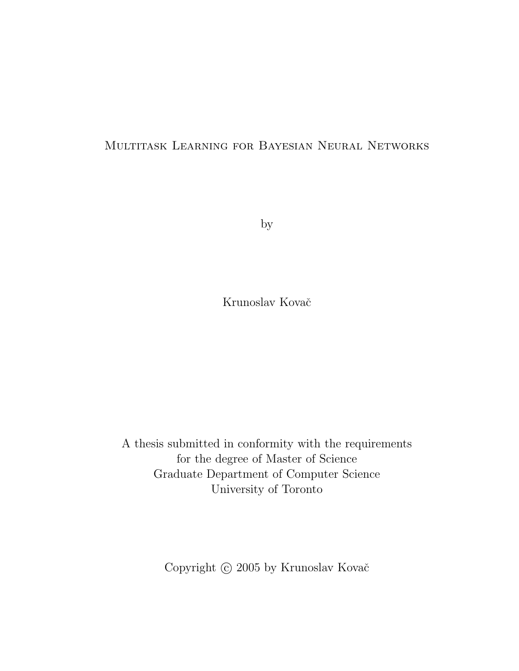#### Multitask Learning for Bayesian Neural Networks

by

Krunoslav Kovač

A thesis submitted in conformity with the requirements for the degree of Master of Science Graduate Department of Computer Science University of Toronto

Copyright  $\odot$  2005 by Krunoslav Kovač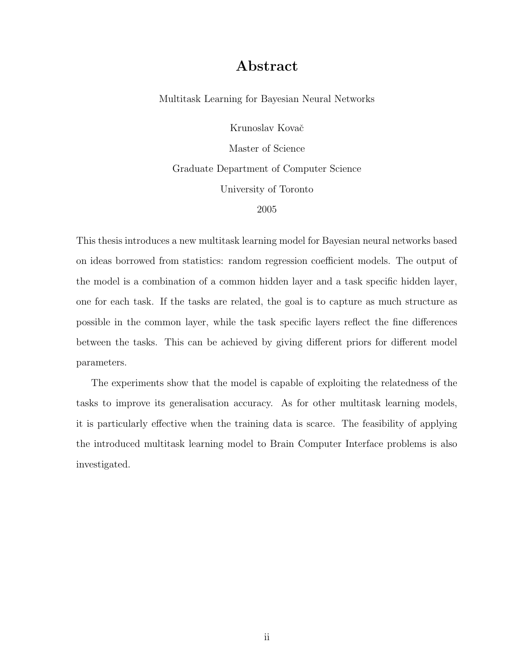#### Abstract

Multitask Learning for Bayesian Neural Networks

Krunoslav Kovač Master of Science Graduate Department of Computer Science University of Toronto 2005

This thesis introduces a new multitask learning model for Bayesian neural networks based on ideas borrowed from statistics: random regression coefficient models. The output of the model is a combination of a common hidden layer and a task specific hidden layer, one for each task. If the tasks are related, the goal is to capture as much structure as possible in the common layer, while the task specific layers reflect the fine differences between the tasks. This can be achieved by giving different priors for different model parameters.

The experiments show that the model is capable of exploiting the relatedness of the tasks to improve its generalisation accuracy. As for other multitask learning models, it is particularly effective when the training data is scarce. The feasibility of applying the introduced multitask learning model to Brain Computer Interface problems is also investigated.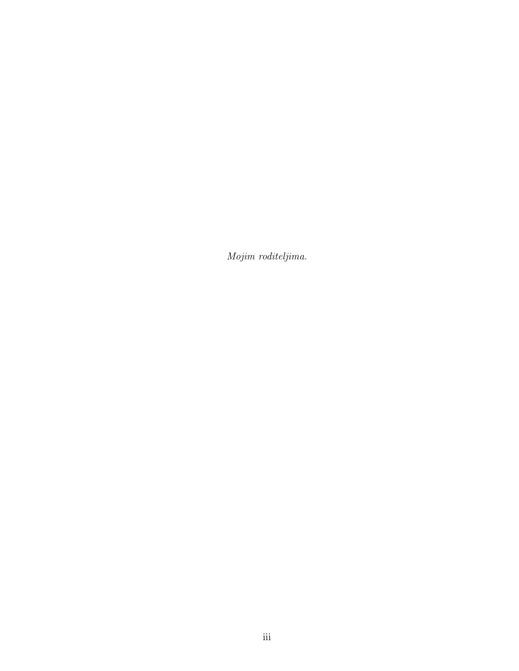Mojim roditeljima.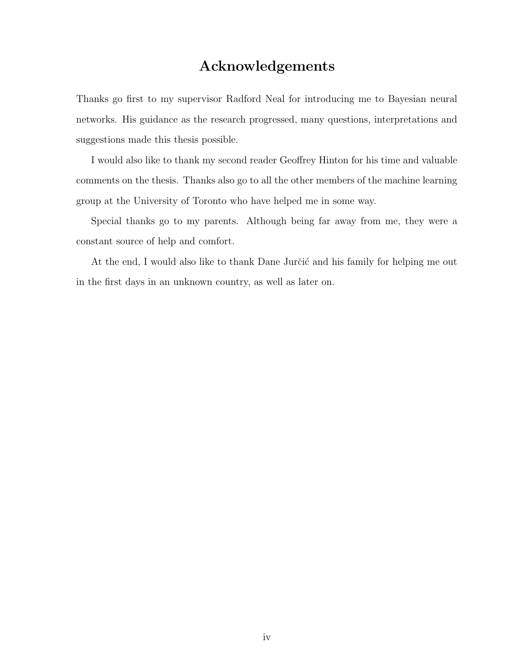#### Acknowledgements

Thanks go first to my supervisor Radford Neal for introducing me to Bayesian neural networks. His guidance as the research progressed, many questions, interpretations and suggestions made this thesis possible.

I would also like to thank my second reader Geoffrey Hinton for his time and valuable comments on the thesis. Thanks also go to all the other members of the machine learning group at the University of Toronto who have helped me in some way.

Special thanks go to my parents. Although being far away from me, they were a constant source of help and comfort.

At the end, I would also like to thank Dane Jurčić and his family for helping me out in the first days in an unknown country, as well as later on.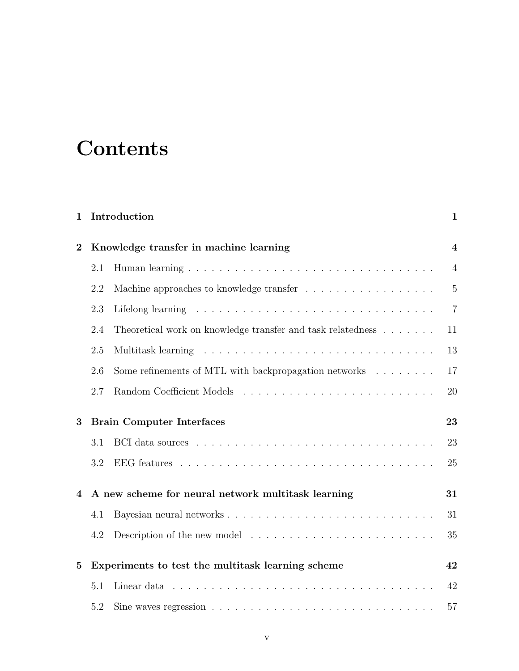# **Contents**

| 1              |                                        | Introduction                                                        | $\mathbf{1}$   |
|----------------|----------------------------------------|---------------------------------------------------------------------|----------------|
| $\overline{2}$ | Knowledge transfer in machine learning |                                                                     | 4              |
|                | 2.1                                    |                                                                     | $\overline{4}$ |
|                | 2.2                                    |                                                                     | $\overline{5}$ |
|                | 2.3                                    |                                                                     | $\overline{7}$ |
|                | 2.4                                    | Theoretical work on knowledge transfer and task relatedness         | 11             |
|                | 2.5                                    |                                                                     | 13             |
|                | 2.6                                    | Some refinements of MTL with backpropagation networks $\dots \dots$ | 17             |
|                | 2.7                                    |                                                                     | 20             |
| 3              |                                        | <b>Brain Computer Interfaces</b>                                    | 23             |
|                | 3.1                                    |                                                                     | 23             |
|                | 3.2                                    |                                                                     | 25             |
| 4              |                                        | A new scheme for neural network multitask learning                  | 31             |
|                | 4.1                                    |                                                                     | 31             |
|                | 4.2                                    |                                                                     | 35             |
| $\mathbf{5}$   |                                        | Experiments to test the multitask learning scheme                   | 42             |
|                | 5.1                                    |                                                                     | 42             |
|                | 5.2                                    |                                                                     | 57             |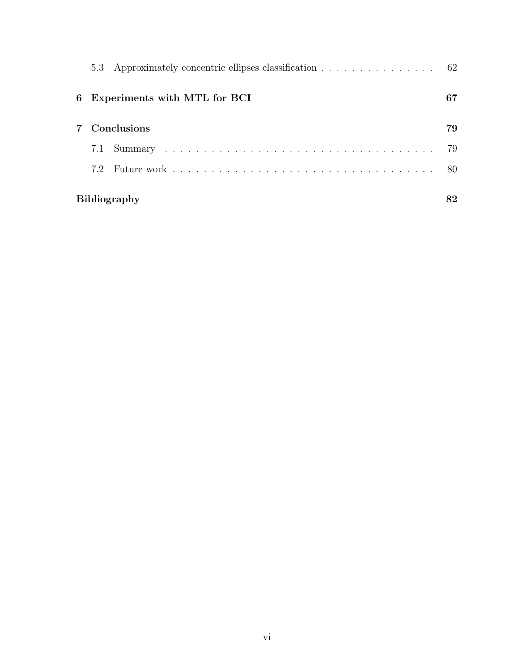|   |                     | 5.3 Approximately concentric ellipses classification 62 |     |
|---|---------------------|---------------------------------------------------------|-----|
| 6 |                     | Experiments with MTL for BCI                            | 67  |
|   |                     | Conclusions                                             | 79  |
|   | 7.1                 |                                                         | 79  |
|   | 7.2                 |                                                         | -80 |
|   | <b>Bibliography</b> |                                                         |     |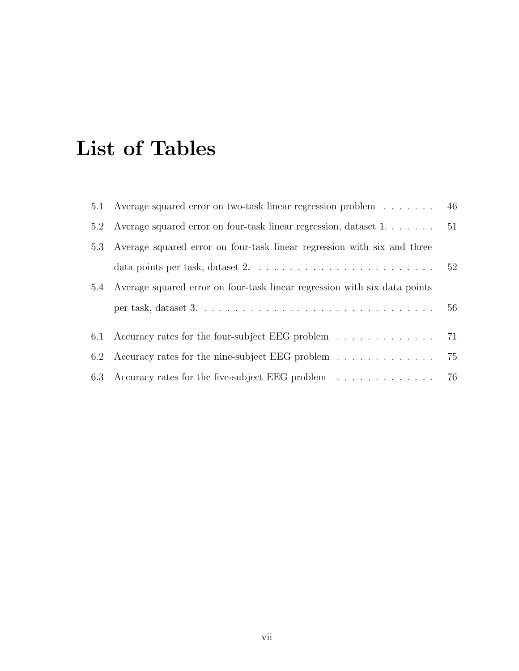# List of Tables

|     | 5.1 Average squared error on two-task linear regression problem 46                                     |    |
|-----|--------------------------------------------------------------------------------------------------------|----|
| 5.2 | Average squared error on four-task linear regression, dataset 1. 51                                    |    |
| 5.3 | Average squared error on four-task linear regression with six and three                                |    |
|     | data points per task, dataset $2. \ldots \ldots \ldots \ldots \ldots \ldots \ldots \ldots 52$          |    |
|     | 5.4 Average squared error on four-task linear regression with six data points                          |    |
|     | per task, dataset $3. \ldots \ldots \ldots \ldots \ldots \ldots \ldots \ldots \ldots \ldots \ldots 56$ |    |
|     | 6.1 Accuracy rates for the four-subject EEG problem 71                                                 |    |
| 6.2 | Accuracy rates for the nine-subject EEG problem                                                        | 75 |
|     | 6.3 Accuracy rates for the five-subject EEG problem 76                                                 |    |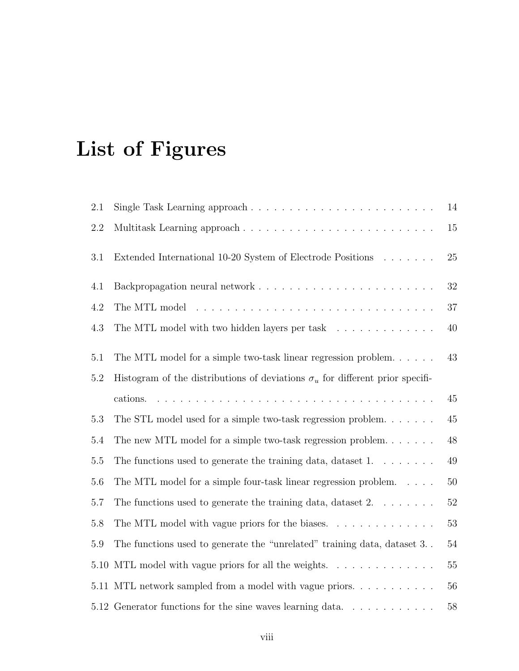# List of Figures

| 2.1     |                                                                                                                                  | 14     |
|---------|----------------------------------------------------------------------------------------------------------------------------------|--------|
| $2.2\,$ | Multitask Learning approach                                                                                                      | $15\,$ |
| 3.1     | Extended International 10-20 System of Electrode Positions                                                                       | 25     |
| 4.1     |                                                                                                                                  | 32     |
| 4.2     |                                                                                                                                  | $37\,$ |
| 4.3     | The MTL model with two hidden layers per task $\ldots \ldots \ldots \ldots$                                                      | $40\,$ |
| 5.1     | The MTL model for a simple two-task linear regression problem                                                                    | 43     |
| $5.2\,$ | Histogram of the distributions of deviations $\sigma_u$ for different prior specifi-                                             |        |
|         | .<br>The contract of the contract of the contract of the contract of the contract of the contract of the contract of<br>cations. | 45     |
| 5.3     | The STL model used for a simple two-task regression problem                                                                      | $45\,$ |
| 5.4     | The new MTL model for a simple two-task regression problem. $\dots \dots$                                                        | $48\,$ |
| $5.5\,$ | The functions used to generate the training data, dataset $1. \ldots \ldots$                                                     | $49\,$ |
| 5.6     | The MTL model for a simple four-task linear regression problem. $\dots$                                                          | $50\,$ |
| 5.7     | The functions used to generate the training data, dataset $2. \ldots \ldots$                                                     | $52\,$ |
| 5.8     | The MTL model with vague priors for the biases. $\dots \dots \dots \dots$                                                        | 53     |
| 5.9     | The functions used to generate the "unrelated" training data, dataset 3                                                          | 54     |
| 5.10    | MTL model with vague priors for all the weights.                                                                                 | $55\,$ |
|         | 5.11 MTL network sampled from a model with vague priors                                                                          | 56     |
|         | 5.12 Generator functions for the sine waves learning data. $\ldots \ldots \ldots \ldots$                                         | 58     |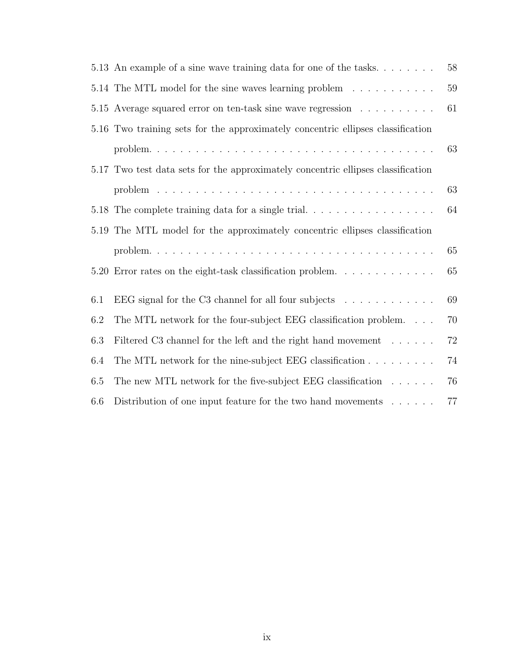|     | 5.13 An example of a sine wave training data for one of the tasks. $\dots \dots$ | 58 |
|-----|----------------------------------------------------------------------------------|----|
|     | 5.14 The MTL model for the sine waves learning problem                           | 59 |
|     | 5.15 Average squared error on ten-task sine wave regression                      | 61 |
|     | 5.16 Two training sets for the approximately concentric ellipses classification  |    |
|     |                                                                                  | 63 |
|     | 5.17 Two test data sets for the approximately concentric ellipses classification |    |
|     |                                                                                  | 63 |
|     |                                                                                  | 64 |
|     | 5.19 The MTL model for the approximately concentric ellipses classification      |    |
|     |                                                                                  | 65 |
|     | 5.20 Error rates on the eight-task classification problem                        | 65 |
| 6.1 | EEG signal for the C3 channel for all four subjects $\dots \dots \dots$          | 69 |
|     |                                                                                  |    |
| 6.2 | The MTL network for the four-subject EEG classification problem.                 | 70 |
| 6.3 | Filtered C3 channel for the left and the right hand movement                     | 72 |
| 6.4 | The MTL network for the nine-subject EEG classification $\ldots \ldots \ldots$   | 74 |
| 6.5 | The new MTL network for the five-subject EEG classification $\dots \dots$        | 76 |
| 6.6 | Distribution of one input feature for the two hand movements $\dots \dots$       | 77 |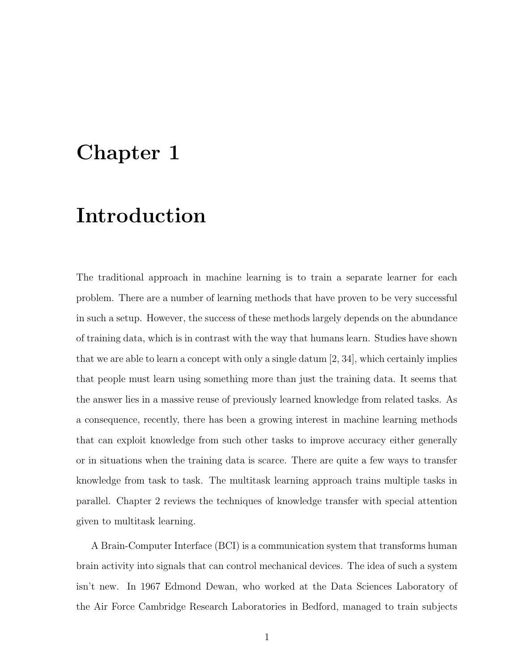## Chapter 1

## Introduction

The traditional approach in machine learning is to train a separate learner for each problem. There are a number of learning methods that have proven to be very successful in such a setup. However, the success of these methods largely depends on the abundance of training data, which is in contrast with the way that humans learn. Studies have shown that we are able to learn a concept with only a single datum  $[2, 34]$ , which certainly implies that people must learn using something more than just the training data. It seems that the answer lies in a massive reuse of previously learned knowledge from related tasks. As a consequence, recently, there has been a growing interest in machine learning methods that can exploit knowledge from such other tasks to improve accuracy either generally or in situations when the training data is scarce. There are quite a few ways to transfer knowledge from task to task. The multitask learning approach trains multiple tasks in parallel. Chapter 2 reviews the techniques of knowledge transfer with special attention given to multitask learning.

A Brain-Computer Interface (BCI) is a communication system that transforms human brain activity into signals that can control mechanical devices. The idea of such a system isn't new. In 1967 Edmond Dewan, who worked at the Data Sciences Laboratory of the Air Force Cambridge Research Laboratories in Bedford, managed to train subjects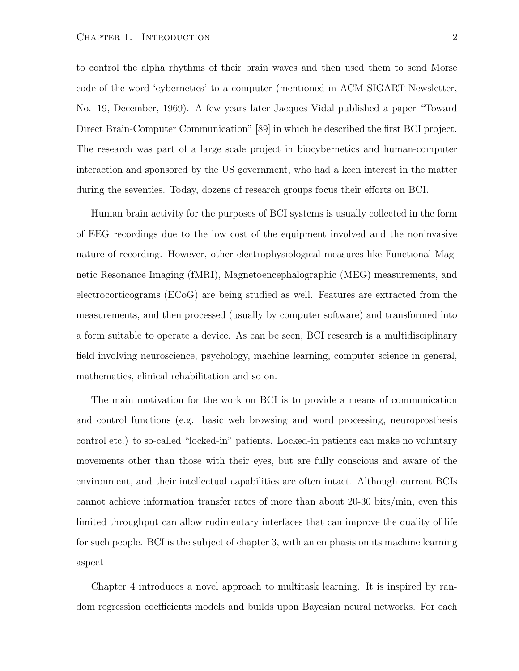to control the alpha rhythms of their brain waves and then used them to send Morse code of the word 'cybernetics' to a computer (mentioned in ACM SIGART Newsletter, No. 19, December, 1969). A few years later Jacques Vidal published a paper "Toward Direct Brain-Computer Communication" [89] in which he described the first BCI project. The research was part of a large scale project in biocybernetics and human-computer interaction and sponsored by the US government, who had a keen interest in the matter during the seventies. Today, dozens of research groups focus their efforts on BCI.

Human brain activity for the purposes of BCI systems is usually collected in the form of EEG recordings due to the low cost of the equipment involved and the noninvasive nature of recording. However, other electrophysiological measures like Functional Magnetic Resonance Imaging (fMRI), Magnetoencephalographic (MEG) measurements, and electrocorticograms (ECoG) are being studied as well. Features are extracted from the measurements, and then processed (usually by computer software) and transformed into a form suitable to operate a device. As can be seen, BCI research is a multidisciplinary field involving neuroscience, psychology, machine learning, computer science in general, mathematics, clinical rehabilitation and so on.

The main motivation for the work on BCI is to provide a means of communication and control functions (e.g. basic web browsing and word processing, neuroprosthesis control etc.) to so-called "locked-in" patients. Locked-in patients can make no voluntary movements other than those with their eyes, but are fully conscious and aware of the environment, and their intellectual capabilities are often intact. Although current BCIs cannot achieve information transfer rates of more than about 20-30 bits/min, even this limited throughput can allow rudimentary interfaces that can improve the quality of life for such people. BCI is the subject of chapter 3, with an emphasis on its machine learning aspect.

Chapter 4 introduces a novel approach to multitask learning. It is inspired by random regression coefficients models and builds upon Bayesian neural networks. For each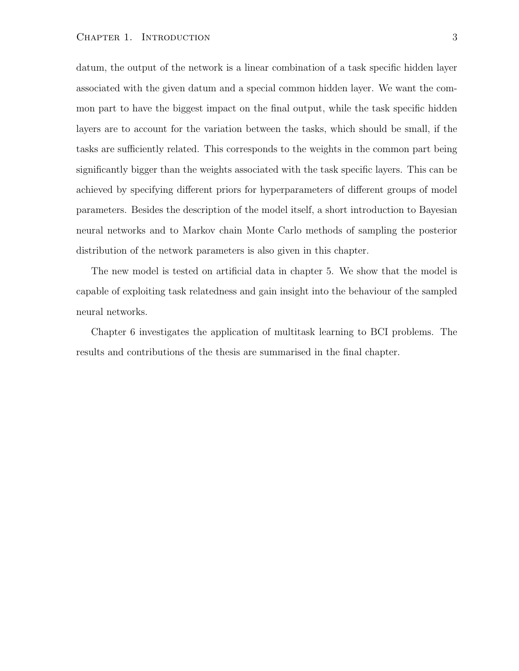#### CHAPTER 1. INTRODUCTION 3

datum, the output of the network is a linear combination of a task specific hidden layer associated with the given datum and a special common hidden layer. We want the common part to have the biggest impact on the final output, while the task specific hidden layers are to account for the variation between the tasks, which should be small, if the tasks are sufficiently related. This corresponds to the weights in the common part being significantly bigger than the weights associated with the task specific layers. This can be achieved by specifying different priors for hyperparameters of different groups of model parameters. Besides the description of the model itself, a short introduction to Bayesian neural networks and to Markov chain Monte Carlo methods of sampling the posterior distribution of the network parameters is also given in this chapter.

The new model is tested on artificial data in chapter 5. We show that the model is capable of exploiting task relatedness and gain insight into the behaviour of the sampled neural networks.

Chapter 6 investigates the application of multitask learning to BCI problems. The results and contributions of the thesis are summarised in the final chapter.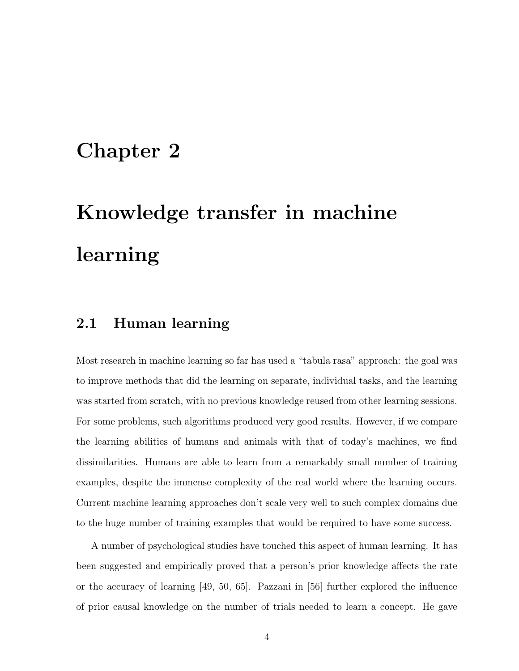## Chapter 2

# Knowledge transfer in machine learning

#### 2.1 Human learning

Most research in machine learning so far has used a "tabula rasa" approach: the goal was to improve methods that did the learning on separate, individual tasks, and the learning was started from scratch, with no previous knowledge reused from other learning sessions. For some problems, such algorithms produced very good results. However, if we compare the learning abilities of humans and animals with that of today's machines, we find dissimilarities. Humans are able to learn from a remarkably small number of training examples, despite the immense complexity of the real world where the learning occurs. Current machine learning approaches don't scale very well to such complex domains due to the huge number of training examples that would be required to have some success.

A number of psychological studies have touched this aspect of human learning. It has been suggested and empirically proved that a person's prior knowledge affects the rate or the accuracy of learning [49, 50, 65]. Pazzani in [56] further explored the influence of prior causal knowledge on the number of trials needed to learn a concept. He gave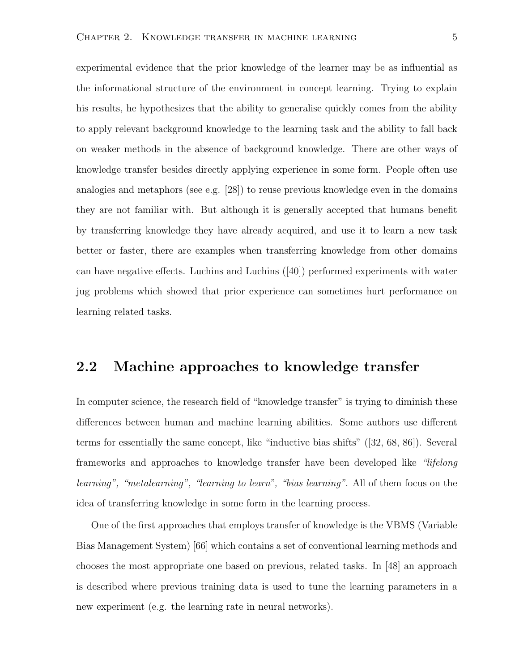experimental evidence that the prior knowledge of the learner may be as influential as the informational structure of the environment in concept learning. Trying to explain his results, he hypothesizes that the ability to generalise quickly comes from the ability to apply relevant background knowledge to the learning task and the ability to fall back on weaker methods in the absence of background knowledge. There are other ways of knowledge transfer besides directly applying experience in some form. People often use analogies and metaphors (see e.g. [28]) to reuse previous knowledge even in the domains they are not familiar with. But although it is generally accepted that humans benefit by transferring knowledge they have already acquired, and use it to learn a new task better or faster, there are examples when transferring knowledge from other domains can have negative effects. Luchins and Luchins ([40]) performed experiments with water jug problems which showed that prior experience can sometimes hurt performance on learning related tasks.

#### 2.2 Machine approaches to knowledge transfer

In computer science, the research field of "knowledge transfer" is trying to diminish these differences between human and machine learning abilities. Some authors use different terms for essentially the same concept, like "inductive bias shifts" ([32, 68, 86]). Several frameworks and approaches to knowledge transfer have been developed like "lifelong learning", "metalearning", "learning to learn", "bias learning". All of them focus on the idea of transferring knowledge in some form in the learning process.

One of the first approaches that employs transfer of knowledge is the VBMS (Variable Bias Management System) [66] which contains a set of conventional learning methods and chooses the most appropriate one based on previous, related tasks. In [48] an approach is described where previous training data is used to tune the learning parameters in a new experiment (e.g. the learning rate in neural networks).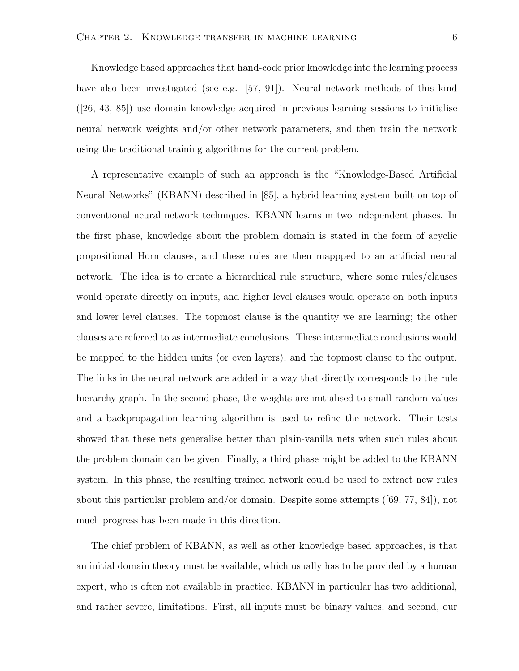Knowledge based approaches that hand-code prior knowledge into the learning process have also been investigated (see e.g. [57, 91]). Neural network methods of this kind ([26, 43, 85]) use domain knowledge acquired in previous learning sessions to initialise neural network weights and/or other network parameters, and then train the network using the traditional training algorithms for the current problem.

A representative example of such an approach is the "Knowledge-Based Artificial Neural Networks" (KBANN) described in [85], a hybrid learning system built on top of conventional neural network techniques. KBANN learns in two independent phases. In the first phase, knowledge about the problem domain is stated in the form of acyclic propositional Horn clauses, and these rules are then mappped to an artificial neural network. The idea is to create a hierarchical rule structure, where some rules/clauses would operate directly on inputs, and higher level clauses would operate on both inputs and lower level clauses. The topmost clause is the quantity we are learning; the other clauses are referred to as intermediate conclusions. These intermediate conclusions would be mapped to the hidden units (or even layers), and the topmost clause to the output. The links in the neural network are added in a way that directly corresponds to the rule hierarchy graph. In the second phase, the weights are initialised to small random values and a backpropagation learning algorithm is used to refine the network. Their tests showed that these nets generalise better than plain-vanilla nets when such rules about the problem domain can be given. Finally, a third phase might be added to the KBANN system. In this phase, the resulting trained network could be used to extract new rules about this particular problem and/or domain. Despite some attempts ([69, 77, 84]), not much progress has been made in this direction.

The chief problem of KBANN, as well as other knowledge based approaches, is that an initial domain theory must be available, which usually has to be provided by a human expert, who is often not available in practice. KBANN in particular has two additional, and rather severe, limitations. First, all inputs must be binary values, and second, our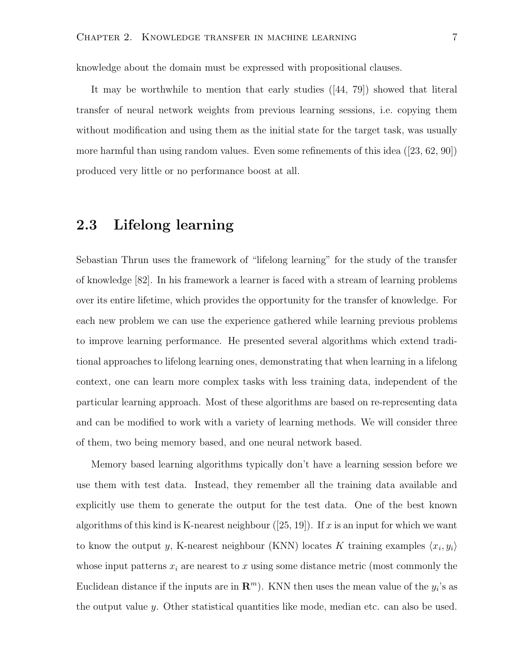knowledge about the domain must be expressed with propositional clauses.

It may be worthwhile to mention that early studies ([44, 79]) showed that literal transfer of neural network weights from previous learning sessions, i.e. copying them without modification and using them as the initial state for the target task, was usually more harmful than using random values. Even some refinements of this idea ([23, 62, 90]) produced very little or no performance boost at all.

#### 2.3 Lifelong learning

Sebastian Thrun uses the framework of "lifelong learning" for the study of the transfer of knowledge [82]. In his framework a learner is faced with a stream of learning problems over its entire lifetime, which provides the opportunity for the transfer of knowledge. For each new problem we can use the experience gathered while learning previous problems to improve learning performance. He presented several algorithms which extend traditional approaches to lifelong learning ones, demonstrating that when learning in a lifelong context, one can learn more complex tasks with less training data, independent of the particular learning approach. Most of these algorithms are based on re-representing data and can be modified to work with a variety of learning methods. We will consider three of them, two being memory based, and one neural network based.

Memory based learning algorithms typically don't have a learning session before we use them with test data. Instead, they remember all the training data available and explicitly use them to generate the output for the test data. One of the best known algorithms of this kind is K-nearest neighbour  $([25, 19])$ . If x is an input for which we want to know the output y, K-nearest neighbour (KNN) locates K training examples  $\langle x_i, y_i \rangle$ whose input patterns  $x_i$  are nearest to x using some distance metric (most commonly the Euclidean distance if the inputs are in  $\mathbb{R}^m$ ). KNN then uses the mean value of the  $y_i$ 's as the output value  $y$ . Other statistical quantities like mode, median etc. can also be used.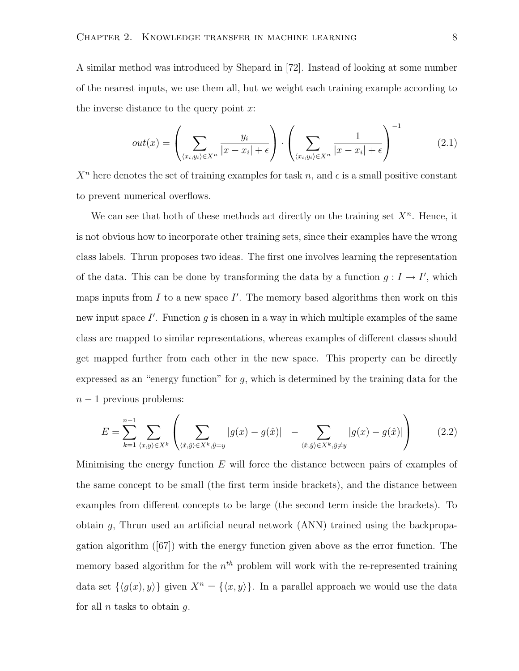A similar method was introduced by Shepard in [72]. Instead of looking at some number of the nearest inputs, we use them all, but we weight each training example according to the inverse distance to the query point  $x$ :

$$
out(x) = \left(\sum_{\langle x_i, y_i \rangle \in X^n} \frac{y_i}{|x - x_i| + \epsilon}\right) \cdot \left(\sum_{\langle x_i, y_i \rangle \in X^n} \frac{1}{|x - x_i| + \epsilon}\right)^{-1}
$$
(2.1)

 $X<sup>n</sup>$  here denotes the set of training examples for task n, and  $\epsilon$  is a small positive constant to prevent numerical overflows.

We can see that both of these methods act directly on the training set  $X<sup>n</sup>$ . Hence, it is not obvious how to incorporate other training sets, since their examples have the wrong class labels. Thrun proposes two ideas. The first one involves learning the representation of the data. This can be done by transforming the data by a function  $g: I \to I'$ , which maps inputs from  $I$  to a new space  $I'$ . The memory based algorithms then work on this new input space  $I'$ . Function g is chosen in a way in which multiple examples of the same class are mapped to similar representations, whereas examples of different classes should get mapped further from each other in the new space. This property can be directly expressed as an "energy function" for  $q$ , which is determined by the training data for the  $n-1$  previous problems:

$$
E = \sum_{k=1}^{n-1} \sum_{\langle x,y \rangle \in X^k} \left( \sum_{\langle \hat{x}, \hat{y} \rangle \in X^k, \hat{y} = y} |g(x) - g(\hat{x})| - \sum_{\langle \hat{x}, \hat{y} \rangle \in X^k, \hat{y} \neq y} |g(x) - g(\hat{x})| \right) \tag{2.2}
$$

Minimising the energy function  $E$  will force the distance between pairs of examples of the same concept to be small (the first term inside brackets), and the distance between examples from different concepts to be large (the second term inside the brackets). To obtain g, Thrun used an artificial neural network (ANN) trained using the backpropagation algorithm ([67]) with the energy function given above as the error function. The memory based algorithm for the  $n^{th}$  problem will work with the re-represented training data set  $\{\langle g(x), y \rangle\}$  given  $X^n = \{\langle x, y \rangle\}$ . In a parallel approach we would use the data for all  $n$  tasks to obtain  $q$ .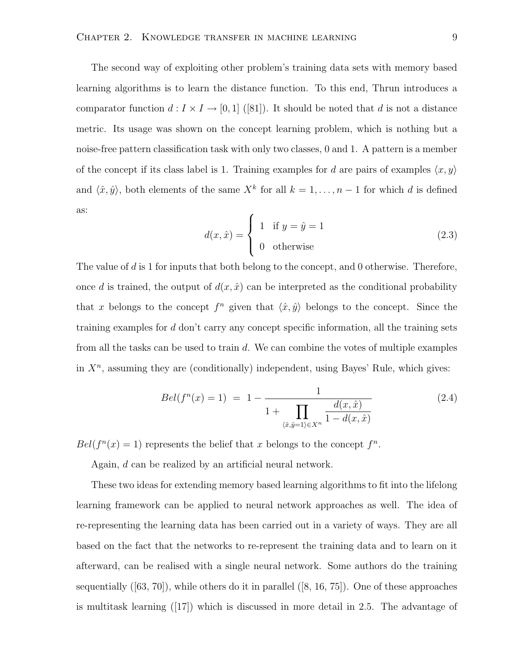The second way of exploiting other problem's training data sets with memory based learning algorithms is to learn the distance function. To this end, Thrun introduces a comparator function  $d: I \times I \to [0, 1]$  ([81]). It should be noted that d is not a distance metric. Its usage was shown on the concept learning problem, which is nothing but a noise-free pattern classification task with only two classes, 0 and 1. A pattern is a member of the concept if its class label is 1. Training examples for d are pairs of examples  $\langle x, y \rangle$ and  $\langle \hat{x}, \hat{y} \rangle$ , both elements of the same  $X^k$  for all  $k = 1, \ldots, n - 1$  for which d is defined as:  $\overline{\phantom{a}}$ 

$$
d(x,\hat{x}) = \begin{cases} 1 & \text{if } y = \hat{y} = 1 \\ 0 & \text{otherwise} \end{cases}
$$
 (2.3)

The value of d is 1 for inputs that both belong to the concept, and 0 otherwise. Therefore, once d is trained, the output of  $d(x, \hat{x})$  can be interpreted as the conditional probability that x belongs to the concept  $f^n$  given that  $\langle \hat{x}, \hat{y} \rangle$  belongs to the concept. Since the training examples for d don't carry any concept specific information, all the training sets from all the tasks can be used to train d. We can combine the votes of multiple examples in  $X<sup>n</sup>$ , assuming they are (conditionally) independent, using Bayes' Rule, which gives:

$$
Bel(f^{n}(x) = 1) = 1 - \frac{1}{1 + \prod_{\langle \hat{x}, \hat{y} = 1 \rangle \in X^{n}} \frac{d(x, \hat{x})}{1 - d(x, \hat{x})}
$$
(2.4)

 $Bel(f^{n}(x) = 1)$  represents the belief that x belongs to the concept  $f^{n}$ .

Again, d can be realized by an artificial neural network.

These two ideas for extending memory based learning algorithms to fit into the lifelong learning framework can be applied to neural network approaches as well. The idea of re-representing the learning data has been carried out in a variety of ways. They are all based on the fact that the networks to re-represent the training data and to learn on it afterward, can be realised with a single neural network. Some authors do the training sequentially  $([63, 70])$ , while others do it in parallel  $([8, 16, 75])$ . One of these approaches is multitask learning ([17]) which is discussed in more detail in 2.5. The advantage of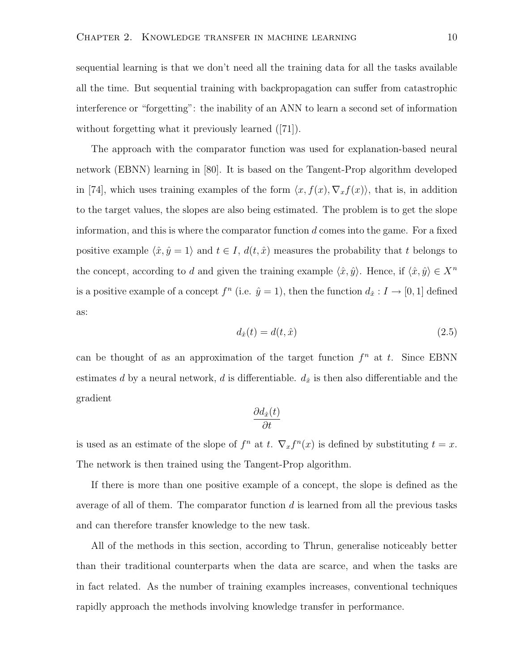sequential learning is that we don't need all the training data for all the tasks available all the time. But sequential training with backpropagation can suffer from catastrophic interference or "forgetting": the inability of an ANN to learn a second set of information without forgetting what it previously learned ([71]).

The approach with the comparator function was used for explanation-based neural network (EBNN) learning in [80]. It is based on the Tangent-Prop algorithm developed in [74], which uses training examples of the form  $\langle x, f(x), \nabla_x f(x)\rangle$ , that is, in addition to the target values, the slopes are also being estimated. The problem is to get the slope information, and this is where the comparator function  $d$  comes into the game. For a fixed positive example  $\langle \hat{x}, \hat{y} \rangle = 1$  and  $t \in I$ ,  $d(t, \hat{x})$  measures the probability that t belongs to the concept, according to  $d$  and given the training example  $\langle \hat{x}, \hat{y} \rangle$ . Hence, if  $\langle \hat{x}, \hat{y} \rangle \in X^n$ is a positive example of a concept  $f^n$  (i.e.  $\hat{y} = 1$ ), then the function  $d_{\hat{x}} : I \to [0, 1]$  defined as:

$$
d_{\hat{x}}(t) = d(t, \hat{x})\tag{2.5}
$$

can be thought of as an approximation of the target function  $f^n$  at t. Since EBNN estimates d by a neural network, d is differentiable.  $d_{\hat{x}}$  is then also differentiable and the gradient

$$
\frac{\partial d_{\hat{x}}(t)}{\partial t}
$$

is used as an estimate of the slope of  $f^n$  at t.  $\nabla_x f^n(x)$  is defined by substituting  $t = x$ . The network is then trained using the Tangent-Prop algorithm.

If there is more than one positive example of a concept, the slope is defined as the average of all of them. The comparator function  $d$  is learned from all the previous tasks and can therefore transfer knowledge to the new task.

All of the methods in this section, according to Thrun, generalise noticeably better than their traditional counterparts when the data are scarce, and when the tasks are in fact related. As the number of training examples increases, conventional techniques rapidly approach the methods involving knowledge transfer in performance.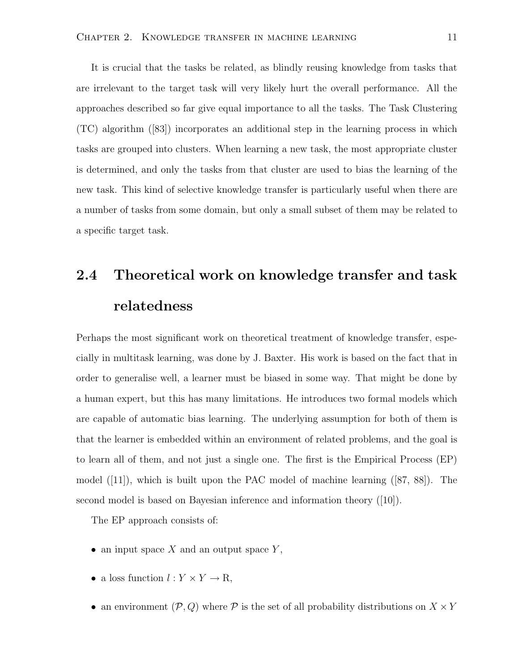It is crucial that the tasks be related, as blindly reusing knowledge from tasks that are irrelevant to the target task will very likely hurt the overall performance. All the approaches described so far give equal importance to all the tasks. The Task Clustering (TC) algorithm ([83]) incorporates an additional step in the learning process in which tasks are grouped into clusters. When learning a new task, the most appropriate cluster is determined, and only the tasks from that cluster are used to bias the learning of the new task. This kind of selective knowledge transfer is particularly useful when there are a number of tasks from some domain, but only a small subset of them may be related to a specific target task.

# 2.4 Theoretical work on knowledge transfer and task relatedness

Perhaps the most significant work on theoretical treatment of knowledge transfer, especially in multitask learning, was done by J. Baxter. His work is based on the fact that in order to generalise well, a learner must be biased in some way. That might be done by a human expert, but this has many limitations. He introduces two formal models which are capable of automatic bias learning. The underlying assumption for both of them is that the learner is embedded within an environment of related problems, and the goal is to learn all of them, and not just a single one. The first is the Empirical Process (EP) model ([11]), which is built upon the PAC model of machine learning ([87, 88]). The second model is based on Bayesian inference and information theory ([10]).

The EP approach consists of:

- an input space  $X$  and an output space  $Y$ ,
- a loss function  $l: Y \times Y \to \mathbb{R}$ ,
- an environment  $(\mathcal{P}, Q)$  where  $\mathcal P$  is the set of all probability distributions on  $X \times Y$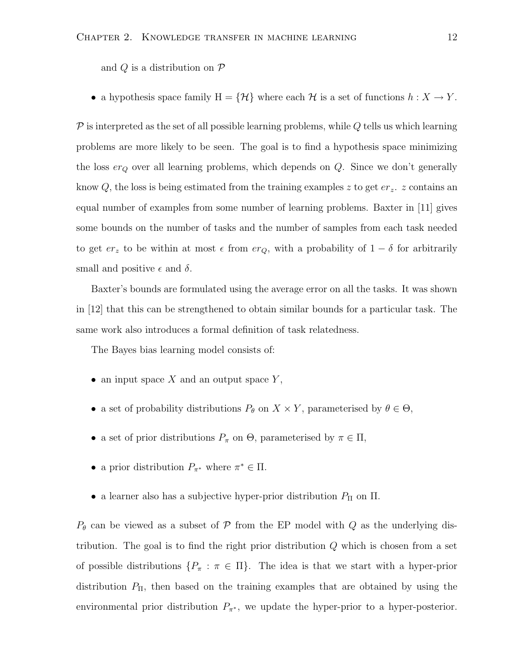and  $Q$  is a distribution on  $P$ 

• a hypothesis space family  $H = \{ \mathcal{H} \}$  where each  $\mathcal{H}$  is a set of functions  $h : X \to Y$ .

 $\mathcal P$  is interpreted as the set of all possible learning problems, while Q tells us which learning problems are more likely to be seen. The goal is to find a hypothesis space minimizing the loss  $er_Q$  over all learning problems, which depends on  $Q$ . Since we don't generally know Q, the loss is being estimated from the training examples z to get  $er_z$ . z contains an equal number of examples from some number of learning problems. Baxter in [11] gives some bounds on the number of tasks and the number of samples from each task needed to get  $er_z$  to be within at most  $\epsilon$  from  $er_Q$ , with a probability of  $1 - \delta$  for arbitrarily small and positive  $\epsilon$  and  $\delta$ .

Baxter's bounds are formulated using the average error on all the tasks. It was shown in [12] that this can be strengthened to obtain similar bounds for a particular task. The same work also introduces a formal definition of task relatedness.

The Bayes bias learning model consists of:

- an input space  $X$  and an output space  $Y$ ,
- a set of probability distributions  $P_{\theta}$  on  $X \times Y$ , parameterised by  $\theta \in \Theta$ ,
- a set of prior distributions  $P_{\pi}$  on  $\Theta$ , parameterised by  $\pi \in \Pi$ ,
- a prior distribution  $P_{\pi^*}$  where  $\pi^* \in \Pi$ .
- a learner also has a subjective hyper-prior distribution  $P_{\Pi}$  on  $\Pi$ .

 $P_{\theta}$  can be viewed as a subset of  $P$  from the EP model with Q as the underlying distribution. The goal is to find the right prior distribution  $Q$  which is chosen from a set of possible distributions  $\{P_\pi : \pi \in \Pi\}$ . The idea is that we start with a hyper-prior distribution  $P_{\Pi}$ , then based on the training examples that are obtained by using the environmental prior distribution  $P_{\pi^*}$ , we update the hyper-prior to a hyper-posterior.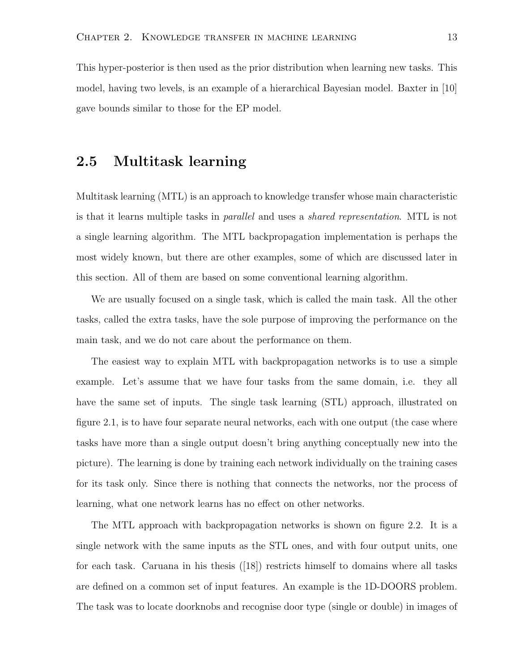This hyper-posterior is then used as the prior distribution when learning new tasks. This model, having two levels, is an example of a hierarchical Bayesian model. Baxter in [10] gave bounds similar to those for the EP model.

#### 2.5 Multitask learning

Multitask learning (MTL) is an approach to knowledge transfer whose main characteristic is that it learns multiple tasks in parallel and uses a shared representation. MTL is not a single learning algorithm. The MTL backpropagation implementation is perhaps the most widely known, but there are other examples, some of which are discussed later in this section. All of them are based on some conventional learning algorithm.

We are usually focused on a single task, which is called the main task. All the other tasks, called the extra tasks, have the sole purpose of improving the performance on the main task, and we do not care about the performance on them.

The easiest way to explain MTL with backpropagation networks is to use a simple example. Let's assume that we have four tasks from the same domain, i.e. they all have the same set of inputs. The single task learning (STL) approach, illustrated on figure 2.1, is to have four separate neural networks, each with one output (the case where tasks have more than a single output doesn't bring anything conceptually new into the picture). The learning is done by training each network individually on the training cases for its task only. Since there is nothing that connects the networks, nor the process of learning, what one network learns has no effect on other networks.

The MTL approach with backpropagation networks is shown on figure 2.2. It is a single network with the same inputs as the STL ones, and with four output units, one for each task. Caruana in his thesis ([18]) restricts himself to domains where all tasks are defined on a common set of input features. An example is the 1D-DOORS problem. The task was to locate doorknobs and recognise door type (single or double) in images of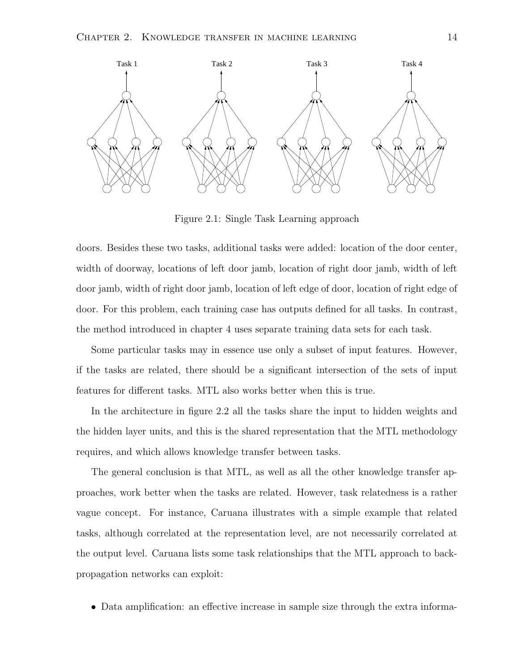

Figure 2.1: Single Task Learning approach

doors. Besides these two tasks, additional tasks were added: location of the door center, width of doorway, locations of left door jamb, location of right door jamb, width of left door jamb, width of right door jamb, location of left edge of door, location of right edge of door. For this problem, each training case has outputs defined for all tasks. In contrast, the method introduced in chapter 4 uses separate training data sets for each task.

Some particular tasks may in essence use only a subset of input features. However, if the tasks are related, there should be a significant intersection of the sets of input features for different tasks. MTL also works better when this is true.

In the architecture in figure 2.2 all the tasks share the input to hidden weights and the hidden layer units, and this is the shared representation that the MTL methodology requires, and which allows knowledge transfer between tasks.

The general conclusion is that MTL, as well as all the other knowledge transfer approaches, work better when the tasks are related. However, task relatedness is a rather vague concept. For instance, Caruana illustrates with a simple example that related tasks, although correlated at the representation level, are not necessarily correlated at the output level. Caruana lists some task relationships that the MTL approach to backpropagation networks can exploit:

• Data amplification: an effective increase in sample size through the extra informa-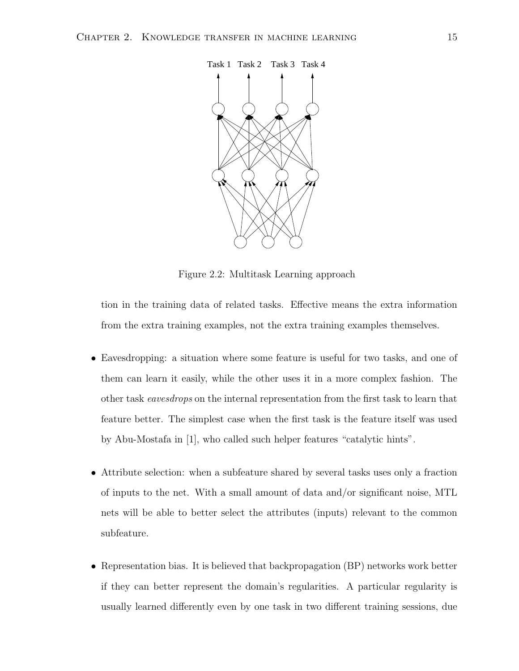

Figure 2.2: Multitask Learning approach

tion in the training data of related tasks. Effective means the extra information from the extra training examples, not the extra training examples themselves.

- Eavesdropping: a situation where some feature is useful for two tasks, and one of them can learn it easily, while the other uses it in a more complex fashion. The other task eavesdrops on the internal representation from the first task to learn that feature better. The simplest case when the first task is the feature itself was used by Abu-Mostafa in [1], who called such helper features "catalytic hints".
- Attribute selection: when a subfeature shared by several tasks uses only a fraction of inputs to the net. With a small amount of data and/or significant noise, MTL nets will be able to better select the attributes (inputs) relevant to the common subfeature.
- Representation bias. It is believed that backpropagation (BP) networks work better if they can better represent the domain's regularities. A particular regularity is usually learned differently even by one task in two different training sessions, due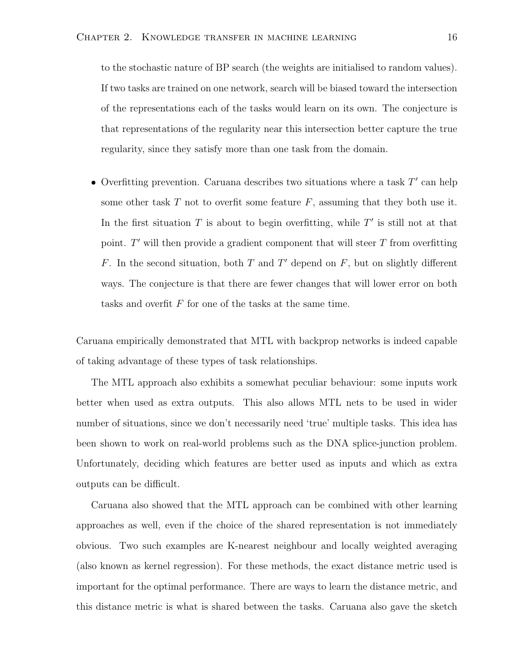to the stochastic nature of BP search (the weights are initialised to random values). If two tasks are trained on one network, search will be biased toward the intersection of the representations each of the tasks would learn on its own. The conjecture is that representations of the regularity near this intersection better capture the true regularity, since they satisfy more than one task from the domain.

• Overfitting prevention. Caruana describes two situations where a task  $T'$  can help some other task  $T$  not to overfit some feature  $F$ , assuming that they both use it. In the first situation T is about to begin overfitting, while  $T'$  is still not at that point.  $T'$  will then provide a gradient component that will steer  $T$  from overfitting F. In the second situation, both T and T' depend on  $F$ , but on slightly different ways. The conjecture is that there are fewer changes that will lower error on both tasks and overfit F for one of the tasks at the same time.

Caruana empirically demonstrated that MTL with backprop networks is indeed capable of taking advantage of these types of task relationships.

The MTL approach also exhibits a somewhat peculiar behaviour: some inputs work better when used as extra outputs. This also allows MTL nets to be used in wider number of situations, since we don't necessarily need 'true' multiple tasks. This idea has been shown to work on real-world problems such as the DNA splice-junction problem. Unfortunately, deciding which features are better used as inputs and which as extra outputs can be difficult.

Caruana also showed that the MTL approach can be combined with other learning approaches as well, even if the choice of the shared representation is not immediately obvious. Two such examples are K-nearest neighbour and locally weighted averaging (also known as kernel regression). For these methods, the exact distance metric used is important for the optimal performance. There are ways to learn the distance metric, and this distance metric is what is shared between the tasks. Caruana also gave the sketch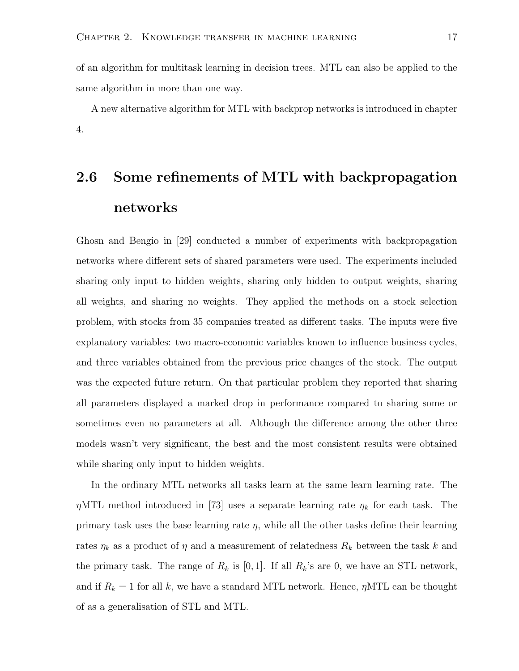of an algorithm for multitask learning in decision trees. MTL can also be applied to the same algorithm in more than one way.

A new alternative algorithm for MTL with backprop networks is introduced in chapter 4.

## 2.6 Some refinements of MTL with backpropagation networks

Ghosn and Bengio in [29] conducted a number of experiments with backpropagation networks where different sets of shared parameters were used. The experiments included sharing only input to hidden weights, sharing only hidden to output weights, sharing all weights, and sharing no weights. They applied the methods on a stock selection problem, with stocks from 35 companies treated as different tasks. The inputs were five explanatory variables: two macro-economic variables known to influence business cycles, and three variables obtained from the previous price changes of the stock. The output was the expected future return. On that particular problem they reported that sharing all parameters displayed a marked drop in performance compared to sharing some or sometimes even no parameters at all. Although the difference among the other three models wasn't very significant, the best and the most consistent results were obtained while sharing only input to hidden weights.

In the ordinary MTL networks all tasks learn at the same learn learning rate. The  $\eta$ MTL method introduced in [73] uses a separate learning rate  $\eta_k$  for each task. The primary task uses the base learning rate  $\eta$ , while all the other tasks define their learning rates  $\eta_k$  as a product of  $\eta$  and a measurement of relatedness  $R_k$  between the task k and the primary task. The range of  $R_k$  is [0, 1]. If all  $R_k$ 's are 0, we have an STL network, and if  $R_k = 1$  for all k, we have a standard MTL network. Hence,  $\eta$ MTL can be thought of as a generalisation of STL and MTL.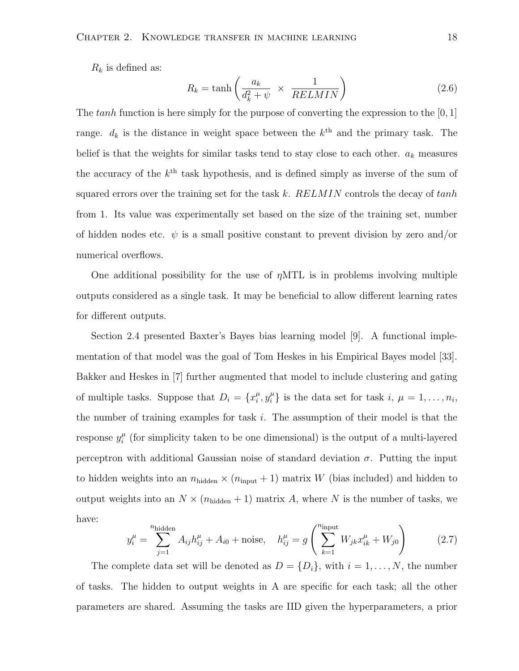$R_k$  is defined as:

$$
R_k = \tanh\left(\frac{a_k}{d_k^2 + \psi} \times \frac{1}{RELMIN}\right) \tag{2.6}
$$

The tanh function is here simply for the purpose of converting the expression to the  $[0, 1]$ range.  $d_k$  is the distance in weight space between the  $k^{\text{th}}$  and the primary task. The belief is that the weights for similar tasks tend to stay close to each other.  $a_k$  measures the accuracy of the  $k^{\text{th}}$  task hypothesis, and is defined simply as inverse of the sum of squared errors over the training set for the task k.  $RELMIN$  controls the decay of  $tanh$ from 1. Its value was experimentally set based on the size of the training set, number of hidden nodes etc.  $\psi$  is a small positive constant to prevent division by zero and/or numerical overflows.

One additional possibility for the use of  $\eta MTL$  is in problems involving multiple outputs considered as a single task. It may be beneficial to allow different learning rates for different outputs.

Section 2.4 presented Baxter's Bayes bias learning model [9]. A functional implementation of that model was the goal of Tom Heskes in his Empirical Bayes model [33]. Bakker and Heskes in [7] further augmented that model to include clustering and gating of multiple tasks. Suppose that  $D_i = \{x_i^{\mu}$  $i^{\mu}, y_i^{\mu}$  $\mu_i^{\mu}$  is the data set for task  $i, \mu = 1, \ldots, n_i$ , the number of training examples for task  $i$ . The assumption of their model is that the response  $y_i^{\mu}$  $i<sub>i</sub><sup>\mu</sup>$  (for simplicity taken to be one dimensional) is the output of a multi-layered perceptron with additional Gaussian noise of standard deviation  $\sigma$ . Putting the input to hidden weights into an  $n_{\text{hidden}} \times (n_{\text{input}} + 1)$  matrix W (bias included) and hidden to output weights into an  $N \times (n_{hidden} + 1)$  matrix A, where N is the number of tasks, we have:

$$
y_i^{\mu} = \sum_{j=1}^{n_{\text{hidden}}} A_{ij} h_{ij}^{\mu} + A_{i0} + \text{noise}, \quad h_{ij}^{\mu} = g \left( \sum_{k=1}^{n_{\text{input}}} W_{jk} x_{ik}^{\mu} + W_{j0} \right) \tag{2.7}
$$

The complete data set will be denoted as  $D = \{D_i\}$ , with  $i = 1, ..., N$ , the number of tasks. The hidden to output weights in A are specific for each task; all the other parameters are shared. Assuming the tasks are IID given the hyperparameters, a prior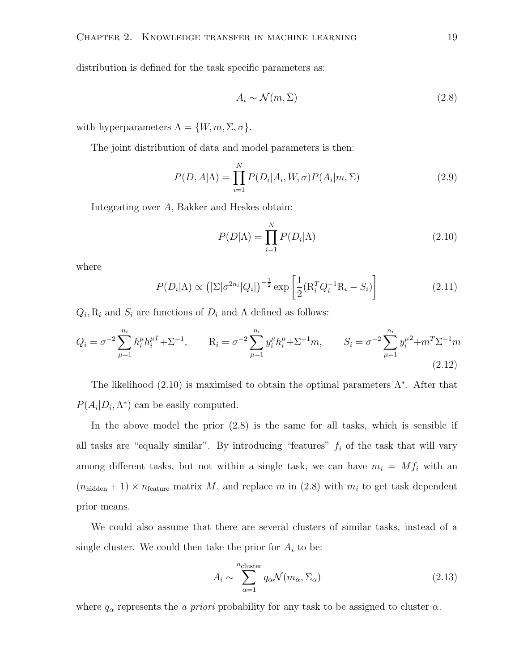distribution is defined for the task specific parameters as:

$$
A_i \sim \mathcal{N}(m, \Sigma) \tag{2.8}
$$

with hyperparameters  $\Lambda = \{W, m, \Sigma, \sigma\}.$ 

The joint distribution of data and model parameters is then:

$$
P(D, A|\Lambda) = \prod_{i=1}^{N} P(D_i|A_i, W, \sigma) P(A_i|m, \Sigma)
$$
\n(2.9)

Integrating over A, Bakker and Heskes obtain:

$$
P(D|\Lambda) = \prod_{i=1}^{N} P(D_i|\Lambda)
$$
\n(2.10)

where

$$
P(D_i|\Lambda) \propto \left( |\Sigma|\sigma^{2n_i}|Q_i| \right)^{-\frac{1}{2}} \exp\left[ \frac{1}{2} (\mathbf{R}_i^T Q_i^{-1} \mathbf{R}_i - S_i) \right] \tag{2.11}
$$

 $Q_i$ ,  $R_i$  and  $S_i$  are functions of  $D_i$  and  $\Lambda$  defined as follows:

$$
Q_i = \sigma^{-2} \sum_{\mu=1}^{n_i} h_i^{\mu} h_i^{\mu} + \Sigma^{-1}, \qquad R_i = \sigma^{-2} \sum_{\mu=1}^{n_i} y_i^{\mu} h_i^{\mu} + \Sigma^{-1} m, \qquad S_i = \sigma^{-2} \sum_{\mu=1}^{n_i} y_i^{\mu} + m^T \Sigma^{-1} m
$$
\n(2.12)

The likelihood  $(2.10)$  is maximised to obtain the optimal parameters  $\Lambda^*$ . After that  $P(A_i|D_i,\Lambda^*)$  can be easily computed.

In the above model the prior (2.8) is the same for all tasks, which is sensible if all tasks are "equally similar". By introducing "features"  $f_i$  of the task that will vary among different tasks, but not within a single task, we can have  $m_i = Mf_i$  with an  $(n_{hidden} + 1) \times n_{feature}$  matrix M, and replace m in (2.8) with  $m_i$  to get task dependent prior means.

We could also assume that there are several clusters of similar tasks, instead of a single cluster. We could then take the prior for  $A_i$  to be:

$$
A_i \sim \sum_{\alpha=1}^{n_{\text{cluster}}} q_{\alpha} \mathcal{N}(m_{\alpha}, \Sigma_{\alpha})
$$
 (2.13)

where  $q_{\alpha}$  represents the *a priori* probability for any task to be assigned to cluster  $\alpha$ .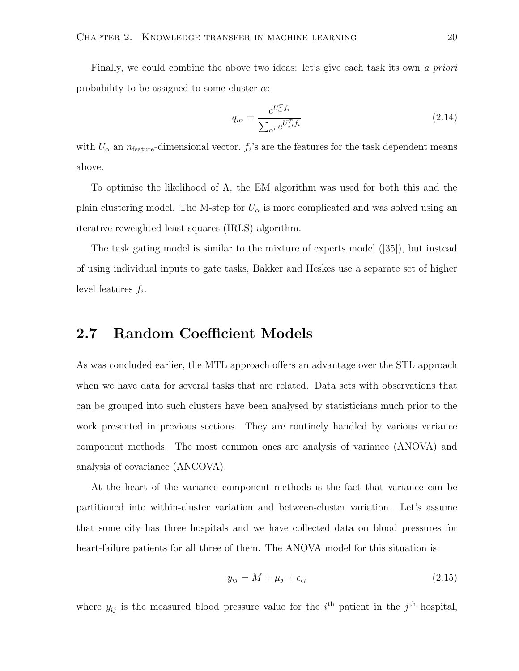Finally, we could combine the above two ideas: let's give each task its own a priori probability to be assigned to some cluster  $\alpha$ :

$$
q_{i\alpha} = \frac{e^{U_{\alpha}^T f_i}}{\sum_{\alpha'} e^{U_{\alpha'}^T f_i}}
$$
\n(2.14)

with  $U_{\alpha}$  an  $n_{\text{feature}}$ -dimensional vector.  $f_i$ 's are the features for the task dependent means above.

To optimise the likelihood of  $\Lambda$ , the EM algorithm was used for both this and the plain clustering model. The M-step for  $U_{\alpha}$  is more complicated and was solved using an iterative reweighted least-squares (IRLS) algorithm.

The task gating model is similar to the mixture of experts model ([35]), but instead of using individual inputs to gate tasks, Bakker and Heskes use a separate set of higher level features  $f_i$ .

#### 2.7 Random Coefficient Models

As was concluded earlier, the MTL approach offers an advantage over the STL approach when we have data for several tasks that are related. Data sets with observations that can be grouped into such clusters have been analysed by statisticians much prior to the work presented in previous sections. They are routinely handled by various variance component methods. The most common ones are analysis of variance (ANOVA) and analysis of covariance (ANCOVA).

At the heart of the variance component methods is the fact that variance can be partitioned into within-cluster variation and between-cluster variation. Let's assume that some city has three hospitals and we have collected data on blood pressures for heart-failure patients for all three of them. The ANOVA model for this situation is:

$$
y_{ij} = M + \mu_j + \epsilon_{ij} \tag{2.15}
$$

where  $y_{ij}$  is the measured blood pressure value for the i<sup>th</sup> patient in the j<sup>th</sup> hospital,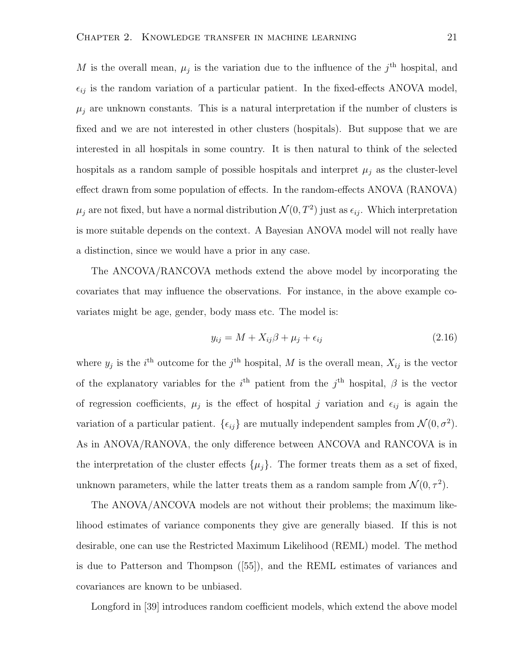M is the overall mean,  $\mu_j$  is the variation due to the influence of the  $j^{\text{th}}$  hospital, and  $\epsilon_{ij}$  is the random variation of a particular patient. In the fixed-effects ANOVA model,  $\mu_j$  are unknown constants. This is a natural interpretation if the number of clusters is fixed and we are not interested in other clusters (hospitals). But suppose that we are interested in all hospitals in some country. It is then natural to think of the selected hospitals as a random sample of possible hospitals and interpret  $\mu_j$  as the cluster-level effect drawn from some population of effects. In the random-effects ANOVA (RANOVA)  $\mu_j$  are not fixed, but have a normal distribution  $\mathcal{N}(0,T^2)$  just as  $\epsilon_{ij}$ . Which interpretation is more suitable depends on the context. A Bayesian ANOVA model will not really have a distinction, since we would have a prior in any case.

The ANCOVA/RANCOVA methods extend the above model by incorporating the covariates that may influence the observations. For instance, in the above example covariates might be age, gender, body mass etc. The model is:

$$
y_{ij} = M + X_{ij}\beta + \mu_j + \epsilon_{ij}
$$
\n
$$
(2.16)
$$

where  $y_j$  is the i<sup>th</sup> outcome for the j<sup>th</sup> hospital, M is the overall mean,  $X_{ij}$  is the vector of the explanatory variables for the  $i<sup>th</sup>$  patient from the  $j<sup>th</sup>$  hospital,  $\beta$  is the vector of regression coefficients,  $\mu_j$  is the effect of hospital j variation and  $\epsilon_{ij}$  is again the variation of a particular patient.  $\{\epsilon_{ij}\}\$ are mutually independent samples from  $\mathcal{N}(0, \sigma^2)$ . As in ANOVA/RANOVA, the only difference between ANCOVA and RANCOVA is in the interpretation of the cluster effects  $\{\mu_j\}$ . The former treats them as a set of fixed, unknown parameters, while the latter treats them as a random sample from  $\mathcal{N}(0, \tau^2)$ .

The ANOVA/ANCOVA models are not without their problems; the maximum likelihood estimates of variance components they give are generally biased. If this is not desirable, one can use the Restricted Maximum Likelihood (REML) model. The method is due to Patterson and Thompson ([55]), and the REML estimates of variances and covariances are known to be unbiased.

Longford in [39] introduces random coefficient models, which extend the above model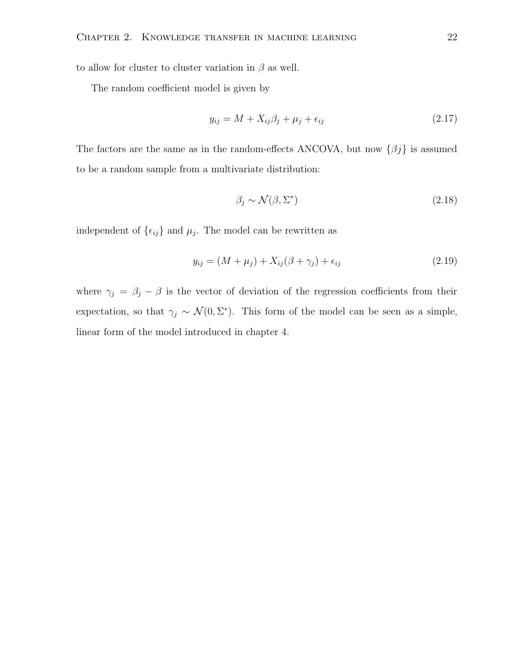to allow for cluster to cluster variation in  $\beta$  as well.

The random coefficient model is given by

$$
y_{ij} = M + X_{ij}\beta_j + \mu_j + \epsilon_{ij}
$$
\n
$$
(2.17)
$$

The factors are the same as in the random-effects ANCOVA, but now  $\{\beta j\}$  is assumed to be a random sample from a multivariate distribution:

$$
\beta_j \sim \mathcal{N}(\beta, \Sigma^*) \tag{2.18}
$$

independent of  $\{\epsilon_{ij}\}$  and  $\mu_j$ . The model can be rewritten as

$$
y_{ij} = (M + \mu_j) + X_{ij}(\beta + \gamma_j) + \epsilon_{ij}
$$
\n(2.19)

where  $\gamma_j = \beta_j - \beta$  is the vector of deviation of the regression coefficients from their expectation, so that  $\gamma_j \sim \mathcal{N}(0, \Sigma^*)$ . This form of the model can be seen as a simple, linear form of the model introduced in chapter 4.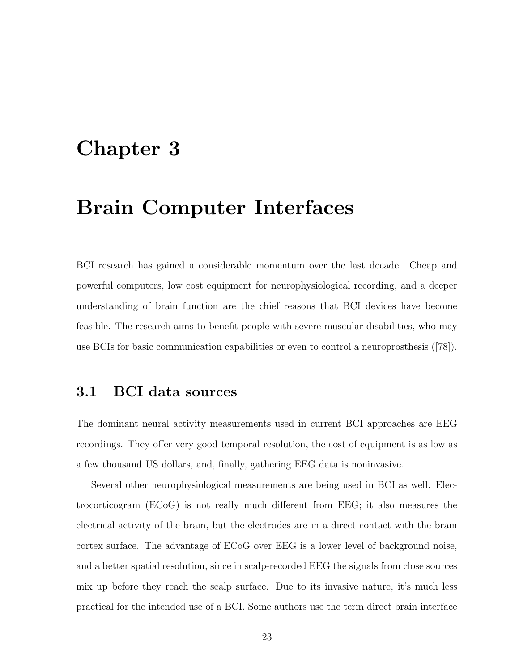## Chapter 3

## Brain Computer Interfaces

BCI research has gained a considerable momentum over the last decade. Cheap and powerful computers, low cost equipment for neurophysiological recording, and a deeper understanding of brain function are the chief reasons that BCI devices have become feasible. The research aims to benefit people with severe muscular disabilities, who may use BCIs for basic communication capabilities or even to control a neuroprosthesis ([78]).

#### 3.1 BCI data sources

The dominant neural activity measurements used in current BCI approaches are EEG recordings. They offer very good temporal resolution, the cost of equipment is as low as a few thousand US dollars, and, finally, gathering EEG data is noninvasive.

Several other neurophysiological measurements are being used in BCI as well. Electrocorticogram (ECoG) is not really much different from EEG; it also measures the electrical activity of the brain, but the electrodes are in a direct contact with the brain cortex surface. The advantage of ECoG over EEG is a lower level of background noise, and a better spatial resolution, since in scalp-recorded EEG the signals from close sources mix up before they reach the scalp surface. Due to its invasive nature, it's much less practical for the intended use of a BCI. Some authors use the term direct brain interface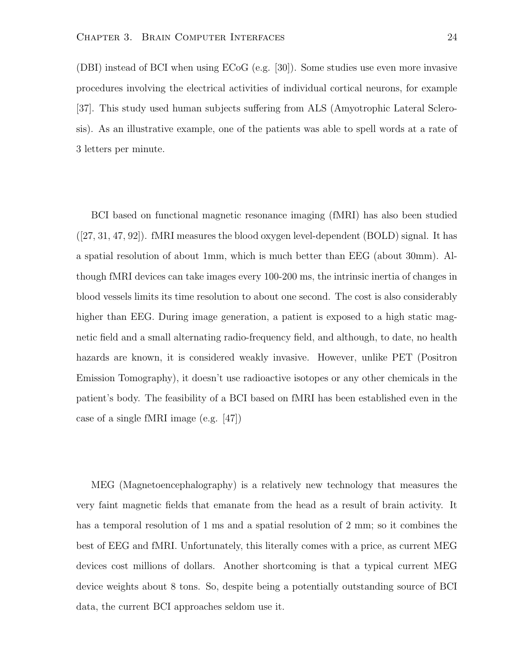(DBI) instead of BCI when using ECoG (e.g. [30]). Some studies use even more invasive procedures involving the electrical activities of individual cortical neurons, for example [37]. This study used human subjects suffering from ALS (Amyotrophic Lateral Sclerosis). As an illustrative example, one of the patients was able to spell words at a rate of 3 letters per minute.

BCI based on functional magnetic resonance imaging (fMRI) has also been studied ([27, 31, 47, 92]). fMRI measures the blood oxygen level-dependent (BOLD) signal. It has a spatial resolution of about 1mm, which is much better than EEG (about 30mm). Although fMRI devices can take images every 100-200 ms, the intrinsic inertia of changes in blood vessels limits its time resolution to about one second. The cost is also considerably higher than EEG. During image generation, a patient is exposed to a high static magnetic field and a small alternating radio-frequency field, and although, to date, no health hazards are known, it is considered weakly invasive. However, unlike PET (Positron Emission Tomography), it doesn't use radioactive isotopes or any other chemicals in the patient's body. The feasibility of a BCI based on fMRI has been established even in the case of a single fMRI image (e.g. [47])

MEG (Magnetoencephalography) is a relatively new technology that measures the very faint magnetic fields that emanate from the head as a result of brain activity. It has a temporal resolution of 1 ms and a spatial resolution of 2 mm; so it combines the best of EEG and fMRI. Unfortunately, this literally comes with a price, as current MEG devices cost millions of dollars. Another shortcoming is that a typical current MEG device weights about 8 tons. So, despite being a potentially outstanding source of BCI data, the current BCI approaches seldom use it.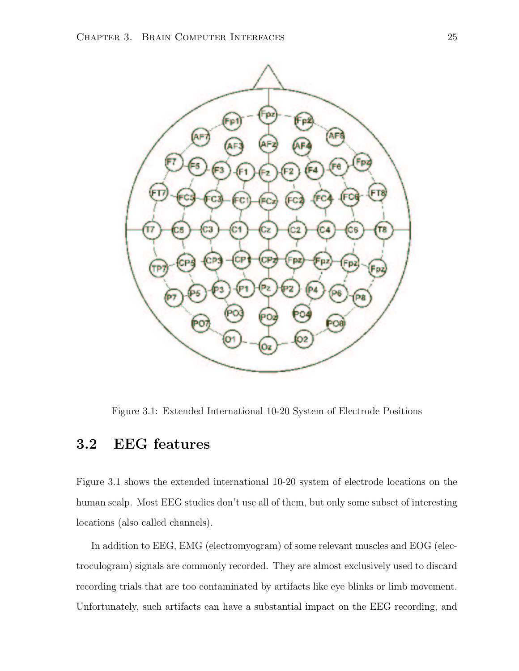

Figure 3.1: Extended International 10-20 System of Electrode Positions

#### 3.2 EEG features

Figure 3.1 shows the extended international 10-20 system of electrode locations on the human scalp. Most EEG studies don't use all of them, but only some subset of interesting locations (also called channels).

In addition to EEG, EMG (electromyogram) of some relevant muscles and EOG (electroculogram) signals are commonly recorded. They are almost exclusively used to discard recording trials that are too contaminated by artifacts like eye blinks or limb movement. Unfortunately, such artifacts can have a substantial impact on the EEG recording, and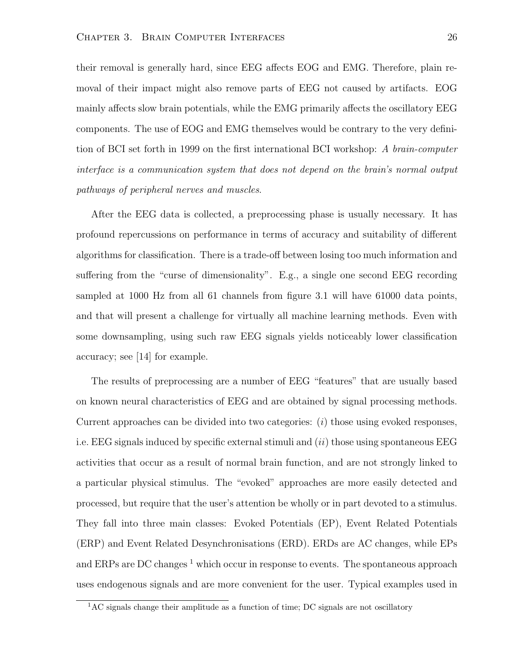their removal is generally hard, since EEG affects EOG and EMG. Therefore, plain removal of their impact might also remove parts of EEG not caused by artifacts. EOG mainly affects slow brain potentials, while the EMG primarily affects the oscillatory EEG components. The use of EOG and EMG themselves would be contrary to the very definition of BCI set forth in 1999 on the first international BCI workshop: A brain-computer interface is a communication system that does not depend on the brain's normal output pathways of peripheral nerves and muscles.

After the EEG data is collected, a preprocessing phase is usually necessary. It has profound repercussions on performance in terms of accuracy and suitability of different algorithms for classification. There is a trade-off between losing too much information and suffering from the "curse of dimensionality". E.g., a single one second EEG recording sampled at 1000 Hz from all 61 channels from figure 3.1 will have 61000 data points, and that will present a challenge for virtually all machine learning methods. Even with some downsampling, using such raw EEG signals yields noticeably lower classification accuracy; see [14] for example.

The results of preprocessing are a number of EEG "features" that are usually based on known neural characteristics of EEG and are obtained by signal processing methods. Current approaches can be divided into two categories: (i) those using evoked responses, i.e. EEG signals induced by specific external stimuli and  $(ii)$  those using spontaneous EEG activities that occur as a result of normal brain function, and are not strongly linked to a particular physical stimulus. The "evoked" approaches are more easily detected and processed, but require that the user's attention be wholly or in part devoted to a stimulus. They fall into three main classes: Evoked Potentials (EP), Event Related Potentials (ERP) and Event Related Desynchronisations (ERD). ERDs are AC changes, while EPs and ERPs are DC changes  $<sup>1</sup>$  which occur in response to events. The spontaneous approach</sup> uses endogenous signals and are more convenient for the user. Typical examples used in

<sup>&</sup>lt;sup>1</sup>AC signals change their amplitude as a function of time; DC signals are not oscillatory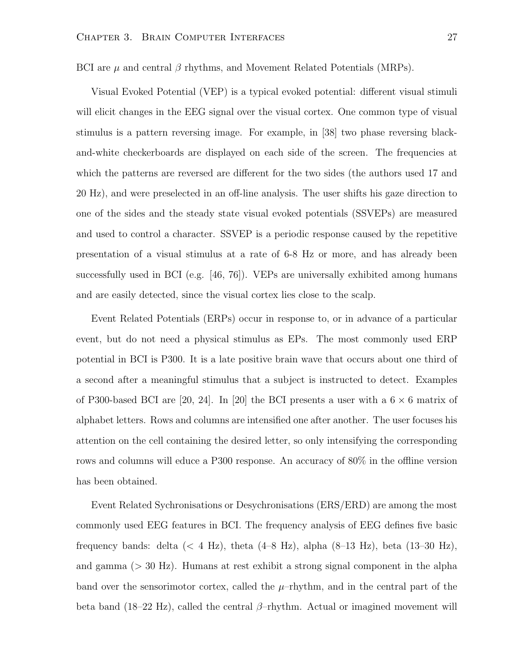BCI are  $\mu$  and central  $\beta$  rhythms, and Movement Related Potentials (MRPs).

Visual Evoked Potential (VEP) is a typical evoked potential: different visual stimuli will elicit changes in the EEG signal over the visual cortex. One common type of visual stimulus is a pattern reversing image. For example, in [38] two phase reversing blackand-white checkerboards are displayed on each side of the screen. The frequencies at which the patterns are reversed are different for the two sides (the authors used 17 and 20 Hz), and were preselected in an off-line analysis. The user shifts his gaze direction to one of the sides and the steady state visual evoked potentials (SSVEPs) are measured and used to control a character. SSVEP is a periodic response caused by the repetitive presentation of a visual stimulus at a rate of 6-8 Hz or more, and has already been successfully used in BCI (e.g. [46, 76]). VEPs are universally exhibited among humans and are easily detected, since the visual cortex lies close to the scalp.

Event Related Potentials (ERPs) occur in response to, or in advance of a particular event, but do not need a physical stimulus as EPs. The most commonly used ERP potential in BCI is P300. It is a late positive brain wave that occurs about one third of a second after a meaningful stimulus that a subject is instructed to detect. Examples of P300-based BCI are [20, 24]. In [20] the BCI presents a user with a  $6 \times 6$  matrix of alphabet letters. Rows and columns are intensified one after another. The user focuses his attention on the cell containing the desired letter, so only intensifying the corresponding rows and columns will educe a P300 response. An accuracy of 80% in the offline version has been obtained.

Event Related Sychronisations or Desychronisations (ERS/ERD) are among the most commonly used EEG features in BCI. The frequency analysis of EEG defines five basic frequency bands: delta ( $\langle 4 \text{ Hz} \rangle$ , theta (4–8 Hz), alpha (8–13 Hz), beta (13–30 Hz), and gamma  $(> 30 \text{ Hz})$ . Humans at rest exhibit a strong signal component in the alpha band over the sensorimotor cortex, called the  $\mu$ -rhythm, and in the central part of the beta band (18–22 Hz), called the central  $\beta$ –rhythm. Actual or imagined movement will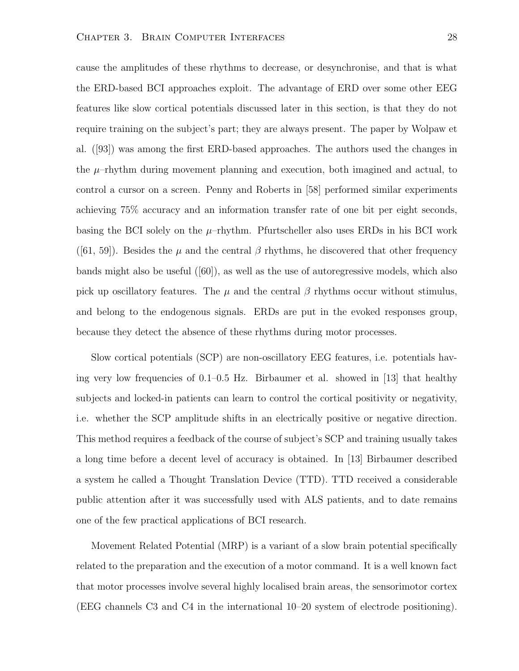cause the amplitudes of these rhythms to decrease, or desynchronise, and that is what the ERD-based BCI approaches exploit. The advantage of ERD over some other EEG features like slow cortical potentials discussed later in this section, is that they do not require training on the subject's part; they are always present. The paper by Wolpaw et al. ([93]) was among the first ERD-based approaches. The authors used the changes in the  $\mu$ -rhythm during movement planning and execution, both imagined and actual, to control a cursor on a screen. Penny and Roberts in [58] performed similar experiments achieving 75% accuracy and an information transfer rate of one bit per eight seconds, basing the BCI solely on the  $\mu$ -rhythm. Pfurtscheller also uses ERDs in his BCI work ([61, 59]). Besides the  $\mu$  and the central  $\beta$  rhythms, he discovered that other frequency bands might also be useful ([60]), as well as the use of autoregressive models, which also pick up oscillatory features. The  $\mu$  and the central  $\beta$  rhythms occur without stimulus, and belong to the endogenous signals. ERDs are put in the evoked responses group, because they detect the absence of these rhythms during motor processes.

Slow cortical potentials (SCP) are non-oscillatory EEG features, i.e. potentials having very low frequencies of 0.1–0.5 Hz. Birbaumer et al. showed in [13] that healthy subjects and locked-in patients can learn to control the cortical positivity or negativity, i.e. whether the SCP amplitude shifts in an electrically positive or negative direction. This method requires a feedback of the course of subject's SCP and training usually takes a long time before a decent level of accuracy is obtained. In [13] Birbaumer described a system he called a Thought Translation Device (TTD). TTD received a considerable public attention after it was successfully used with ALS patients, and to date remains one of the few practical applications of BCI research.

Movement Related Potential (MRP) is a variant of a slow brain potential specifically related to the preparation and the execution of a motor command. It is a well known fact that motor processes involve several highly localised brain areas, the sensorimotor cortex (EEG channels C3 and C4 in the international 10–20 system of electrode positioning).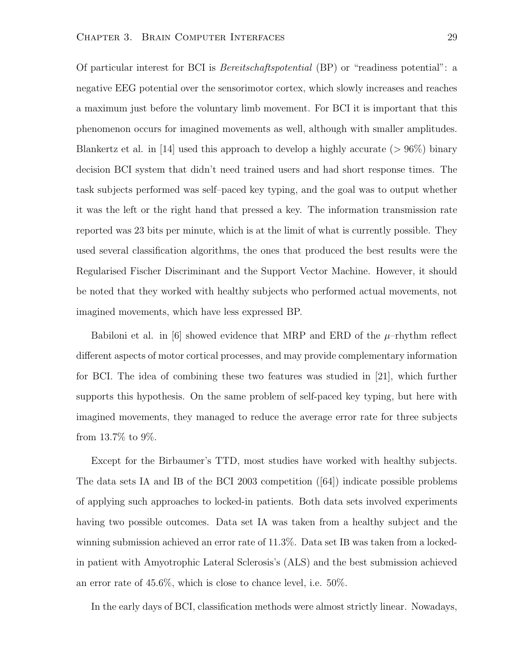Of particular interest for BCI is Bereitschaftspotential (BP) or "readiness potential": a negative EEG potential over the sensorimotor cortex, which slowly increases and reaches a maximum just before the voluntary limb movement. For BCI it is important that this phenomenon occurs for imagined movements as well, although with smaller amplitudes. Blankertz et al. in [14] used this approach to develop a highly accurate ( $> 96\%$ ) binary decision BCI system that didn't need trained users and had short response times. The task subjects performed was self–paced key typing, and the goal was to output whether it was the left or the right hand that pressed a key. The information transmission rate reported was 23 bits per minute, which is at the limit of what is currently possible. They used several classification algorithms, the ones that produced the best results were the Regularised Fischer Discriminant and the Support Vector Machine. However, it should be noted that they worked with healthy subjects who performed actual movements, not imagined movements, which have less expressed BP.

Babiloni et al. in [6] showed evidence that MRP and ERD of the  $\mu$ -rhythm reflect different aspects of motor cortical processes, and may provide complementary information for BCI. The idea of combining these two features was studied in [21], which further supports this hypothesis. On the same problem of self-paced key typing, but here with imagined movements, they managed to reduce the average error rate for three subjects from 13.7% to 9%.

Except for the Birbaumer's TTD, most studies have worked with healthy subjects. The data sets IA and IB of the BCI 2003 competition ([64]) indicate possible problems of applying such approaches to locked-in patients. Both data sets involved experiments having two possible outcomes. Data set IA was taken from a healthy subject and the winning submission achieved an error rate of 11.3%. Data set IB was taken from a lockedin patient with Amyotrophic Lateral Sclerosis's (ALS) and the best submission achieved an error rate of 45.6%, which is close to chance level, i.e. 50%.

In the early days of BCI, classification methods were almost strictly linear. Nowadays,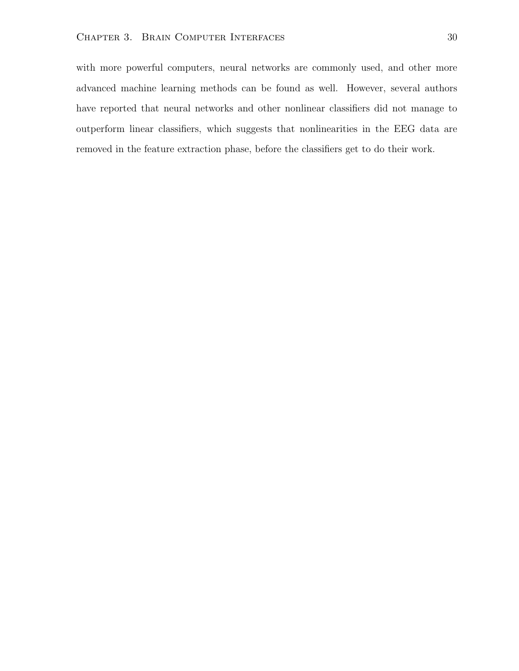with more powerful computers, neural networks are commonly used, and other more advanced machine learning methods can be found as well. However, several authors have reported that neural networks and other nonlinear classifiers did not manage to outperform linear classifiers, which suggests that nonlinearities in the EEG data are removed in the feature extraction phase, before the classifiers get to do their work.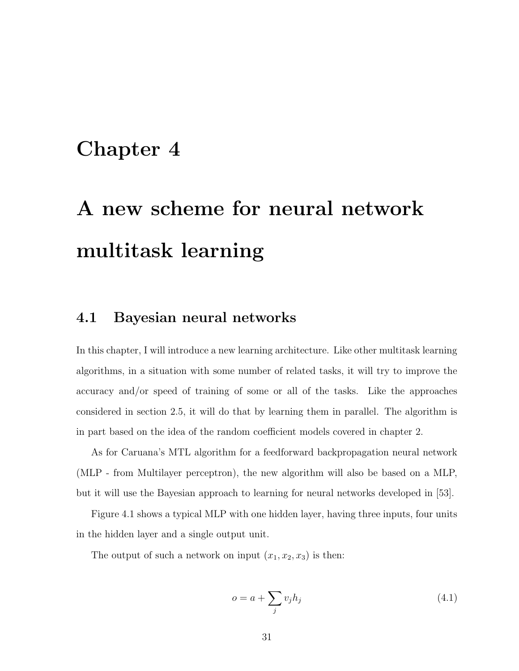## Chapter 4

## A new scheme for neural network multitask learning

### 4.1 Bayesian neural networks

In this chapter, I will introduce a new learning architecture. Like other multitask learning algorithms, in a situation with some number of related tasks, it will try to improve the accuracy and/or speed of training of some or all of the tasks. Like the approaches considered in section 2.5, it will do that by learning them in parallel. The algorithm is in part based on the idea of the random coefficient models covered in chapter 2.

As for Caruana's MTL algorithm for a feedforward backpropagation neural network (MLP - from Multilayer perceptron), the new algorithm will also be based on a MLP, but it will use the Bayesian approach to learning for neural networks developed in [53].

Figure 4.1 shows a typical MLP with one hidden layer, having three inputs, four units in the hidden layer and a single output unit.

The output of such a network on input  $(x_1, x_2, x_3)$  is then:

$$
o = a + \sum_{j} v_j h_j \tag{4.1}
$$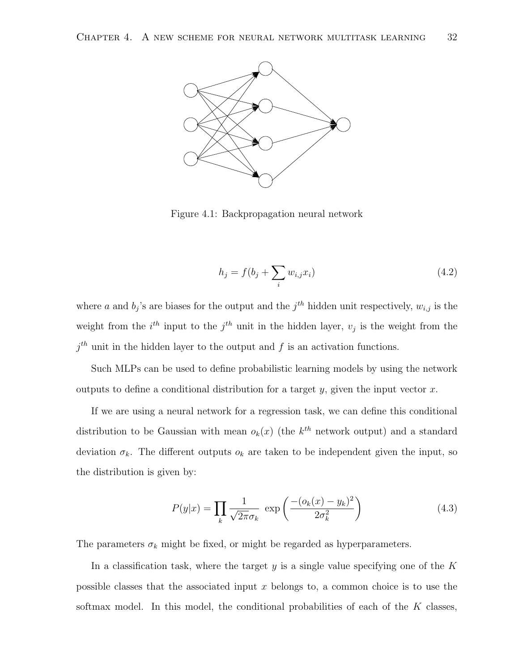

Figure 4.1: Backpropagation neural network

$$
h_j = f(b_j + \sum_i w_{i,j} x_i)
$$
\n(4.2)

where a and  $b_j$ 's are biases for the output and the  $j^{th}$  hidden unit respectively,  $w_{i,j}$  is the weight from the  $i<sup>th</sup>$  input to the  $j<sup>th</sup>$  unit in the hidden layer,  $v_j$  is the weight from the  $j<sup>th</sup>$  unit in the hidden layer to the output and f is an activation functions.

Such MLPs can be used to define probabilistic learning models by using the network outputs to define a conditional distribution for a target y, given the input vector  $x$ .

If we are using a neural network for a regression task, we can define this conditional distribution to be Gaussian with mean  $o_k(x)$  (the  $k^{th}$  network output) and a standard deviation  $\sigma_k$ . The different outputs  $o_k$  are taken to be independent given the input, so the distribution is given by:

$$
P(y|x) = \prod_{k} \frac{1}{\sqrt{2\pi}\sigma_k} \exp\left(\frac{-(o_k(x) - y_k)^2}{2\sigma_k^2}\right)
$$
(4.3)

The parameters  $\sigma_k$  might be fixed, or might be regarded as hyperparameters.

In a classification task, where the target y is a single value specifying one of the  $K$ possible classes that the associated input  $x$  belongs to, a common choice is to use the softmax model. In this model, the conditional probabilities of each of the  $K$  classes,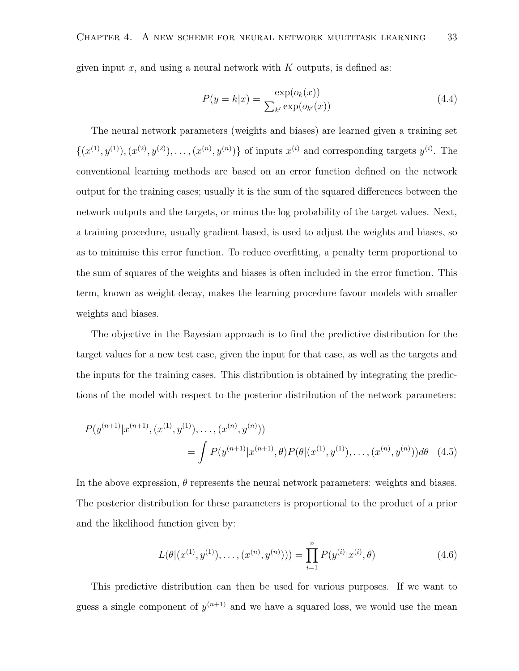given input x, and using a neural network with  $K$  outputs, is defined as:

$$
P(y = k|x) = \frac{\exp(o_k(x))}{\sum_{k'} \exp(o_{k'}(x))}
$$
\n(4.4)

The neural network parameters (weights and biases) are learned given a training set  $\{(x^{(1)}, y^{(1)}), (x^{(2)}, y^{(2)}), \ldots, (x^{(n)}, y^{(n)})\}$  of inputs  $x^{(i)}$  and corresponding targets  $y^{(i)}$ . The conventional learning methods are based on an error function defined on the network output for the training cases; usually it is the sum of the squared differences between the network outputs and the targets, or minus the log probability of the target values. Next, a training procedure, usually gradient based, is used to adjust the weights and biases, so as to minimise this error function. To reduce overfitting, a penalty term proportional to the sum of squares of the weights and biases is often included in the error function. This term, known as weight decay, makes the learning procedure favour models with smaller weights and biases.

The objective in the Bayesian approach is to find the predictive distribution for the target values for a new test case, given the input for that case, as well as the targets and the inputs for the training cases. This distribution is obtained by integrating the predictions of the model with respect to the posterior distribution of the network parameters:

$$
P(y^{(n+1)}|x^{(n+1)}, (x^{(1)}, y^{(1)}), \dots, (x^{(n)}, y^{(n)}))
$$
  
= 
$$
\int P(y^{(n+1)}|x^{(n+1)}, \theta) P(\theta|(x^{(1)}, y^{(1)}), \dots, (x^{(n)}, y^{(n)}))d\theta
$$
 (4.5)

In the above expression,  $\theta$  represents the neural network parameters: weights and biases. The posterior distribution for these parameters is proportional to the product of a prior and the likelihood function given by:

$$
L(\theta|(x^{(1)}, y^{(1)}), \dots, (x^{(n)}, y^{(n)}))) = \prod_{i=1}^{n} P(y^{(i)}|x^{(i)}, \theta)
$$
\n(4.6)

This predictive distribution can then be used for various purposes. If we want to guess a single component of  $y^{(n+1)}$  and we have a squared loss, we would use the mean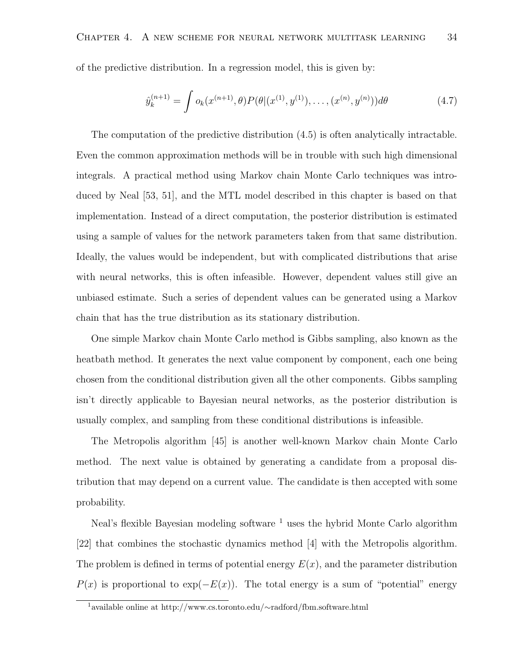of the predictive distribution. In a regression model, this is given by:

$$
\hat{y}_k^{(n+1)} = \int o_k(x^{(n+1)}, \theta) P(\theta | (x^{(1)}, y^{(1)}), \dots, (x^{(n)}, y^{(n)})) d\theta \tag{4.7}
$$

The computation of the predictive distribution (4.5) is often analytically intractable. Even the common approximation methods will be in trouble with such high dimensional integrals. A practical method using Markov chain Monte Carlo techniques was introduced by Neal [53, 51], and the MTL model described in this chapter is based on that implementation. Instead of a direct computation, the posterior distribution is estimated using a sample of values for the network parameters taken from that same distribution. Ideally, the values would be independent, but with complicated distributions that arise with neural networks, this is often infeasible. However, dependent values still give an unbiased estimate. Such a series of dependent values can be generated using a Markov chain that has the true distribution as its stationary distribution.

One simple Markov chain Monte Carlo method is Gibbs sampling, also known as the heatbath method. It generates the next value component by component, each one being chosen from the conditional distribution given all the other components. Gibbs sampling isn't directly applicable to Bayesian neural networks, as the posterior distribution is usually complex, and sampling from these conditional distributions is infeasible.

The Metropolis algorithm [45] is another well-known Markov chain Monte Carlo method. The next value is obtained by generating a candidate from a proposal distribution that may depend on a current value. The candidate is then accepted with some probability.

Neal's flexible Bayesian modeling software  $<sup>1</sup>$  uses the hybrid Monte Carlo algorithm</sup> [22] that combines the stochastic dynamics method [4] with the Metropolis algorithm. The problem is defined in terms of potential energy  $E(x)$ , and the parameter distribution  $P(x)$  is proportional to exp( $-E(x)$ ). The total energy is a sum of "potential" energy

<sup>1</sup>available online at http://www.cs.toronto.edu/∼radford/fbm.software.html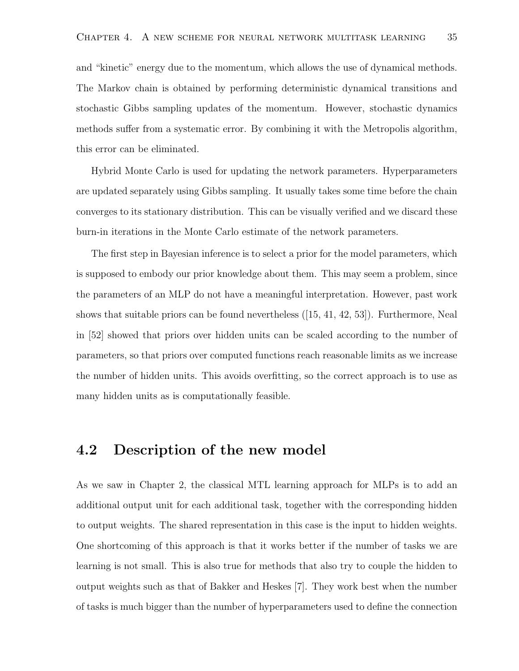and "kinetic" energy due to the momentum, which allows the use of dynamical methods. The Markov chain is obtained by performing deterministic dynamical transitions and stochastic Gibbs sampling updates of the momentum. However, stochastic dynamics methods suffer from a systematic error. By combining it with the Metropolis algorithm, this error can be eliminated.

Hybrid Monte Carlo is used for updating the network parameters. Hyperparameters are updated separately using Gibbs sampling. It usually takes some time before the chain converges to its stationary distribution. This can be visually verified and we discard these burn-in iterations in the Monte Carlo estimate of the network parameters.

The first step in Bayesian inference is to select a prior for the model parameters, which is supposed to embody our prior knowledge about them. This may seem a problem, since the parameters of an MLP do not have a meaningful interpretation. However, past work shows that suitable priors can be found nevertheless ([15, 41, 42, 53]). Furthermore, Neal in [52] showed that priors over hidden units can be scaled according to the number of parameters, so that priors over computed functions reach reasonable limits as we increase the number of hidden units. This avoids overfitting, so the correct approach is to use as many hidden units as is computationally feasible.

### 4.2 Description of the new model

As we saw in Chapter 2, the classical MTL learning approach for MLPs is to add an additional output unit for each additional task, together with the corresponding hidden to output weights. The shared representation in this case is the input to hidden weights. One shortcoming of this approach is that it works better if the number of tasks we are learning is not small. This is also true for methods that also try to couple the hidden to output weights such as that of Bakker and Heskes [7]. They work best when the number of tasks is much bigger than the number of hyperparameters used to define the connection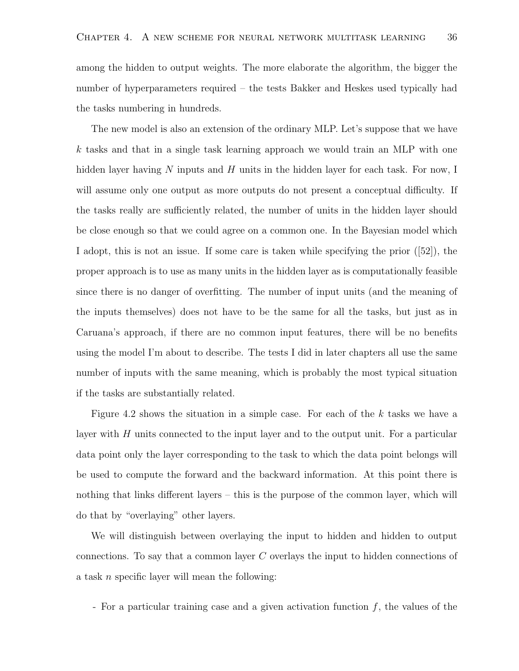among the hidden to output weights. The more elaborate the algorithm, the bigger the number of hyperparameters required – the tests Bakker and Heskes used typically had the tasks numbering in hundreds.

The new model is also an extension of the ordinary MLP. Let's suppose that we have k tasks and that in a single task learning approach we would train an MLP with one hidden layer having N inputs and H units in the hidden layer for each task. For now, I will assume only one output as more outputs do not present a conceptual difficulty. If the tasks really are sufficiently related, the number of units in the hidden layer should be close enough so that we could agree on a common one. In the Bayesian model which I adopt, this is not an issue. If some care is taken while specifying the prior ([52]), the proper approach is to use as many units in the hidden layer as is computationally feasible since there is no danger of overfitting. The number of input units (and the meaning of the inputs themselves) does not have to be the same for all the tasks, but just as in Caruana's approach, if there are no common input features, there will be no benefits using the model I'm about to describe. The tests I did in later chapters all use the same number of inputs with the same meaning, which is probably the most typical situation if the tasks are substantially related.

Figure 4.2 shows the situation in a simple case. For each of the  $k$  tasks we have a layer with  $H$  units connected to the input layer and to the output unit. For a particular data point only the layer corresponding to the task to which the data point belongs will be used to compute the forward and the backward information. At this point there is nothing that links different layers – this is the purpose of the common layer, which will do that by "overlaying" other layers.

We will distinguish between overlaying the input to hidden and hidden to output connections. To say that a common layer C overlays the input to hidden connections of a task n specific layer will mean the following:

- For a particular training case and a given activation function  $f$ , the values of the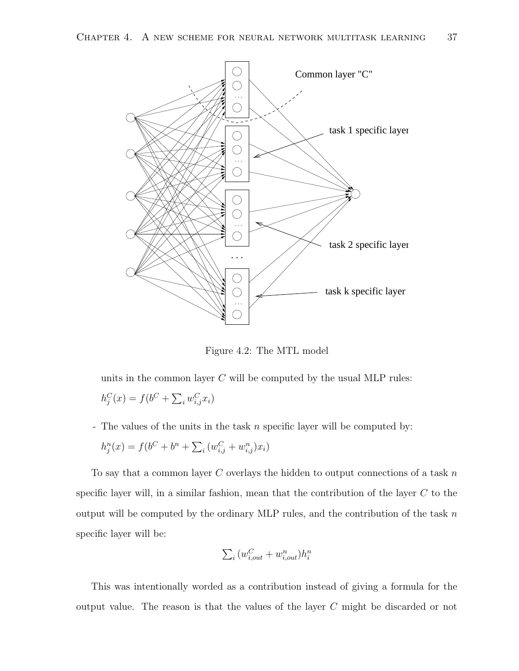

Figure 4.2: The MTL model

units in the common layer  $C$  will be computed by the usual MLP rules:  $h_j^C(x) = f(b^C + \sum_i w_{i,j}^C x_i)$ 

- The values of the units in the task n specific layer will be computed by:

$$
h_j^n(x) = f(b^C + b^n + \sum_i (w_{i,j}^C + w_{i,j}^n)x_i)
$$

To say that a common layer  $C$  overlays the hidden to output connections of a task  $n$ specific layer will, in a similar fashion, mean that the contribution of the layer  $C$  to the output will be computed by the ordinary MLP rules, and the contribution of the task  $n$ specific layer will be:

$$
\sum_{i} (w_{i,out}^C + w_{i,out}^n) h_i^n
$$

This was intentionally worded as a contribution instead of giving a formula for the output value. The reason is that the values of the layer C might be discarded or not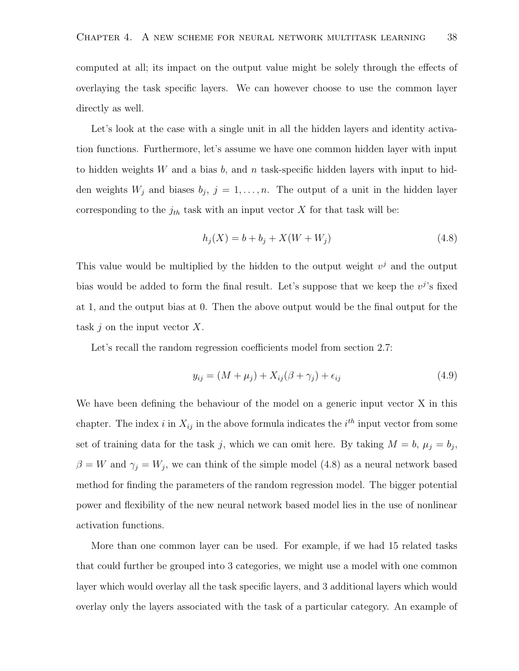computed at all; its impact on the output value might be solely through the effects of overlaying the task specific layers. We can however choose to use the common layer directly as well.

Let's look at the case with a single unit in all the hidden layers and identity activation functions. Furthermore, let's assume we have one common hidden layer with input to hidden weights W and a bias b, and n task-specific hidden layers with input to hidden weights  $W_j$  and biases  $b_j$ ,  $j = 1, \ldots, n$ . The output of a unit in the hidden layer corresponding to the  $j_{th}$  task with an input vector X for that task will be:

$$
h_j(X) = b + b_j + X(W + W_j)
$$
\n(4.8)

This value would be multiplied by the hidden to the output weight  $v^j$  and the output bias would be added to form the final result. Let's suppose that we keep the  $v^j$ 's fixed at 1, and the output bias at 0. Then the above output would be the final output for the task  $j$  on the input vector  $X$ .

Let's recall the random regression coefficients model from section 2.7:

$$
y_{ij} = (M + \mu_j) + X_{ij}(\beta + \gamma_j) + \epsilon_{ij}
$$
\n(4.9)

We have been defining the behaviour of the model on a generic input vector X in this chapter. The index i in  $X_{ij}$  in the above formula indicates the i<sup>th</sup> input vector from some set of training data for the task j, which we can omit here. By taking  $M = b$ ,  $\mu_j = b_j$ ,  $\beta = W$  and  $\gamma_j = W_j$ , we can think of the simple model (4.8) as a neural network based method for finding the parameters of the random regression model. The bigger potential power and flexibility of the new neural network based model lies in the use of nonlinear activation functions.

More than one common layer can be used. For example, if we had 15 related tasks that could further be grouped into 3 categories, we might use a model with one common layer which would overlay all the task specific layers, and 3 additional layers which would overlay only the layers associated with the task of a particular category. An example of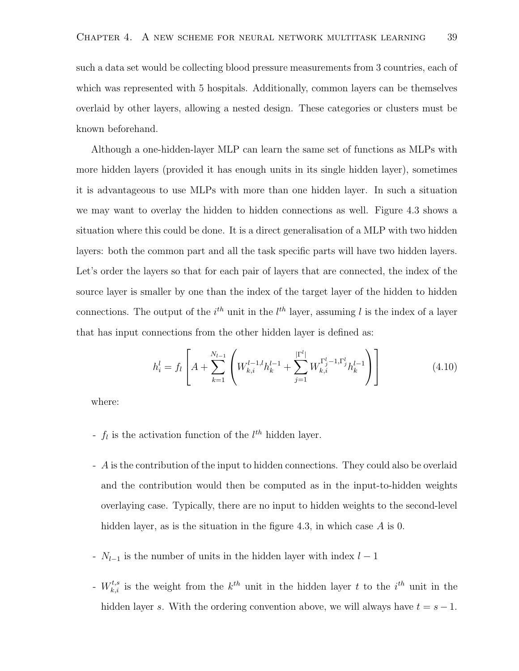such a data set would be collecting blood pressure measurements from 3 countries, each of which was represented with 5 hospitals. Additionally, common layers can be themselves overlaid by other layers, allowing a nested design. These categories or clusters must be known beforehand.

Although a one-hidden-layer MLP can learn the same set of functions as MLPs with more hidden layers (provided it has enough units in its single hidden layer), sometimes it is advantageous to use MLPs with more than one hidden layer. In such a situation we may want to overlay the hidden to hidden connections as well. Figure 4.3 shows a situation where this could be done. It is a direct generalisation of a MLP with two hidden layers: both the common part and all the task specific parts will have two hidden layers. Let's order the layers so that for each pair of layers that are connected, the index of the source layer is smaller by one than the index of the target layer of the hidden to hidden connections. The output of the  $i^{th}$  unit in the  $l^{th}$  layer, assuming l is the index of a layer that has input connections from the other hidden layer is defined as:

$$
h_i^l = f_l \left[ A + \sum_{k=1}^{N_{l-1}} \left( W_{k,i}^{l-1,l} h_k^{l-1} + \sum_{j=1}^{|\Gamma^l|} W_{k,i}^{\Gamma_j^l-1,\Gamma_j^l} h_k^{l-1} \right) \right]
$$
(4.10)

where:

- $f_l$  is the activation function of the  $l^{th}$  hidden layer.
- A is the contribution of the input to hidden connections. They could also be overlaid and the contribution would then be computed as in the input-to-hidden weights overlaying case. Typically, there are no input to hidden weights to the second-level hidden layer, as is the situation in the figure 4.3, in which case A is 0.
- $N_{l-1}$  is the number of units in the hidden layer with index  $l-1$
- $W_{k,i}^{t,s}$  is the weight from the  $k^{th}$  unit in the hidden layer t to the  $i^{th}$  unit in the hidden layer s. With the ordering convention above, we will always have  $t = s - 1$ .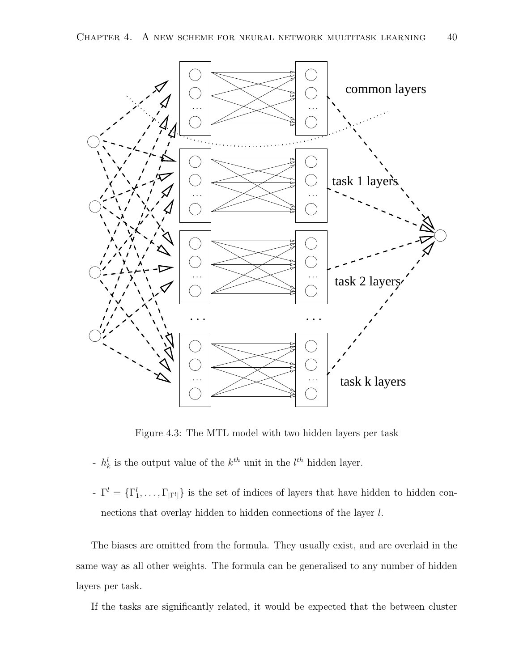

Figure 4.3: The MTL model with two hidden layers per task

- $h_k^l$  is the output value of the  $k^{th}$  unit in the  $l^{th}$  hidden layer.
- $\Gamma^{-} = \{\Gamma_1^l, \ldots, \Gamma_{|\Gamma^l|}\}\$ is the set of indices of layers that have hidden to hidden connections that overlay hidden to hidden connections of the layer l.

The biases are omitted from the formula. They usually exist, and are overlaid in the same way as all other weights. The formula can be generalised to any number of hidden layers per task.

If the tasks are significantly related, it would be expected that the between cluster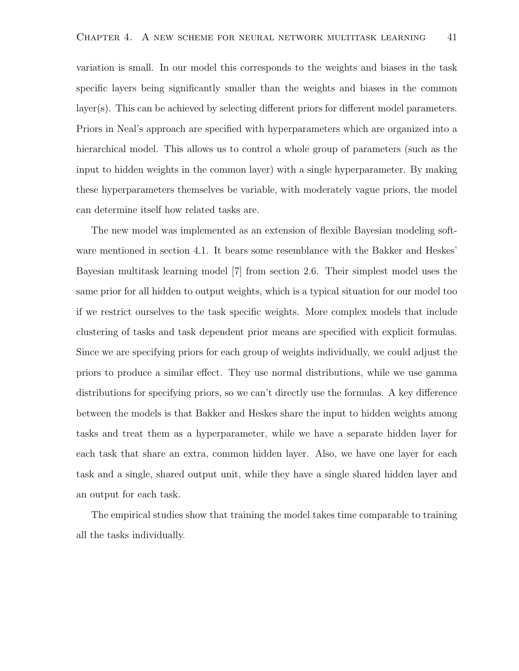variation is small. In our model this corresponds to the weights and biases in the task specific layers being significantly smaller than the weights and biases in the common layer(s). This can be achieved by selecting different priors for different model parameters. Priors in Neal's approach are specified with hyperparameters which are organized into a hierarchical model. This allows us to control a whole group of parameters (such as the input to hidden weights in the common layer) with a single hyperparameter. By making these hyperparameters themselves be variable, with moderately vague priors, the model can determine itself how related tasks are.

The new model was implemented as an extension of flexible Bayesian modeling software mentioned in section 4.1. It bears some resemblance with the Bakker and Heskes' Bayesian multitask learning model [7] from section 2.6. Their simplest model uses the same prior for all hidden to output weights, which is a typical situation for our model too if we restrict ourselves to the task specific weights. More complex models that include clustering of tasks and task dependent prior means are specified with explicit formulas. Since we are specifying priors for each group of weights individually, we could adjust the priors to produce a similar effect. They use normal distributions, while we use gamma distributions for specifying priors, so we can't directly use the formulas. A key difference between the models is that Bakker and Heskes share the input to hidden weights among tasks and treat them as a hyperparameter, while we have a separate hidden layer for each task that share an extra, common hidden layer. Also, we have one layer for each task and a single, shared output unit, while they have a single shared hidden layer and an output for each task.

The empirical studies show that training the model takes time comparable to training all the tasks individually.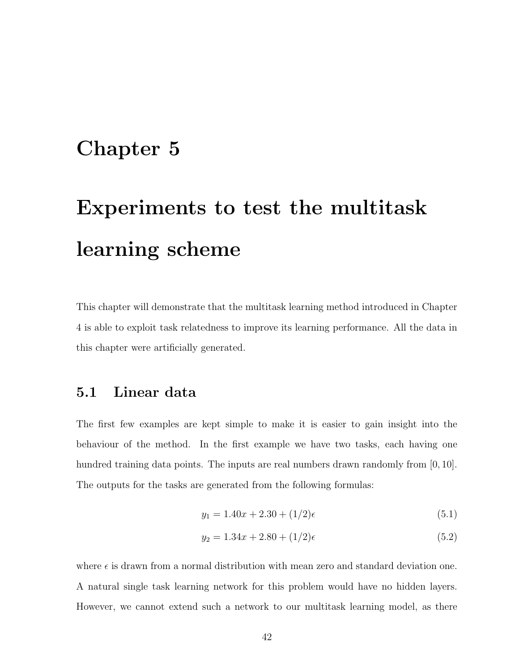## Chapter 5

# Experiments to test the multitask learning scheme

This chapter will demonstrate that the multitask learning method introduced in Chapter 4 is able to exploit task relatedness to improve its learning performance. All the data in this chapter were artificially generated.

## 5.1 Linear data

The first few examples are kept simple to make it is easier to gain insight into the behaviour of the method. In the first example we have two tasks, each having one hundred training data points. The inputs are real numbers drawn randomly from [0, 10]. The outputs for the tasks are generated from the following formulas:

$$
y_1 = 1.40x + 2.30 + (1/2)\epsilon \tag{5.1}
$$

$$
y_2 = 1.34x + 2.80 + (1/2)\epsilon \tag{5.2}
$$

where  $\epsilon$  is drawn from a normal distribution with mean zero and standard deviation one. A natural single task learning network for this problem would have no hidden layers. However, we cannot extend such a network to our multitask learning model, as there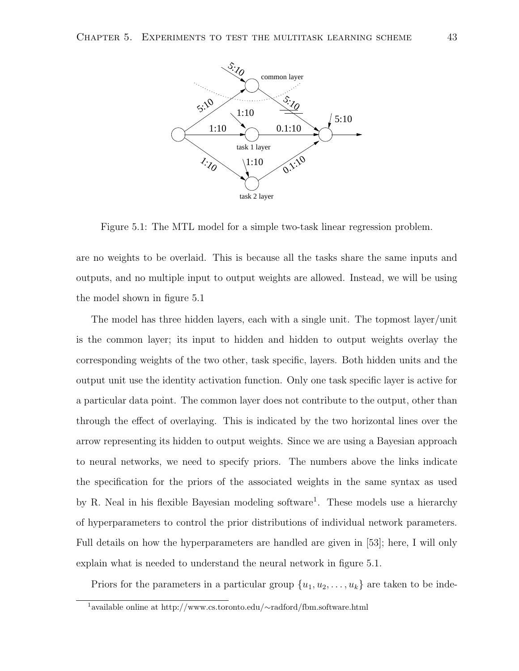

Figure 5.1: The MTL model for a simple two-task linear regression problem.

are no weights to be overlaid. This is because all the tasks share the same inputs and outputs, and no multiple input to output weights are allowed. Instead, we will be using the model shown in figure 5.1

The model has three hidden layers, each with a single unit. The topmost layer/unit is the common layer; its input to hidden and hidden to output weights overlay the corresponding weights of the two other, task specific, layers. Both hidden units and the output unit use the identity activation function. Only one task specific layer is active for a particular data point. The common layer does not contribute to the output, other than through the effect of overlaying. This is indicated by the two horizontal lines over the arrow representing its hidden to output weights. Since we are using a Bayesian approach to neural networks, we need to specify priors. The numbers above the links indicate the specification for the priors of the associated weights in the same syntax as used by R. Neal in his flexible Bayesian modeling software<sup>1</sup>. These models use a hierarchy of hyperparameters to control the prior distributions of individual network parameters. Full details on how the hyperparameters are handled are given in [53]; here, I will only explain what is needed to understand the neural network in figure 5.1.

Priors for the parameters in a particular group  $\{u_1, u_2, \ldots, u_k\}$  are taken to be inde-

<sup>1</sup>available online at http://www.cs.toronto.edu/∼radford/fbm.software.html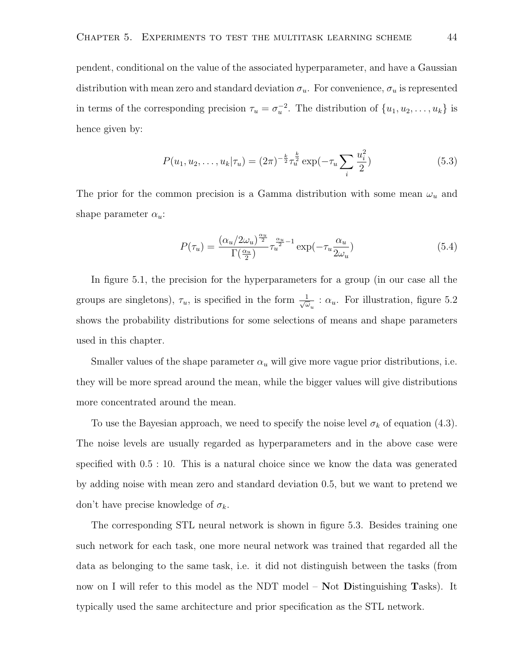pendent, conditional on the value of the associated hyperparameter, and have a Gaussian distribution with mean zero and standard deviation  $\sigma_u$ . For convenience,  $\sigma_u$  is represented in terms of the corresponding precision  $\tau_u = \sigma_u^{-2}$ . The distribution of  $\{u_1, u_2, \ldots, u_k\}$  is hence given by:

$$
P(u_1, u_2, \dots, u_k | \tau_u) = (2\pi)^{-\frac{k}{2}} \tau_u^{\frac{k}{2}} \exp(-\tau_u \sum_i \frac{u_i^2}{2})
$$
 (5.3)

The prior for the common precision is a Gamma distribution with some mean  $\omega_u$  and shape parameter  $\alpha_u$ :

$$
P(\tau_u) = \frac{(\alpha_u/2\omega_u)^{\frac{\alpha_u}{2}}}{\Gamma(\frac{\alpha_u}{2})}\tau_u^{\frac{\alpha_u}{2}-1}\exp(-\tau_u\frac{\alpha_u}{2\omega_u})\tag{5.4}
$$

In figure 5.1, the precision for the hyperparameters for a group (in our case all the groups are singletons),  $\tau_u$ , is specified in the form  $\frac{1}{\sqrt{u}}$  $\frac{1}{\omega_u}$ :  $\alpha_u$ . For illustration, figure 5.2 shows the probability distributions for some selections of means and shape parameters used in this chapter.

Smaller values of the shape parameter  $\alpha_u$  will give more vague prior distributions, i.e. they will be more spread around the mean, while the bigger values will give distributions more concentrated around the mean.

To use the Bayesian approach, we need to specify the noise level  $\sigma_k$  of equation (4.3). The noise levels are usually regarded as hyperparameters and in the above case were specified with 0.5 : 10. This is a natural choice since we know the data was generated by adding noise with mean zero and standard deviation 0.5, but we want to pretend we don't have precise knowledge of  $\sigma_k$ .

The corresponding STL neural network is shown in figure 5.3. Besides training one such network for each task, one more neural network was trained that regarded all the data as belonging to the same task, i.e. it did not distinguish between the tasks (from now on I will refer to this model as the NDT model – Not Distinguishing Tasks). It typically used the same architecture and prior specification as the STL network.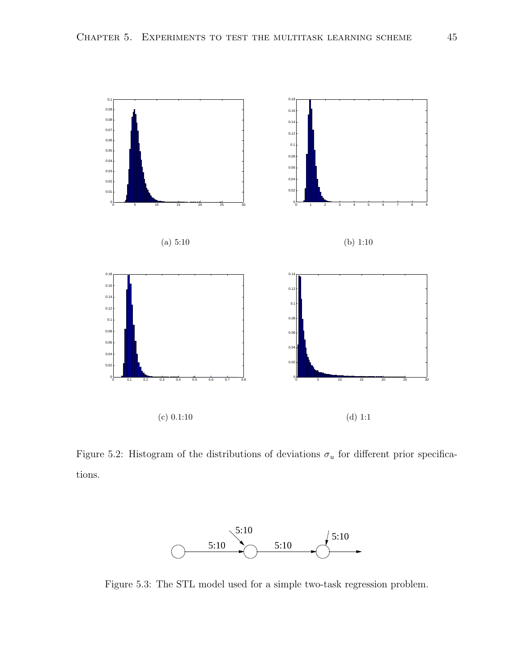

Figure 5.2: Histogram of the distributions of deviations  $\sigma_u$  for different prior specifications.



Figure 5.3: The STL model used for a simple two-task regression problem.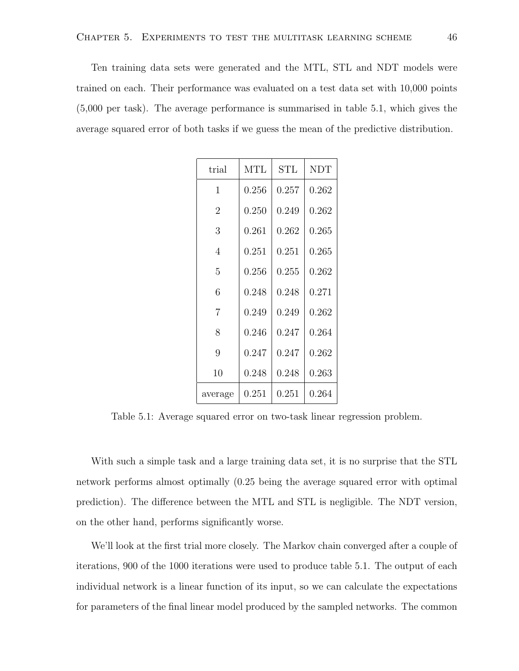Ten training data sets were generated and the MTL, STL and NDT models were trained on each. Their performance was evaluated on a test data set with 10,000 points (5,000 per task). The average performance is summarised in table 5.1, which gives the average squared error of both tasks if we guess the mean of the predictive distribution.

| trial          | MTL       | $\operatorname{STL}$ | <b>NDT</b> |
|----------------|-----------|----------------------|------------|
| 1              | 0.256     | 0.257                | 0.262      |
| $\overline{2}$ | 0.250     | 0.249                | 0.262      |
| 3              | 0.261     | 0.262                | 0.265      |
| 4              | 0.251     | 0.251                | 0.265      |
| 5              | 0.256     | 0.255                | 0.262      |
| 6              | 0.248     | 0.248                | 0.271      |
| 7              | 0.249     | 0.249                | 0.262      |
| 8              | 0.246     | 0.247                | 0.264      |
| 9              | 0.247     | 0.247                | 0.262      |
| 10             | 0.248     | 0.248                | 0.263      |
| average        | $0.251\,$ | $\rm 0.251$          | 0.264      |

Table 5.1: Average squared error on two-task linear regression problem.

With such a simple task and a large training data set, it is no surprise that the STL network performs almost optimally (0.25 being the average squared error with optimal prediction). The difference between the MTL and STL is negligible. The NDT version, on the other hand, performs significantly worse.

We'll look at the first trial more closely. The Markov chain converged after a couple of iterations, 900 of the 1000 iterations were used to produce table 5.1. The output of each individual network is a linear function of its input, so we can calculate the expectations for parameters of the final linear model produced by the sampled networks. The common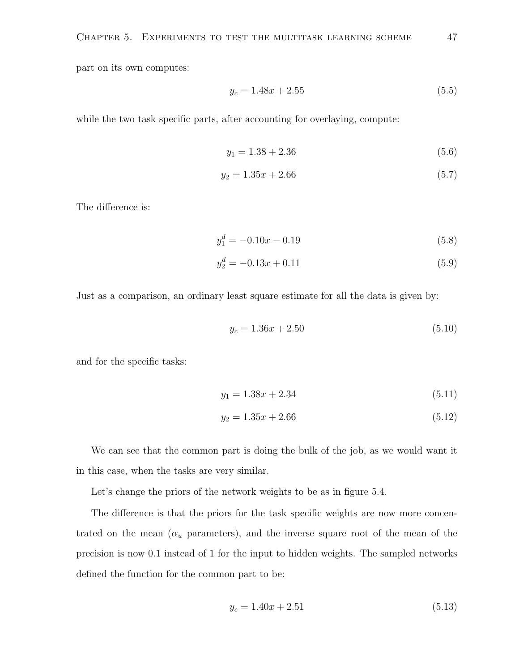part on its own computes:

$$
y_c = 1.48x + 2.55\tag{5.5}
$$

while the two task specific parts, after accounting for overlaying, compute:

$$
y_1 = 1.38 + 2.36 \tag{5.6}
$$

$$
y_2 = 1.35x + 2.66\tag{5.7}
$$

The difference is:

$$
y_1^d = -0.10x - 0.19\tag{5.8}
$$

$$
y_2^d = -0.13x + 0.11\tag{5.9}
$$

Just as a comparison, an ordinary least square estimate for all the data is given by:

$$
y_c = 1.36x + 2.50\tag{5.10}
$$

and for the specific tasks:

$$
y_1 = 1.38x + 2.34\tag{5.11}
$$

$$
y_2 = 1.35x + 2.66\tag{5.12}
$$

We can see that the common part is doing the bulk of the job, as we would want it in this case, when the tasks are very similar.

Let's change the priors of the network weights to be as in figure 5.4.

The difference is that the priors for the task specific weights are now more concentrated on the mean  $(\alpha_u$  parameters), and the inverse square root of the mean of the precision is now 0.1 instead of 1 for the input to hidden weights. The sampled networks defined the function for the common part to be:

$$
y_c = 1.40x + 2.51\tag{5.13}
$$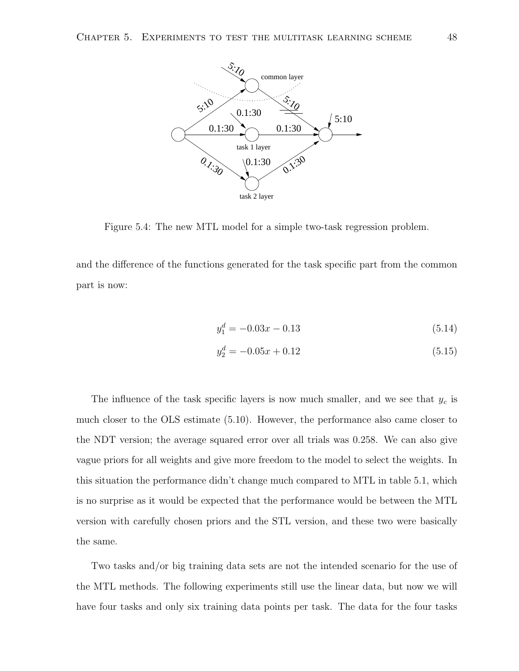

Figure 5.4: The new MTL model for a simple two-task regression problem.

and the difference of the functions generated for the task specific part from the common part is now:

$$
y_1^d = -0.03x - 0.13\tag{5.14}
$$

$$
y_2^d = -0.05x + 0.12\tag{5.15}
$$

The influence of the task specific layers is now much smaller, and we see that  $y_c$  is much closer to the OLS estimate (5.10). However, the performance also came closer to the NDT version; the average squared error over all trials was 0.258. We can also give vague priors for all weights and give more freedom to the model to select the weights. In this situation the performance didn't change much compared to MTL in table 5.1, which is no surprise as it would be expected that the performance would be between the MTL version with carefully chosen priors and the STL version, and these two were basically the same.

Two tasks and/or big training data sets are not the intended scenario for the use of the MTL methods. The following experiments still use the linear data, but now we will have four tasks and only six training data points per task. The data for the four tasks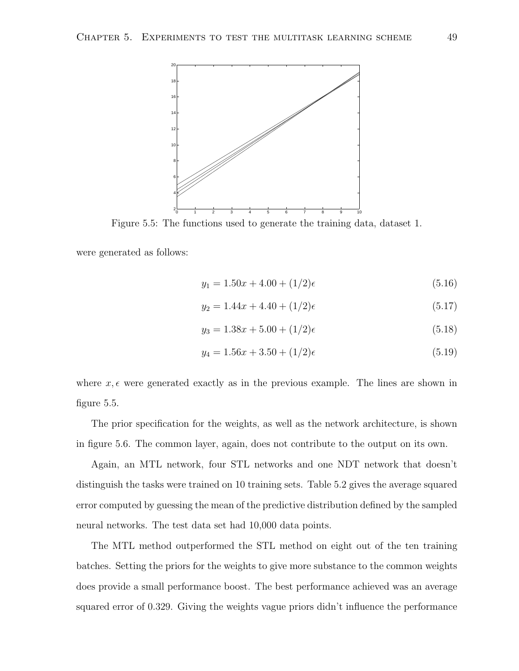

Figure 5.5: The functions used to generate the training data, dataset 1.

were generated as follows:

$$
y_1 = 1.50x + 4.00 + (1/2)\epsilon \tag{5.16}
$$

$$
y_2 = 1.44x + 4.40 + (1/2)\epsilon \tag{5.17}
$$

$$
y_3 = 1.38x + 5.00 + (1/2)\epsilon \tag{5.18}
$$

$$
y_4 = 1.56x + 3.50 + (1/2)\epsilon \tag{5.19}
$$

where  $x, \epsilon$  were generated exactly as in the previous example. The lines are shown in figure 5.5.

The prior specification for the weights, as well as the network architecture, is shown in figure 5.6. The common layer, again, does not contribute to the output on its own.

Again, an MTL network, four STL networks and one NDT network that doesn't distinguish the tasks were trained on 10 training sets. Table 5.2 gives the average squared error computed by guessing the mean of the predictive distribution defined by the sampled neural networks. The test data set had 10,000 data points.

The MTL method outperformed the STL method on eight out of the ten training batches. Setting the priors for the weights to give more substance to the common weights does provide a small performance boost. The best performance achieved was an average squared error of 0.329. Giving the weights vague priors didn't influence the performance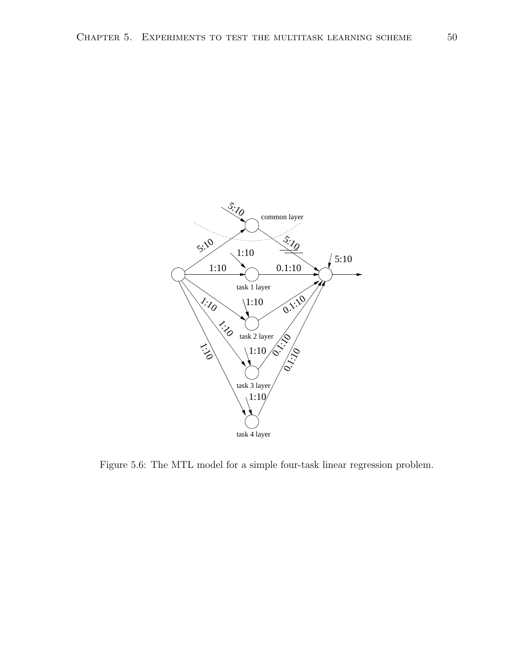

Figure 5.6: The MTL model for a simple four-task linear regression problem.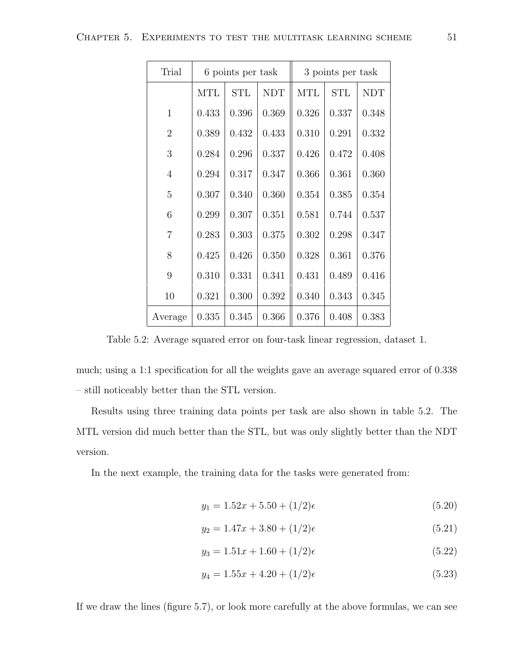| Trial          | 6 points per task |            |            | 3 points per task |            |            |
|----------------|-------------------|------------|------------|-------------------|------------|------------|
|                | <b>MTL</b>        | <b>STL</b> | <b>NDT</b> | <b>MTL</b>        | <b>STL</b> | <b>NDT</b> |
| $\mathbf{1}$   | 0.433             | 0.396      | 0.369      | 0.326             | 0.337      | 0.348      |
| $\overline{2}$ | 0.389             | 0.432      | 0.433      | 0.310             | 0.291      | 0.332      |
| 3              | 0.284             | 0.296      | 0.337      | 0.426             | 0.472      | 0.408      |
| $\overline{4}$ | 0.294             | 0.317      | 0.347      | 0.366             | 0.361      | 0.360      |
| 5              | 0.307             | 0.340      | 0.360      | 0.354             | 0.385      | 0.354      |
| 6              | 0.299             | 0.307      | 0.351      | 0.581             | 0.744      | 0.537      |
| $\overline{7}$ | 0.283             | 0.303      | 0.375      | 0.302             | 0.298      | 0.347      |
| 8              | 0.425             | 0.426      | 0.350      | 0.328             | 0.361      | 0.376      |
| 9              | 0.310             | 0.331      | 0.341      | 0.431             | 0.489      | 0.416      |
| 10             | 0.321             | 0.300      | 0.392      | 0.340             | 0.343      | 0.345      |
| Average        | 0.335             | 0.345      | 0.366      | 0.376             | 0.408      | 0.383      |

Table 5.2: Average squared error on four-task linear regression, dataset 1.

much; using a 1:1 specification for all the weights gave an average squared error of 0.338 – still noticeably better than the STL version.

Results using three training data points per task are also shown in table 5.2. The MTL version did much better than the STL, but was only slightly better than the NDT version.

In the next example, the training data for the tasks were generated from:

$$
y_1 = 1.52x + 5.50 + (1/2)\epsilon \tag{5.20}
$$

$$
y_2 = 1.47x + 3.80 + (1/2)\epsilon \tag{5.21}
$$

$$
y_3 = 1.51x + 1.60 + (1/2)\epsilon \tag{5.22}
$$

$$
y_4 = 1.55x + 4.20 + (1/2)\epsilon \tag{5.23}
$$

If we draw the lines (figure 5.7), or look more carefully at the above formulas, we can see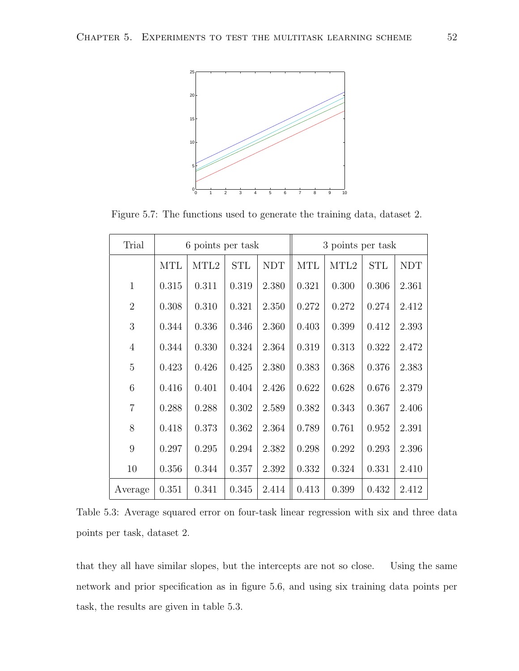

Figure 5.7: The functions used to generate the training data, dataset 2.

| Trial          | 6 points per task |                  |            |            | 3 points per task |                  |            |            |
|----------------|-------------------|------------------|------------|------------|-------------------|------------------|------------|------------|
|                | <b>MTL</b>        | MTL <sub>2</sub> | <b>STL</b> | <b>NDT</b> | <b>MTL</b>        | MTL <sub>2</sub> | <b>STL</b> | <b>NDT</b> |
| $\mathbf{1}$   | 0.315             | 0.311            | 0.319      | 2.380      | 0.321             | 0.300            | 0.306      | 2.361      |
| $\overline{2}$ | 0.308             | 0.310            | 0.321      | 2.350      | 0.272             | 0.272            | 0.274      | 2.412      |
| 3              | 0.344             | 0.336            | 0.346      | 2.360      | 0.403             | 0.399            | 0.412      | 2.393      |
| $\overline{4}$ | 0.344             | 0.330            | 0.324      | 2.364      | 0.319             | 0.313            | 0.322      | 2.472      |
| 5              | 0.423             | 0.426            | 0.425      | 2.380      | 0.383             | 0.368            | 0.376      | 2.383      |
| 6              | 0.416             | 0.401            | 0.404      | 2.426      | 0.622             | 0.628            | 0.676      | 2.379      |
| $\overline{7}$ | 0.288             | 0.288            | 0.302      | 2.589      | 0.382             | 0.343            | 0.367      | 2.406      |
| 8              | 0.418             | 0.373            | 0.362      | 2.364      | 0.789             | 0.761            | 0.952      | 2.391      |
| 9              | 0.297             | 0.295            | 0.294      | 2.382      | 0.298             | 0.292            | 0.293      | 2.396      |
| 10             | 0.356             | 0.344            | 0.357      | 2.392      | 0.332             | 0.324            | 0.331      | 2.410      |
| Average        | 0.351             | 0.341            | 0.345      | 2.414      | 0.413             | 0.399            | 0.432      | 2.412      |

Table 5.3: Average squared error on four-task linear regression with six and three data points per task, dataset 2.

that they all have similar slopes, but the intercepts are not so close. Using the same network and prior specification as in figure 5.6, and using six training data points per task, the results are given in table 5.3.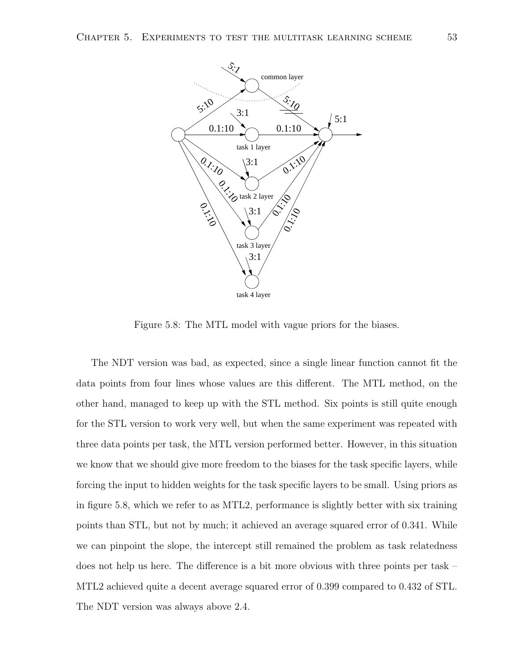

Figure 5.8: The MTL model with vague priors for the biases.

The NDT version was bad, as expected, since a single linear function cannot fit the data points from four lines whose values are this different. The MTL method, on the other hand, managed to keep up with the STL method. Six points is still quite enough for the STL version to work very well, but when the same experiment was repeated with three data points per task, the MTL version performed better. However, in this situation we know that we should give more freedom to the biases for the task specific layers, while forcing the input to hidden weights for the task specific layers to be small. Using priors as in figure 5.8, which we refer to as MTL2, performance is slightly better with six training points than STL, but not by much; it achieved an average squared error of 0.341. While we can pinpoint the slope, the intercept still remained the problem as task relatedness does not help us here. The difference is a bit more obvious with three points per task – MTL2 achieved quite a decent average squared error of 0.399 compared to 0.432 of STL. The NDT version was always above 2.4.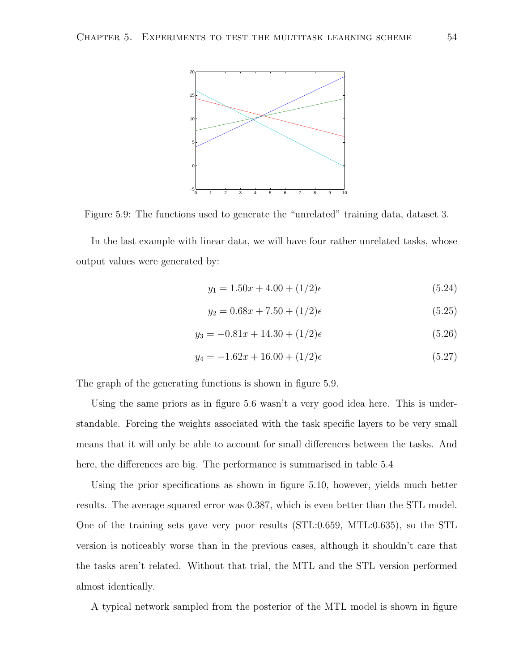

Figure 5.9: The functions used to generate the "unrelated" training data, dataset 3.

In the last example with linear data, we will have four rather unrelated tasks, whose output values were generated by:

$$
y_1 = 1.50x + 4.00 + (1/2)\epsilon \tag{5.24}
$$

$$
y_2 = 0.68x + 7.50 + (1/2)\epsilon \tag{5.25}
$$

$$
y_3 = -0.81x + 14.30 + (1/2)\epsilon \tag{5.26}
$$

$$
y_4 = -1.62x + 16.00 + (1/2)\epsilon \tag{5.27}
$$

The graph of the generating functions is shown in figure 5.9.

Using the same priors as in figure 5.6 wasn't a very good idea here. This is understandable. Forcing the weights associated with the task specific layers to be very small means that it will only be able to account for small differences between the tasks. And here, the differences are big. The performance is summarised in table 5.4

Using the prior specifications as shown in figure 5.10, however, yields much better results. The average squared error was 0.387, which is even better than the STL model. One of the training sets gave very poor results (STL:0.659, MTL:0.635), so the STL version is noticeably worse than in the previous cases, although it shouldn't care that the tasks aren't related. Without that trial, the MTL and the STL version performed almost identically.

A typical network sampled from the posterior of the MTL model is shown in figure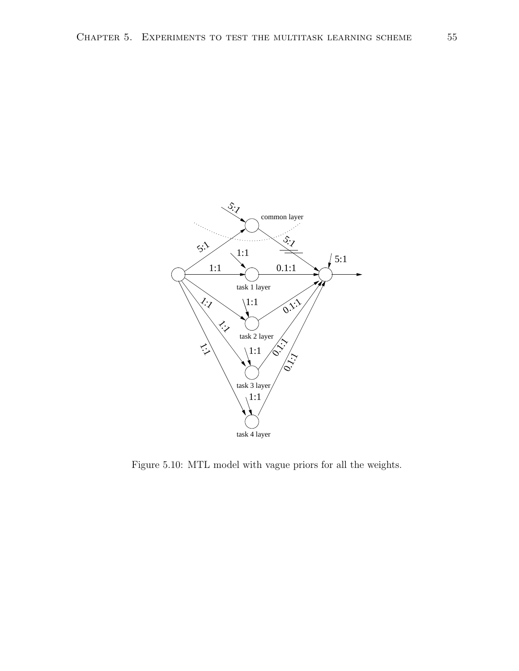

Figure 5.10: MTL model with vague priors for all the weights.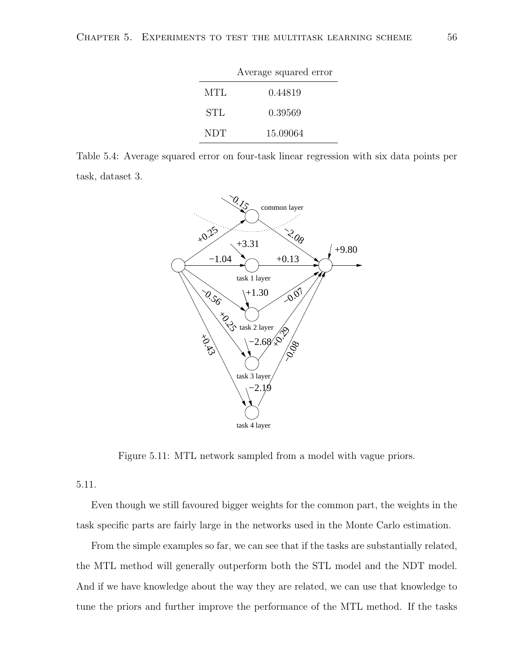|     | Average squared error |
|-----|-----------------------|
| MTL | 0.44819               |
| STL | 0.39569               |
| NDT | 15.09064              |

Table 5.4: Average squared error on four-task linear regression with six data points per task, dataset 3.



Figure 5.11: MTL network sampled from a model with vague priors.

5.11.

Even though we still favoured bigger weights for the common part, the weights in the task specific parts are fairly large in the networks used in the Monte Carlo estimation.

From the simple examples so far, we can see that if the tasks are substantially related, the MTL method will generally outperform both the STL model and the NDT model. And if we have knowledge about the way they are related, we can use that knowledge to tune the priors and further improve the performance of the MTL method. If the tasks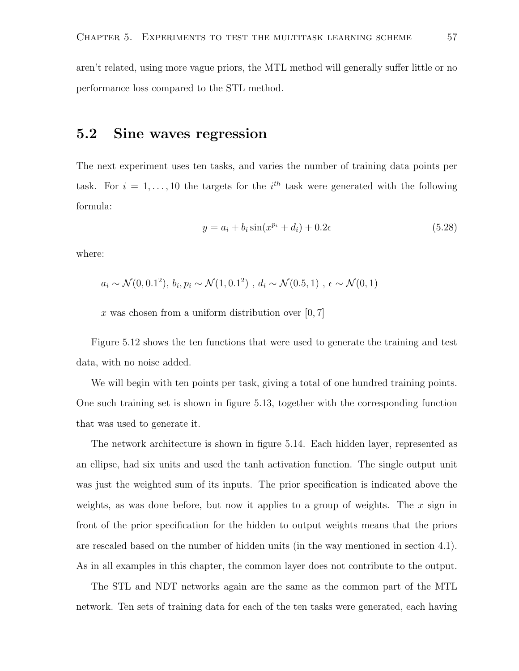aren't related, using more vague priors, the MTL method will generally suffer little or no performance loss compared to the STL method.

## 5.2 Sine waves regression

The next experiment uses ten tasks, and varies the number of training data points per task. For  $i = 1, \ldots, 10$  the targets for the  $i^{th}$  task were generated with the following formula:

$$
y = a_i + b_i \sin(x^{p_i} + d_i) + 0.2\epsilon
$$
 (5.28)

where:

$$
a_i \sim \mathcal{N}(0, 0.1^2), b_i, p_i \sim \mathcal{N}(1, 0.1^2), d_i \sim \mathcal{N}(0.5, 1), \epsilon \sim \mathcal{N}(0, 1)
$$

x was chosen from a uniform distribution over  $[0, 7]$ 

Figure 5.12 shows the ten functions that were used to generate the training and test data, with no noise added.

We will begin with ten points per task, giving a total of one hundred training points. One such training set is shown in figure 5.13, together with the corresponding function that was used to generate it.

The network architecture is shown in figure 5.14. Each hidden layer, represented as an ellipse, had six units and used the tanh activation function. The single output unit was just the weighted sum of its inputs. The prior specification is indicated above the weights, as was done before, but now it applies to a group of weights. The  $x$  sign in front of the prior specification for the hidden to output weights means that the priors are rescaled based on the number of hidden units (in the way mentioned in section 4.1). As in all examples in this chapter, the common layer does not contribute to the output.

The STL and NDT networks again are the same as the common part of the MTL network. Ten sets of training data for each of the ten tasks were generated, each having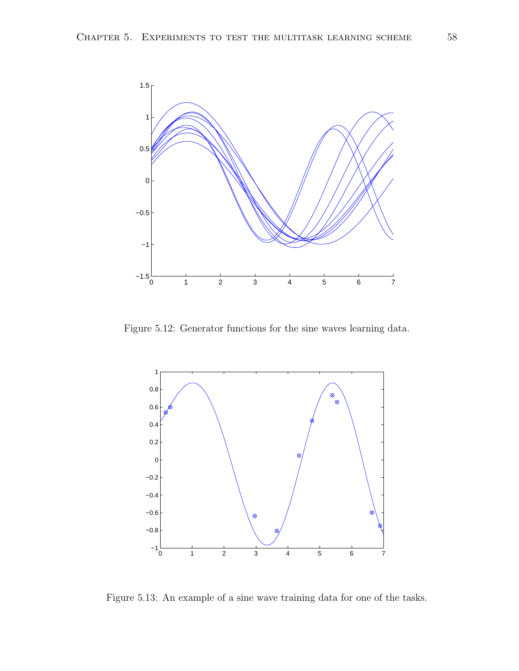

Figure 5.12: Generator functions for the sine waves learning data.



Figure 5.13: An example of a sine wave training data for one of the tasks.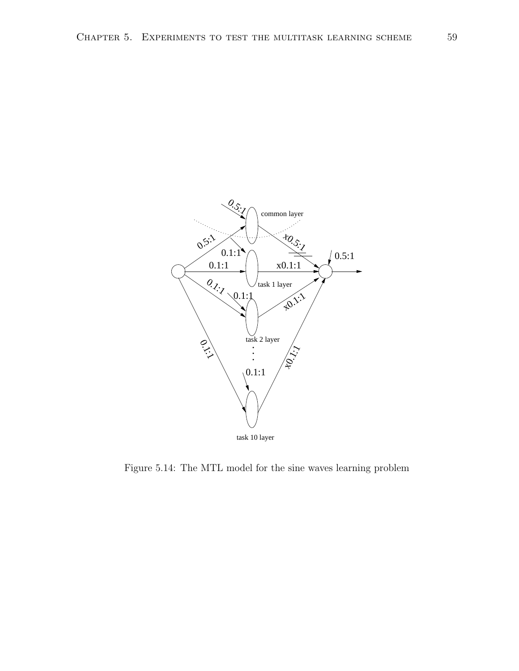

Figure 5.14: The MTL model for the sine waves learning problem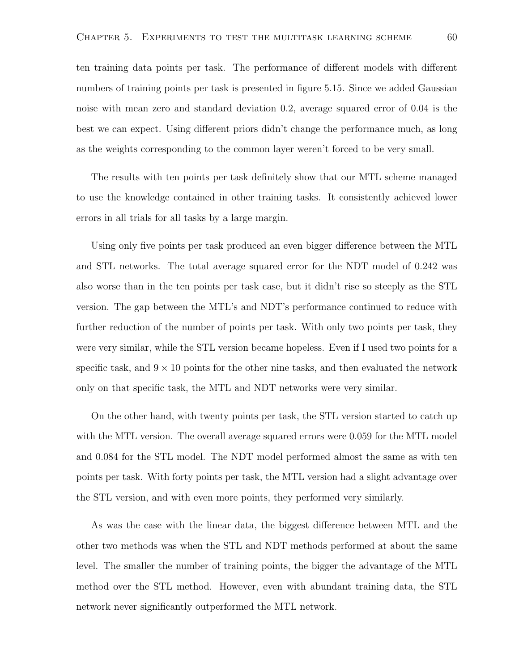ten training data points per task. The performance of different models with different numbers of training points per task is presented in figure 5.15. Since we added Gaussian noise with mean zero and standard deviation 0.2, average squared error of 0.04 is the best we can expect. Using different priors didn't change the performance much, as long as the weights corresponding to the common layer weren't forced to be very small.

The results with ten points per task definitely show that our MTL scheme managed to use the knowledge contained in other training tasks. It consistently achieved lower errors in all trials for all tasks by a large margin.

Using only five points per task produced an even bigger difference between the MTL and STL networks. The total average squared error for the NDT model of 0.242 was also worse than in the ten points per task case, but it didn't rise so steeply as the STL version. The gap between the MTL's and NDT's performance continued to reduce with further reduction of the number of points per task. With only two points per task, they were very similar, while the STL version became hopeless. Even if I used two points for a specific task, and  $9 \times 10$  points for the other nine tasks, and then evaluated the network only on that specific task, the MTL and NDT networks were very similar.

On the other hand, with twenty points per task, the STL version started to catch up with the MTL version. The overall average squared errors were 0.059 for the MTL model and 0.084 for the STL model. The NDT model performed almost the same as with ten points per task. With forty points per task, the MTL version had a slight advantage over the STL version, and with even more points, they performed very similarly.

As was the case with the linear data, the biggest difference between MTL and the other two methods was when the STL and NDT methods performed at about the same level. The smaller the number of training points, the bigger the advantage of the MTL method over the STL method. However, even with abundant training data, the STL network never significantly outperformed the MTL network.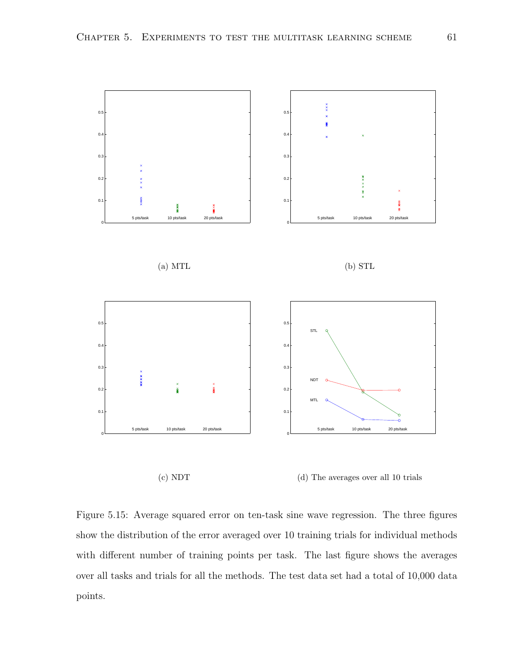

(d) The averages over all 10 trials

Figure 5.15: Average squared error on ten-task sine wave regression. The three figures show the distribution of the error averaged over 10 training trials for individual methods with different number of training points per task. The last figure shows the averages over all tasks and trials for all the methods. The test data set had a total of 10,000 data points.

(c) NDT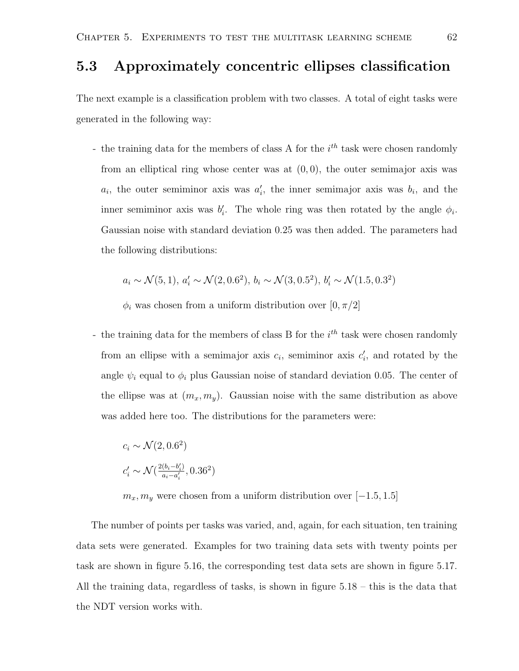### 5.3 Approximately concentric ellipses classification

The next example is a classification problem with two classes. A total of eight tasks were generated in the following way:

- the training data for the members of class A for the  $i<sup>th</sup>$  task were chosen randomly from an elliptical ring whose center was at  $(0, 0)$ , the outer semimajor axis was  $a_i$ , the outer semiminor axis was  $a'_i$ , the inner semimajor axis was  $b_i$ , and the inner semiminor axis was  $b'_i$ . The whole ring was then rotated by the angle  $\phi_i$ . Gaussian noise with standard deviation 0.25 was then added. The parameters had the following distributions:

$$
a_i \sim \mathcal{N}(5, 1), a'_i \sim \mathcal{N}(2, 0.6^2), b_i \sim \mathcal{N}(3, 0.5^2), b'_i \sim \mathcal{N}(1.5, 0.3^2)
$$

 $\phi_i$  was chosen from a uniform distribution over  $[0, \pi/2]$ 

- the training data for the members of class B for the  $i<sup>th</sup>$  task were chosen randomly from an ellipse with a semimajor axis  $c_i$ , semiminor axis  $c'_i$ , and rotated by the angle  $\psi_i$  equal to  $\phi_i$  plus Gaussian noise of standard deviation 0.05. The center of the ellipse was at  $(m_x, m_y)$ . Gaussian noise with the same distribution as above was added here too. The distributions for the parameters were:

$$
c_i \sim \mathcal{N}(2, 0.6^2)
$$
  

$$
c_i' \sim \mathcal{N}(\frac{2(b_i - b_i')}{a_i - a_i'}, 0.36^2)
$$

 $m_x, m_y$  were chosen from a uniform distribution over [−1.5, 1.5]

The number of points per tasks was varied, and, again, for each situation, ten training data sets were generated. Examples for two training data sets with twenty points per task are shown in figure 5.16, the corresponding test data sets are shown in figure 5.17. All the training data, regardless of tasks, is shown in figure 5.18 – this is the data that the NDT version works with.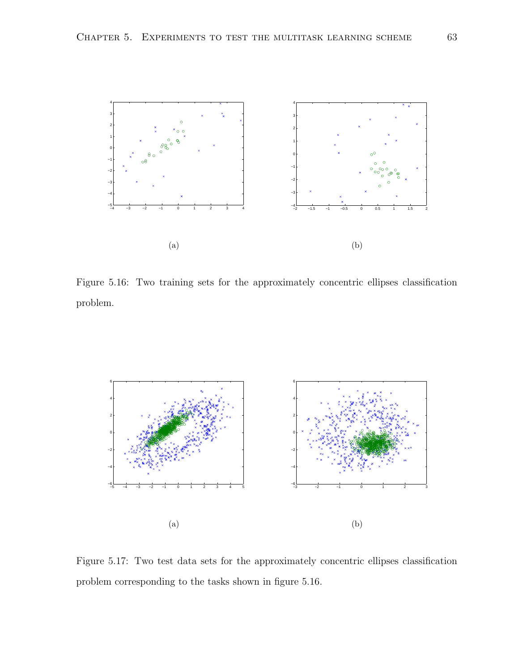

Figure 5.16: Two training sets for the approximately concentric ellipses classification problem.



Figure 5.17: Two test data sets for the approximately concentric ellipses classification problem corresponding to the tasks shown in figure 5.16.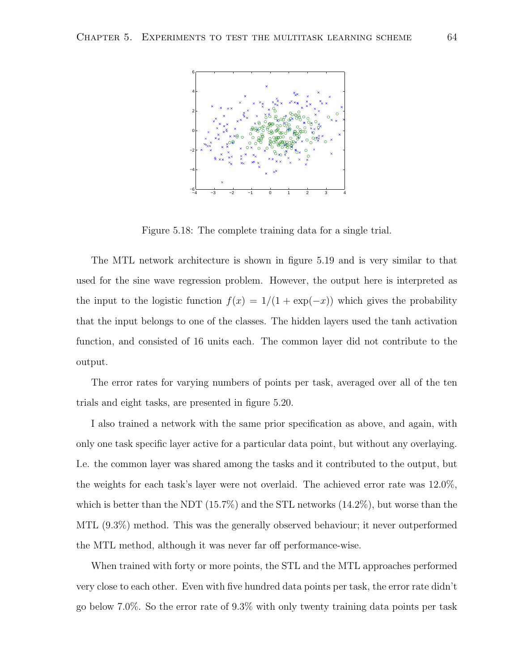

Figure 5.18: The complete training data for a single trial.

The MTL network architecture is shown in figure 5.19 and is very similar to that used for the sine wave regression problem. However, the output here is interpreted as the input to the logistic function  $f(x) = 1/(1 + \exp(-x))$  which gives the probability that the input belongs to one of the classes. The hidden layers used the tanh activation function, and consisted of 16 units each. The common layer did not contribute to the output.

The error rates for varying numbers of points per task, averaged over all of the ten trials and eight tasks, are presented in figure 5.20.

I also trained a network with the same prior specification as above, and again, with only one task specific layer active for a particular data point, but without any overlaying. I.e. the common layer was shared among the tasks and it contributed to the output, but the weights for each task's layer were not overlaid. The achieved error rate was 12.0%, which is better than the NDT (15.7%) and the STL networks (14.2%), but worse than the MTL (9.3%) method. This was the generally observed behaviour; it never outperformed the MTL method, although it was never far off performance-wise.

When trained with forty or more points, the STL and the MTL approaches performed very close to each other. Even with five hundred data points per task, the error rate didn't go below 7.0%. So the error rate of 9.3% with only twenty training data points per task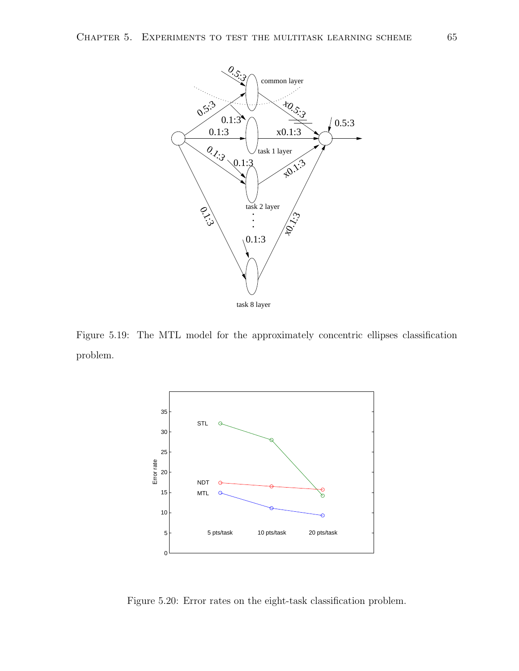

Figure 5.19: The MTL model for the approximately concentric ellipses classification problem.



Figure 5.20: Error rates on the eight-task classification problem.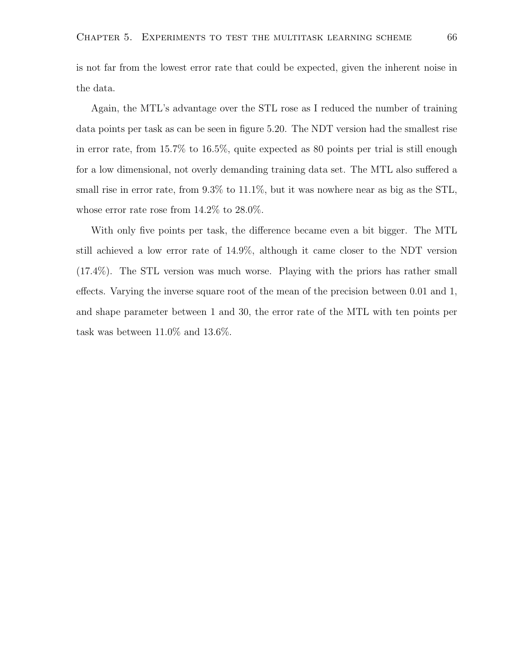is not far from the lowest error rate that could be expected, given the inherent noise in the data.

Again, the MTL's advantage over the STL rose as I reduced the number of training data points per task as can be seen in figure 5.20. The NDT version had the smallest rise in error rate, from 15.7% to 16.5%, quite expected as 80 points per trial is still enough for a low dimensional, not overly demanding training data set. The MTL also suffered a small rise in error rate, from 9.3% to 11.1%, but it was nowhere near as big as the STL, whose error rate rose from 14.2% to 28.0%.

With only five points per task, the difference became even a bit bigger. The MTL still achieved a low error rate of 14.9%, although it came closer to the NDT version (17.4%). The STL version was much worse. Playing with the priors has rather small effects. Varying the inverse square root of the mean of the precision between 0.01 and 1, and shape parameter between 1 and 30, the error rate of the MTL with ten points per task was between 11.0% and 13.6%.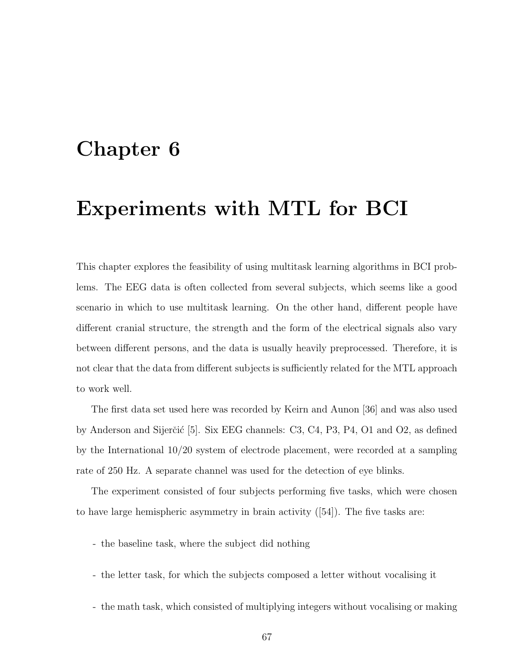### Chapter 6

### Experiments with MTL for BCI

This chapter explores the feasibility of using multitask learning algorithms in BCI problems. The EEG data is often collected from several subjects, which seems like a good scenario in which to use multitask learning. On the other hand, different people have different cranial structure, the strength and the form of the electrical signals also vary between different persons, and the data is usually heavily preprocessed. Therefore, it is not clear that the data from different subjects is sufficiently related for the MTL approach to work well.

The first data set used here was recorded by Keirn and Aunon [36] and was also used by Anderson and Sijerčić [5]. Six EEG channels:  $C3$ ,  $C4$ ,  $P3$ ,  $P4$ ,  $O1$  and  $O2$ , as defined by the International 10/20 system of electrode placement, were recorded at a sampling rate of 250 Hz. A separate channel was used for the detection of eye blinks.

The experiment consisted of four subjects performing five tasks, which were chosen to have large hemispheric asymmetry in brain activity ([54]). The five tasks are:

- the baseline task, where the subject did nothing
- the letter task, for which the subjects composed a letter without vocalising it
- the math task, which consisted of multiplying integers without vocalising or making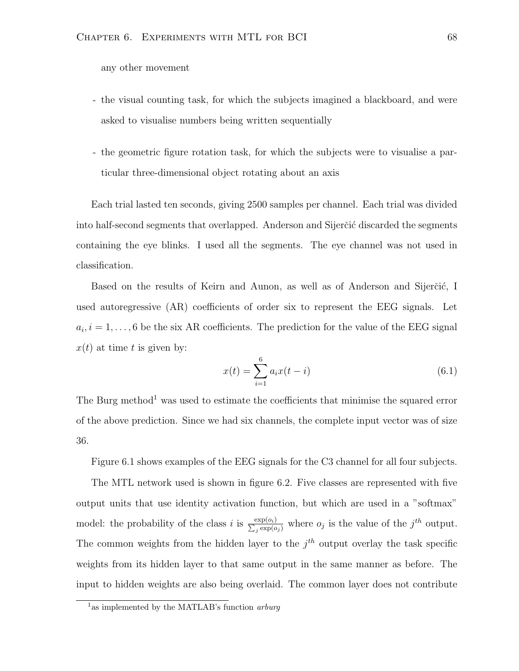any other movement

- the visual counting task, for which the subjects imagined a blackboard, and were asked to visualise numbers being written sequentially
- the geometric figure rotation task, for which the subjects were to visualise a particular three-dimensional object rotating about an axis

Each trial lasted ten seconds, giving 2500 samples per channel. Each trial was divided into half-second segments that overlapped. Anderson and Sijerčić discarded the segments containing the eye blinks. I used all the segments. The eye channel was not used in classification.

Based on the results of Keirn and Aunon, as well as of Anderson and Sijerčić, I used autoregressive (AR) coefficients of order six to represent the EEG signals. Let  $a_i, i = 1, \ldots, 6$  be the six AR coefficients. The prediction for the value of the EEG signal  $x(t)$  at time t is given by:

$$
x(t) = \sum_{i=1}^{6} a_i x(t - i)
$$
\n(6.1)

The Burg method<sup>1</sup> was used to estimate the coefficients that minimise the squared error of the above prediction. Since we had six channels, the complete input vector was of size 36.

Figure 6.1 shows examples of the EEG signals for the C3 channel for all four subjects.

The MTL network used is shown in figure 6.2. Five classes are represented with five output units that use identity activation function, but which are used in a "softmax" model: the probability of the class i is  $\frac{\exp(o_i)}{\sum_i \exp(o_i)}$  $\frac{\exp(o_i)}{j \exp(o_j)}$  where  $o_j$  is the value of the  $j^{th}$  output. The common weights from the hidden layer to the  $j<sup>th</sup>$  output overlay the task specific weights from its hidden layer to that same output in the same manner as before. The input to hidden weights are also being overlaid. The common layer does not contribute

<sup>&</sup>lt;sup>1</sup> as implemented by the MATLAB's function *arburg*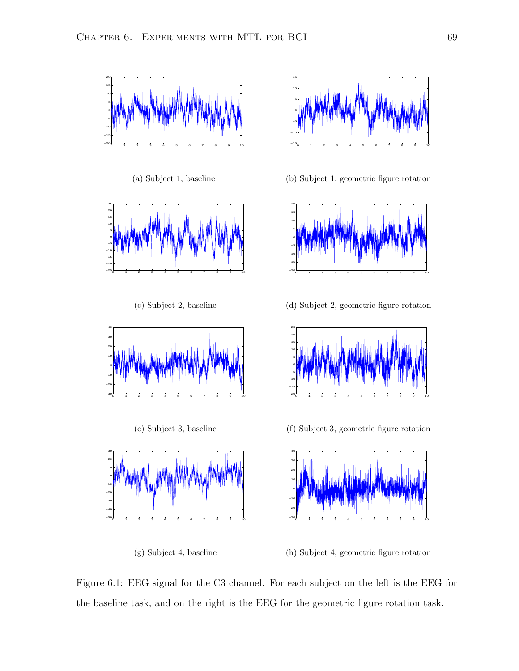

(a) Subject 1, baseline



(c) Subject 2, baseline



(e) Subject 3, baseline



(g) Subject 4, baseline



(b) Subject 1, geometric figure rotation



(d) Subject 2, geometric figure rotation



(f) Subject 3, geometric figure rotation



(h) Subject 4, geometric figure rotation

Figure 6.1: EEG signal for the C3 channel. For each subject on the left is the EEG for the baseline task, and on the right is the EEG for the geometric figure rotation task.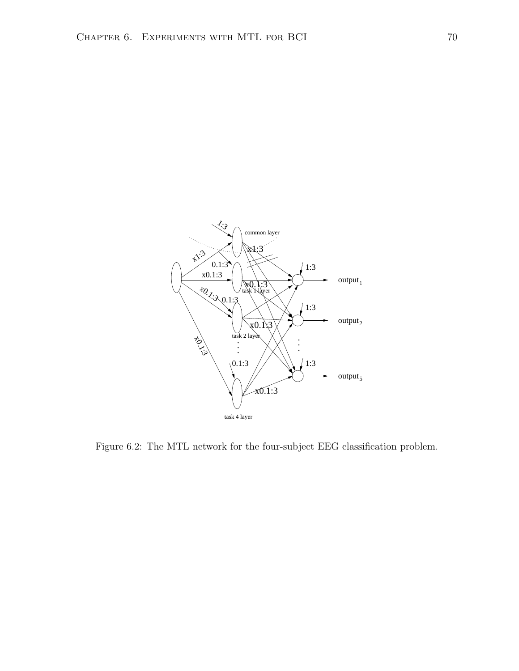

Figure 6.2: The MTL network for the four-subject EEG classification problem.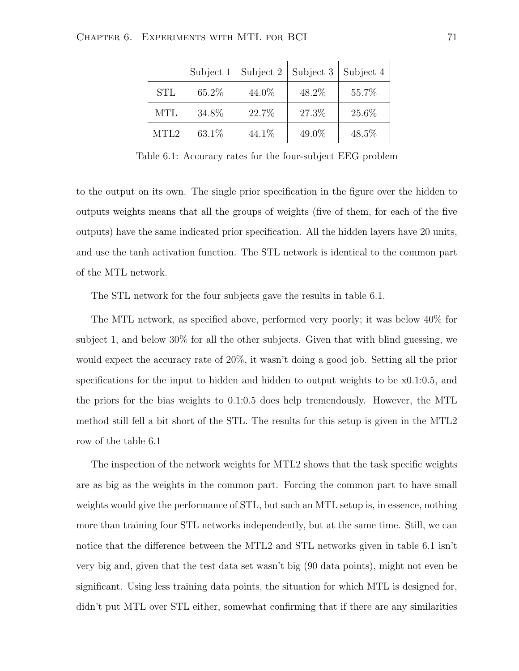|                  | Subject 1 | Subject 2 | Subject 3 | Subject 4 |
|------------------|-----------|-----------|-----------|-----------|
| <b>STL</b>       | 65.2%     | 44.0%     | 48.2%     | 55.7%     |
| <b>MTL</b>       | 34.8%     | 22.7%     | 27.3%     | 25.6%     |
| MTL <sub>2</sub> | 63.1\%    | 44.1\%    | 49.0%     | 48.5%     |

Table 6.1: Accuracy rates for the four-subject EEG problem

to the output on its own. The single prior specification in the figure over the hidden to outputs weights means that all the groups of weights (five of them, for each of the five outputs) have the same indicated prior specification. All the hidden layers have 20 units, and use the tanh activation function. The STL network is identical to the common part of the MTL network.

The STL network for the four subjects gave the results in table 6.1.

The MTL network, as specified above, performed very poorly; it was below 40% for subject 1, and below 30% for all the other subjects. Given that with blind guessing, we would expect the accuracy rate of 20%, it wasn't doing a good job. Setting all the prior specifications for the input to hidden and hidden to output weights to be x0.1:0.5, and the priors for the bias weights to 0.1:0.5 does help tremendously. However, the MTL method still fell a bit short of the STL. The results for this setup is given in the MTL2 row of the table 6.1

The inspection of the network weights for MTL2 shows that the task specific weights are as big as the weights in the common part. Forcing the common part to have small weights would give the performance of STL, but such an MTL setup is, in essence, nothing more than training four STL networks independently, but at the same time. Still, we can notice that the difference between the MTL2 and STL networks given in table 6.1 isn't very big and, given that the test data set wasn't big (90 data points), might not even be significant. Using less training data points, the situation for which MTL is designed for, didn't put MTL over STL either, somewhat confirming that if there are any similarities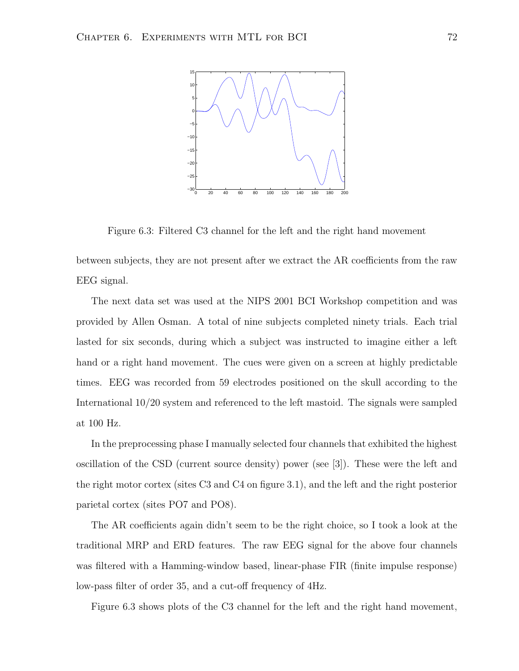

Figure 6.3: Filtered C3 channel for the left and the right hand movement

between subjects, they are not present after we extract the AR coefficients from the raw EEG signal.

The next data set was used at the NIPS 2001 BCI Workshop competition and was provided by Allen Osman. A total of nine subjects completed ninety trials. Each trial lasted for six seconds, during which a subject was instructed to imagine either a left hand or a right hand movement. The cues were given on a screen at highly predictable times. EEG was recorded from 59 electrodes positioned on the skull according to the International 10/20 system and referenced to the left mastoid. The signals were sampled at 100 Hz.

In the preprocessing phase I manually selected four channels that exhibited the highest oscillation of the CSD (current source density) power (see [3]). These were the left and the right motor cortex (sites C3 and C4 on figure 3.1), and the left and the right posterior parietal cortex (sites PO7 and PO8).

The AR coefficients again didn't seem to be the right choice, so I took a look at the traditional MRP and ERD features. The raw EEG signal for the above four channels was filtered with a Hamming-window based, linear-phase FIR (finite impulse response) low-pass filter of order 35, and a cut-off frequency of 4Hz.

Figure 6.3 shows plots of the C3 channel for the left and the right hand movement,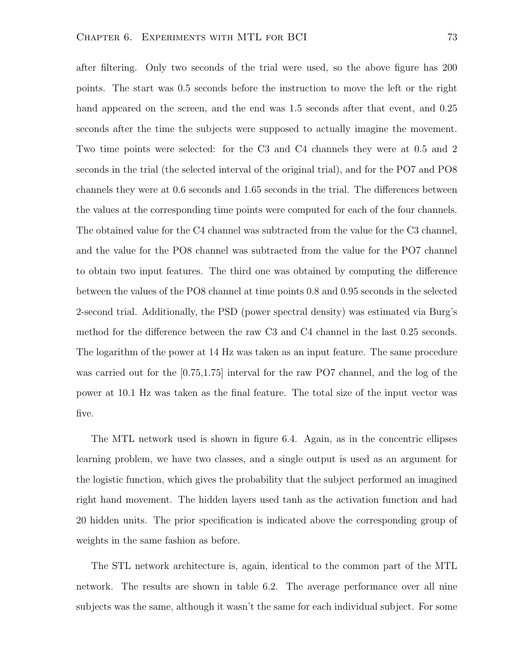after filtering. Only two seconds of the trial were used, so the above figure has 200 points. The start was 0.5 seconds before the instruction to move the left or the right hand appeared on the screen, and the end was 1.5 seconds after that event, and 0.25 seconds after the time the subjects were supposed to actually imagine the movement. Two time points were selected: for the C3 and C4 channels they were at 0.5 and 2 seconds in the trial (the selected interval of the original trial), and for the PO7 and PO8 channels they were at 0.6 seconds and 1.65 seconds in the trial. The differences between the values at the corresponding time points were computed for each of the four channels. The obtained value for the C4 channel was subtracted from the value for the C3 channel, and the value for the PO8 channel was subtracted from the value for the PO7 channel to obtain two input features. The third one was obtained by computing the difference between the values of the PO8 channel at time points 0.8 and 0.95 seconds in the selected 2-second trial. Additionally, the PSD (power spectral density) was estimated via Burg's method for the difference between the raw C3 and C4 channel in the last 0.25 seconds. The logarithm of the power at 14 Hz was taken as an input feature. The same procedure was carried out for the [0.75,1.75] interval for the raw PO7 channel, and the log of the power at 10.1 Hz was taken as the final feature. The total size of the input vector was five.

The MTL network used is shown in figure 6.4. Again, as in the concentric ellipses learning problem, we have two classes, and a single output is used as an argument for the logistic function, which gives the probability that the subject performed an imagined right hand movement. The hidden layers used tanh as the activation function and had 20 hidden units. The prior specification is indicated above the corresponding group of weights in the same fashion as before.

The STL network architecture is, again, identical to the common part of the MTL network. The results are shown in table 6.2. The average performance over all nine subjects was the same, although it wasn't the same for each individual subject. For some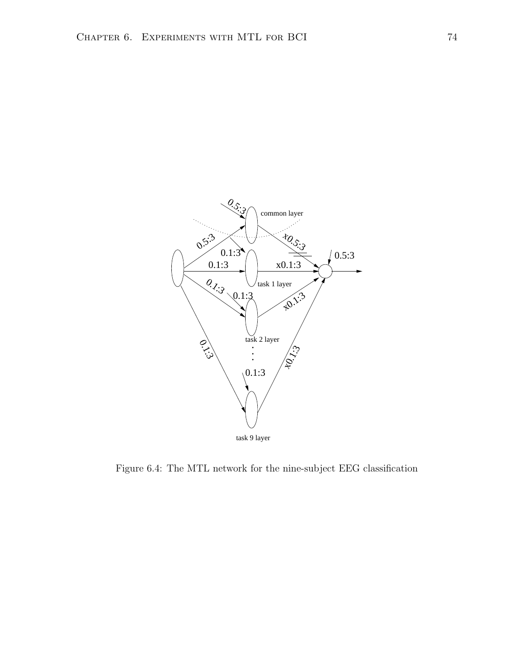

Figure 6.4: The MTL network for the nine-subject EEG classification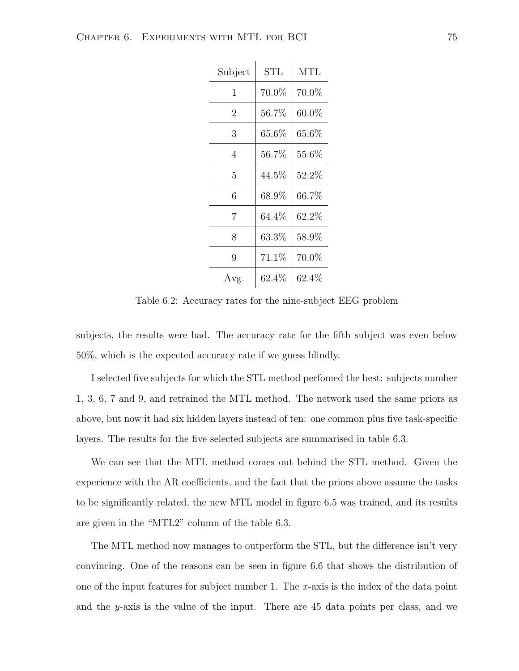| Subject        | <b>STL</b> | <b>MTL</b> |  |
|----------------|------------|------------|--|
| 1              | 70.0%      | 70.0%      |  |
| $\overline{2}$ | $56.7\%$   | $60.0\%$   |  |
| 3              | $65.6\%$   | $65.6\%$   |  |
| 4              | 56.7%      | $55.6\%$   |  |
| 5              | $44.5\%$   | $52.2\%$   |  |
| 6              | $68.9\%$   | $66.7\%$   |  |
| 7              | $64.4\%$   | $62.2\%$   |  |
| 8              | $63.3\%$   | $58.9\%$   |  |
| 9              | 71.1%      | 70.0%      |  |
| Avg.           | $62.4\%$   | $62.4\%$   |  |

Table 6.2: Accuracy rates for the nine-subject EEG problem

subjects, the results were bad. The accuracy rate for the fifth subject was even below 50%, which is the expected accuracy rate if we guess blindly.

I selected five subjects for which the STL method perfomed the best: subjects number 1, 3, 6, 7 and 9, and retrained the MTL method. The network used the same priors as above, but now it had six hidden layers instead of ten: one common plus five task-specific layers. The results for the five selected subjects are summarised in table 6.3.

We can see that the MTL method comes out behind the STL method. Given the experience with the AR coefficients, and the fact that the priors above assume the tasks to be significantly related, the new MTL model in figure 6.5 was trained, and its results are given in the "MTL2" column of the table 6.3.

The MTL method now manages to outperform the STL, but the difference isn't very convincing. One of the reasons can be seen in figure 6.6 that shows the distribution of one of the input features for subject number 1. The x-axis is the index of the data point and the y-axis is the value of the input. There are 45 data points per class, and we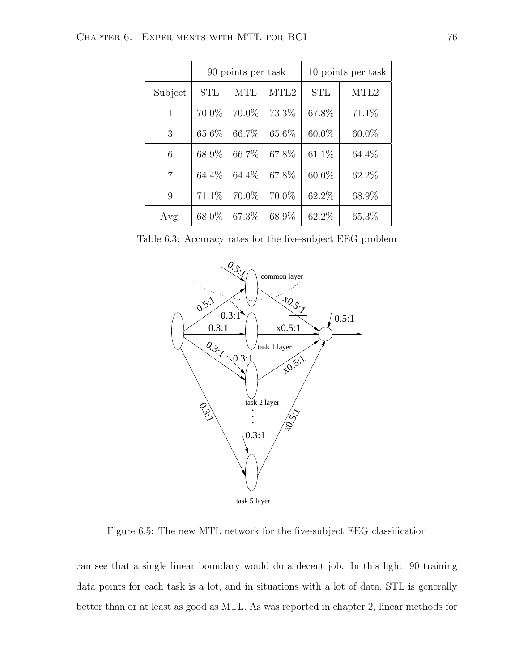|                | 90 points per task |            |                  | 10 points per task |                  |
|----------------|--------------------|------------|------------------|--------------------|------------------|
| Subject        | <b>STL</b>         | <b>MTL</b> | MTL <sub>2</sub> | <b>STL</b>         | MTL <sub>2</sub> |
| 1              | 70.0%              | 70.0%      | 73.3%            | 67.8%              | 71.1\%           |
| 3              | 65.6%              | 66.7%      | 65.6%            | $60.0\%$           | 60.0%            |
| 6              | 68.9%              | 66.7%      | 67.8%            | $61.1\%$           | 64.4\%           |
| $\overline{7}$ | 64.4%              | 64.4%      | 67.8%            | $60.0\%$           | 62.2%            |
| 9              | 71.1\%             | 70.0%      | 70.0%            | 62.2%              | 68.9%            |
| Avg.           | 68.0%              | 67.3%      | 68.9%            | 62.2\%             | 65.3%            |

Table 6.3: Accuracy rates for the five-subject EEG problem



Figure 6.5: The new MTL network for the five-subject EEG classification

can see that a single linear boundary would do a decent job. In this light, 90 training data points for each task is a lot, and in situations with a lot of data, STL is generally better than or at least as good as MTL. As was reported in chapter 2, linear methods for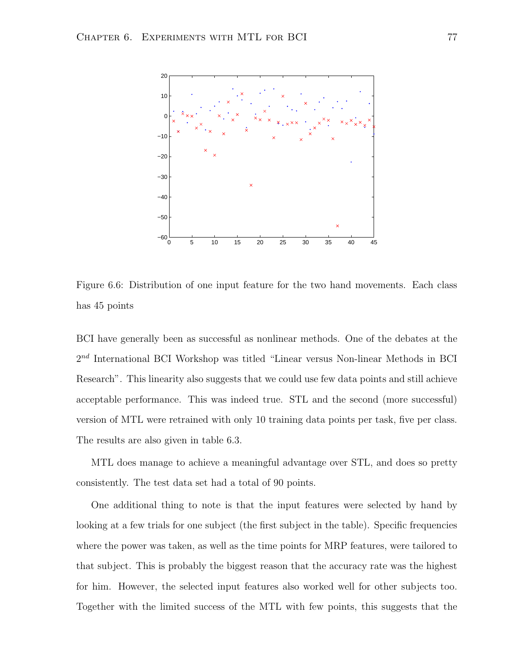

Figure 6.6: Distribution of one input feature for the two hand movements. Each class has 45 points

BCI have generally been as successful as nonlinear methods. One of the debates at the  $2^{nd}$  International BCI Workshop was titled "Linear versus Non-linear Methods in BCI Research". This linearity also suggests that we could use few data points and still achieve acceptable performance. This was indeed true. STL and the second (more successful) version of MTL were retrained with only 10 training data points per task, five per class. The results are also given in table 6.3.

MTL does manage to achieve a meaningful advantage over STL, and does so pretty consistently. The test data set had a total of 90 points.

One additional thing to note is that the input features were selected by hand by looking at a few trials for one subject (the first subject in the table). Specific frequencies where the power was taken, as well as the time points for MRP features, were tailored to that subject. This is probably the biggest reason that the accuracy rate was the highest for him. However, the selected input features also worked well for other subjects too. Together with the limited success of the MTL with few points, this suggests that the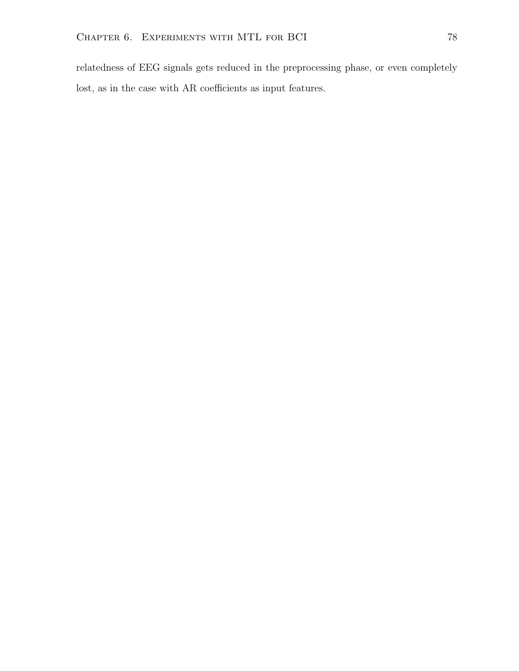relatedness of EEG signals gets reduced in the preprocessing phase, or even completely lost, as in the case with AR coefficients as input features.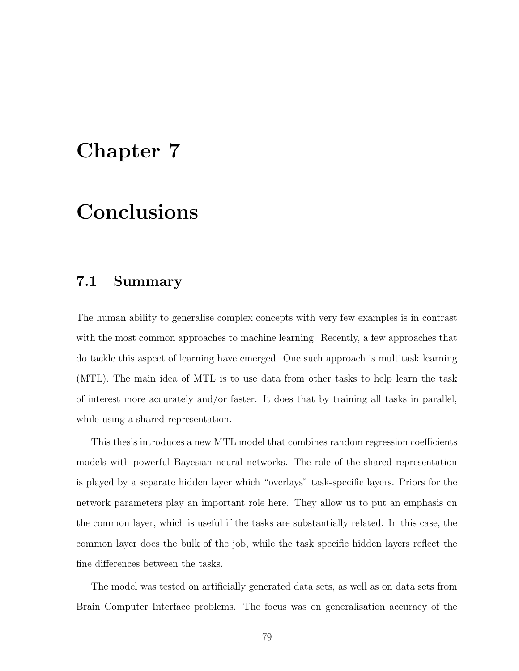## Chapter 7

## **Conclusions**

### 7.1 Summary

The human ability to generalise complex concepts with very few examples is in contrast with the most common approaches to machine learning. Recently, a few approaches that do tackle this aspect of learning have emerged. One such approach is multitask learning (MTL). The main idea of MTL is to use data from other tasks to help learn the task of interest more accurately and/or faster. It does that by training all tasks in parallel, while using a shared representation.

This thesis introduces a new MTL model that combines random regression coefficients models with powerful Bayesian neural networks. The role of the shared representation is played by a separate hidden layer which "overlays" task-specific layers. Priors for the network parameters play an important role here. They allow us to put an emphasis on the common layer, which is useful if the tasks are substantially related. In this case, the common layer does the bulk of the job, while the task specific hidden layers reflect the fine differences between the tasks.

The model was tested on artificially generated data sets, as well as on data sets from Brain Computer Interface problems. The focus was on generalisation accuracy of the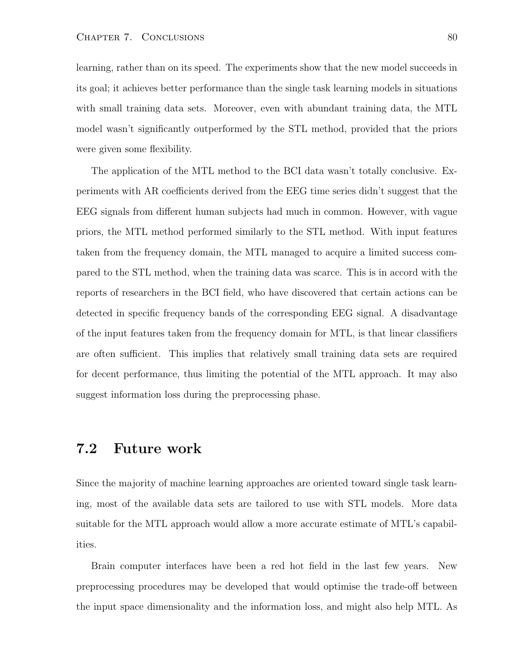learning, rather than on its speed. The experiments show that the new model succeeds in its goal; it achieves better performance than the single task learning models in situations with small training data sets. Moreover, even with abundant training data, the MTL model wasn't significantly outperformed by the STL method, provided that the priors were given some flexibility.

The application of the MTL method to the BCI data wasn't totally conclusive. Experiments with AR coefficients derived from the EEG time series didn't suggest that the EEG signals from different human subjects had much in common. However, with vague priors, the MTL method performed similarly to the STL method. With input features taken from the frequency domain, the MTL managed to acquire a limited success compared to the STL method, when the training data was scarce. This is in accord with the reports of researchers in the BCI field, who have discovered that certain actions can be detected in specific frequency bands of the corresponding EEG signal. A disadvantage of the input features taken from the frequency domain for MTL, is that linear classifiers are often sufficient. This implies that relatively small training data sets are required for decent performance, thus limiting the potential of the MTL approach. It may also suggest information loss during the preprocessing phase.

### 7.2 Future work

Since the majority of machine learning approaches are oriented toward single task learning, most of the available data sets are tailored to use with STL models. More data suitable for the MTL approach would allow a more accurate estimate of MTL's capabilities.

Brain computer interfaces have been a red hot field in the last few years. New preprocessing procedures may be developed that would optimise the trade-off between the input space dimensionality and the information loss, and might also help MTL. As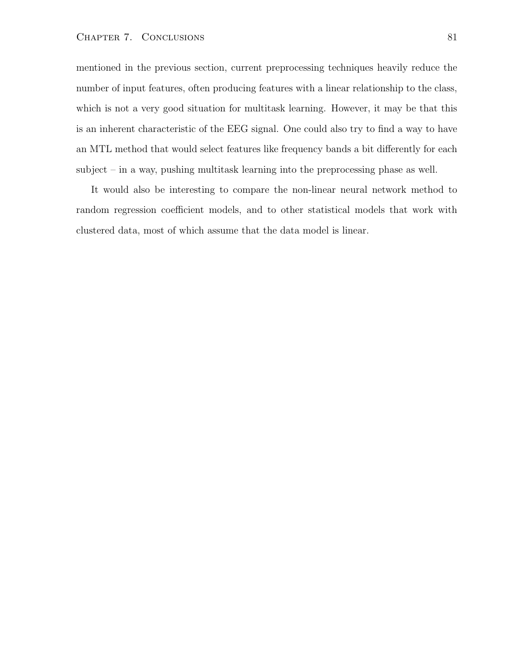#### CHAPTER 7. CONCLUSIONS 81

mentioned in the previous section, current preprocessing techniques heavily reduce the number of input features, often producing features with a linear relationship to the class, which is not a very good situation for multitask learning. However, it may be that this is an inherent characteristic of the EEG signal. One could also try to find a way to have an MTL method that would select features like frequency bands a bit differently for each subject – in a way, pushing multitask learning into the preprocessing phase as well.

It would also be interesting to compare the non-linear neural network method to random regression coefficient models, and to other statistical models that work with clustered data, most of which assume that the data model is linear.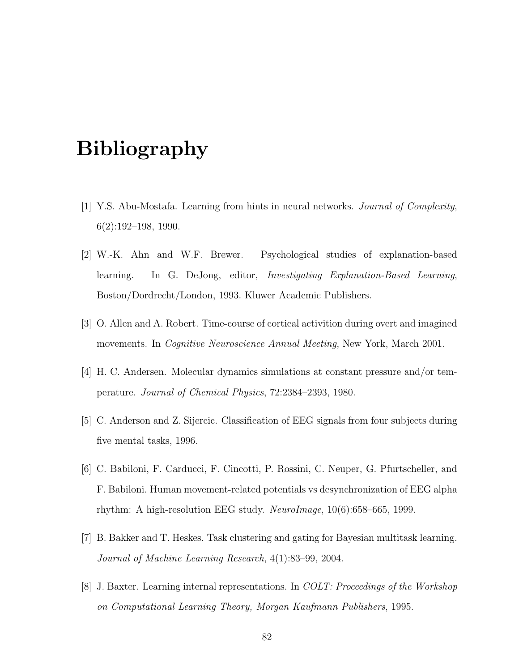# Bibliography

- [1] Y.S. Abu-Mostafa. Learning from hints in neural networks. Journal of Complexity, 6(2):192–198, 1990.
- [2] W.-K. Ahn and W.F. Brewer. Psychological studies of explanation-based learning. In G. DeJong, editor, Investigating Explanation-Based Learning, Boston/Dordrecht/London, 1993. Kluwer Academic Publishers.
- [3] O. Allen and A. Robert. Time-course of cortical activition during overt and imagined movements. In Cognitive Neuroscience Annual Meeting, New York, March 2001.
- [4] H. C. Andersen. Molecular dynamics simulations at constant pressure and/or temperature. Journal of Chemical Physics, 72:2384–2393, 1980.
- [5] C. Anderson and Z. Sijercic. Classification of EEG signals from four subjects during five mental tasks, 1996.
- [6] C. Babiloni, F. Carducci, F. Cincotti, P. Rossini, C. Neuper, G. Pfurtscheller, and F. Babiloni. Human movement-related potentials vs desynchronization of EEG alpha rhythm: A high-resolution EEG study. NeuroImage, 10(6):658–665, 1999.
- [7] B. Bakker and T. Heskes. Task clustering and gating for Bayesian multitask learning. Journal of Machine Learning Research, 4(1):83–99, 2004.
- [8] J. Baxter. Learning internal representations. In COLT: Proceedings of the Workshop on Computational Learning Theory, Morgan Kaufmann Publishers, 1995.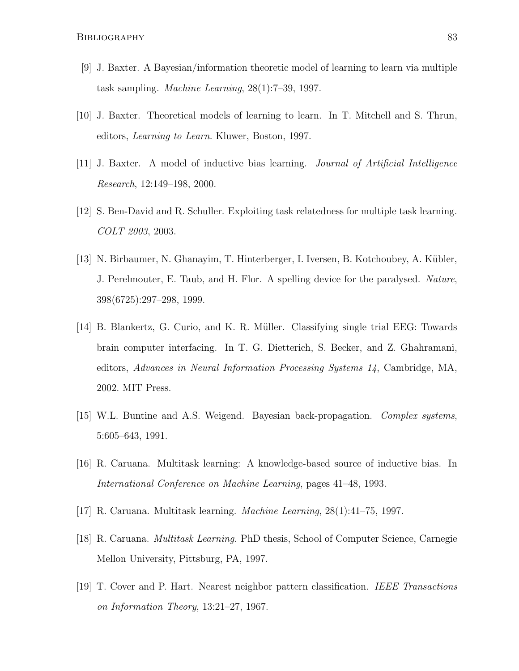- [9] J. Baxter. A Bayesian/information theoretic model of learning to learn via multiple task sampling. Machine Learning, 28(1):7–39, 1997.
- [10] J. Baxter. Theoretical models of learning to learn. In T. Mitchell and S. Thrun, editors, Learning to Learn. Kluwer, Boston, 1997.
- [11] J. Baxter. A model of inductive bias learning. Journal of Artificial Intelligence Research, 12:149–198, 2000.
- [12] S. Ben-David and R. Schuller. Exploiting task relatedness for multiple task learning. COLT 2003, 2003.
- [13] N. Birbaumer, N. Ghanayim, T. Hinterberger, I. Iversen, B. Kotchoubey, A. Kubler, ¨ J. Perelmouter, E. Taub, and H. Flor. A spelling device for the paralysed. Nature, 398(6725):297–298, 1999.
- [14] B. Blankertz, G. Curio, and K. R. Müller. Classifying single trial EEG: Towards brain computer interfacing. In T. G. Dietterich, S. Becker, and Z. Ghahramani, editors, Advances in Neural Information Processing Systems 14, Cambridge, MA, 2002. MIT Press.
- [15] W.L. Buntine and A.S. Weigend. Bayesian back-propagation. Complex systems, 5:605–643, 1991.
- [16] R. Caruana. Multitask learning: A knowledge-based source of inductive bias. In International Conference on Machine Learning, pages 41–48, 1993.
- [17] R. Caruana. Multitask learning. Machine Learning, 28(1):41–75, 1997.
- [18] R. Caruana. Multitask Learning. PhD thesis, School of Computer Science, Carnegie Mellon University, Pittsburg, PA, 1997.
- [19] T. Cover and P. Hart. Nearest neighbor pattern classification. IEEE Transactions on Information Theory, 13:21–27, 1967.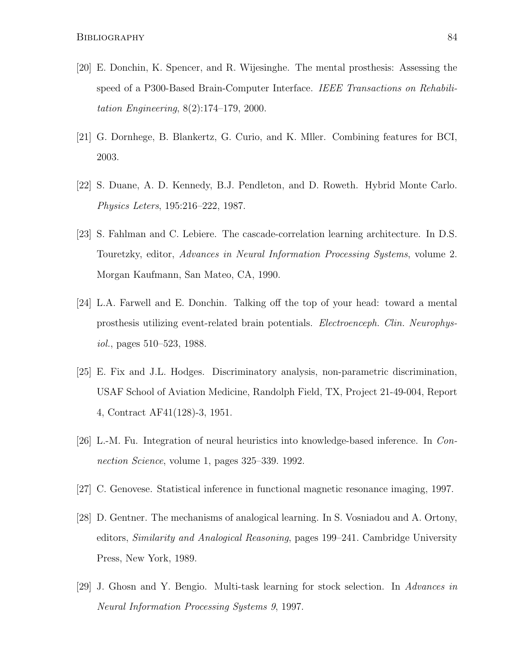- [20] E. Donchin, K. Spencer, and R. Wijesinghe. The mental prosthesis: Assessing the speed of a P300-Based Brain-Computer Interface. IEEE Transactions on Rehabilitation Engineering, 8(2):174–179, 2000.
- [21] G. Dornhege, B. Blankertz, G. Curio, and K. Mller. Combining features for BCI, 2003.
- [22] S. Duane, A. D. Kennedy, B.J. Pendleton, and D. Roweth. Hybrid Monte Carlo. Physics Leters, 195:216–222, 1987.
- [23] S. Fahlman and C. Lebiere. The cascade-correlation learning architecture. In D.S. Touretzky, editor, Advances in Neural Information Processing Systems, volume 2. Morgan Kaufmann, San Mateo, CA, 1990.
- [24] L.A. Farwell and E. Donchin. Talking off the top of your head: toward a mental prosthesis utilizing event-related brain potentials. Electroenceph. Clin. Neurophysiol., pages 510–523, 1988.
- [25] E. Fix and J.L. Hodges. Discriminatory analysis, non-parametric discrimination, USAF School of Aviation Medicine, Randolph Field, TX, Project 21-49-004, Report 4, Contract AF41(128)-3, 1951.
- [26] L.-M. Fu. Integration of neural heuristics into knowledge-based inference. In Connection Science, volume 1, pages 325–339. 1992.
- [27] C. Genovese. Statistical inference in functional magnetic resonance imaging, 1997.
- [28] D. Gentner. The mechanisms of analogical learning. In S. Vosniadou and A. Ortony, editors, Similarity and Analogical Reasoning, pages 199–241. Cambridge University Press, New York, 1989.
- [29] J. Ghosn and Y. Bengio. Multi-task learning for stock selection. In Advances in Neural Information Processing Systems 9, 1997.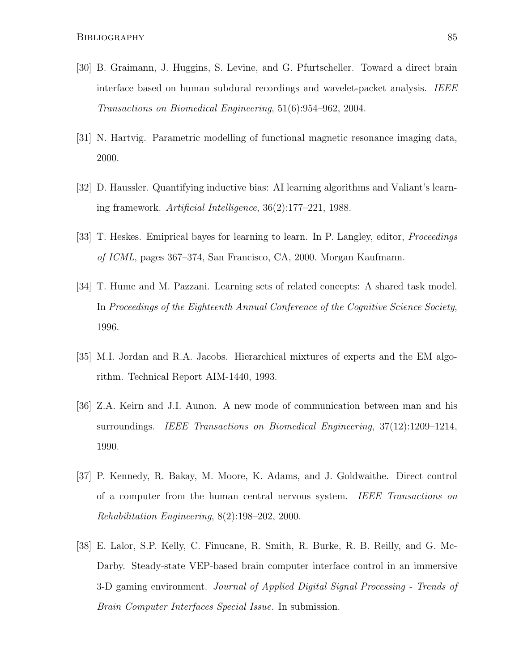- [30] B. Graimann, J. Huggins, S. Levine, and G. Pfurtscheller. Toward a direct brain interface based on human subdural recordings and wavelet-packet analysis. IEEE Transactions on Biomedical Engineering, 51(6):954–962, 2004.
- [31] N. Hartvig. Parametric modelling of functional magnetic resonance imaging data, 2000.
- [32] D. Haussler. Quantifying inductive bias: AI learning algorithms and Valiant's learning framework. Artificial Intelligence, 36(2):177–221, 1988.
- [33] T. Heskes. Emiprical bayes for learning to learn. In P. Langley, editor, Proceedings of ICML, pages 367–374, San Francisco, CA, 2000. Morgan Kaufmann.
- [34] T. Hume and M. Pazzani. Learning sets of related concepts: A shared task model. In Proceedings of the Eighteenth Annual Conference of the Cognitive Science Society, 1996.
- [35] M.I. Jordan and R.A. Jacobs. Hierarchical mixtures of experts and the EM algorithm. Technical Report AIM-1440, 1993.
- [36] Z.A. Keirn and J.I. Aunon. A new mode of communication between man and his surroundings. IEEE Transactions on Biomedical Engineering, 37(12):1209–1214, 1990.
- [37] P. Kennedy, R. Bakay, M. Moore, K. Adams, and J. Goldwaithe. Direct control of a computer from the human central nervous system. IEEE Transactions on Rehabilitation Engineering, 8(2):198–202, 2000.
- [38] E. Lalor, S.P. Kelly, C. Finucane, R. Smith, R. Burke, R. B. Reilly, and G. Mc-Darby. Steady-state VEP-based brain computer interface control in an immersive 3-D gaming environment. Journal of Applied Digital Signal Processing - Trends of Brain Computer Interfaces Special Issue. In submission.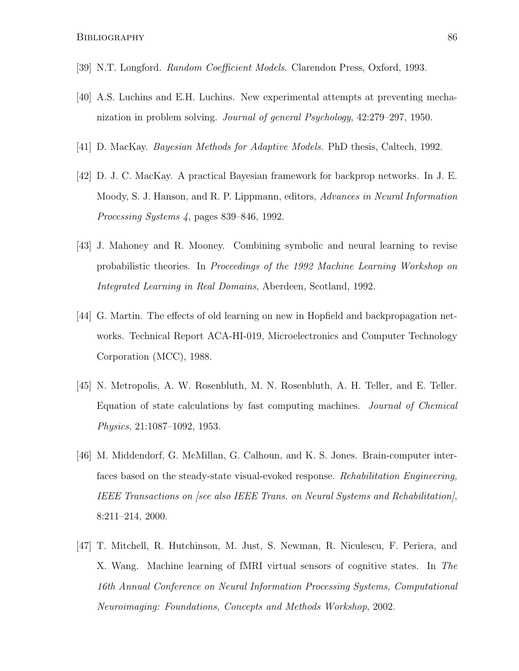- [39] N.T. Longford. Random Coefficient Models. Clarendon Press, Oxford, 1993.
- [40] A.S. Luchins and E.H. Luchins. New experimental attempts at preventing mechanization in problem solving. Journal of general Psychology, 42:279–297, 1950.
- [41] D. MacKay. Bayesian Methods for Adaptive Models. PhD thesis, Caltech, 1992.
- [42] D. J. C. MacKay. A practical Bayesian framework for backprop networks. In J. E. Moody, S. J. Hanson, and R. P. Lippmann, editors, Advances in Neural Information Processing Systems 4, pages 839–846, 1992.
- [43] J. Mahoney and R. Mooney. Combining symbolic and neural learning to revise probabilistic theories. In Proceedings of the 1992 Machine Learning Workshop on Integrated Learning in Real Domains, Aberdeen, Scotland, 1992.
- [44] G. Martin. The effects of old learning on new in Hopfield and backpropagation networks. Technical Report ACA-HI-019, Microelectronics and Computer Technology Corporation (MCC), 1988.
- [45] N. Metropolis, A. W. Rosenbluth, M. N. Rosenbluth, A. H. Teller, and E. Teller. Equation of state calculations by fast computing machines. Journal of Chemical Physics, 21:1087–1092, 1953.
- [46] M. Middendorf, G. McMillan, G. Calhoun, and K. S. Jones. Brain-computer interfaces based on the steady-state visual-evoked response. Rehabilitation Engineering, IEEE Transactions on [see also IEEE Trans. on Neural Systems and Rehabilitation], 8:211–214, 2000.
- [47] T. Mitchell, R. Hutchinson, M. Just, S. Newman, R. Niculescu, F. Periera, and X. Wang. Machine learning of fMRI virtual sensors of cognitive states. In The 16th Annual Conference on Neural Information Processing Systems, Computational Neuroimaging: Foundations, Concepts and Methods Workshop, 2002.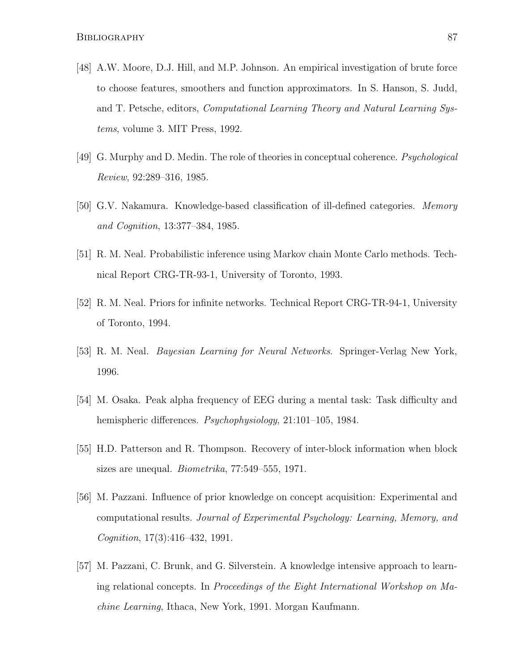- [48] A.W. Moore, D.J. Hill, and M.P. Johnson. An empirical investigation of brute force to choose features, smoothers and function approximators. In S. Hanson, S. Judd, and T. Petsche, editors, Computational Learning Theory and Natural Learning Systems, volume 3. MIT Press, 1992.
- [49] G. Murphy and D. Medin. The role of theories in conceptual coherence. Psychological Review, 92:289–316, 1985.
- [50] G.V. Nakamura. Knowledge-based classification of ill-defined categories. Memory and Cognition, 13:377–384, 1985.
- [51] R. M. Neal. Probabilistic inference using Markov chain Monte Carlo methods. Technical Report CRG-TR-93-1, University of Toronto, 1993.
- [52] R. M. Neal. Priors for infinite networks. Technical Report CRG-TR-94-1, University of Toronto, 1994.
- [53] R. M. Neal. Bayesian Learning for Neural Networks. Springer-Verlag New York, 1996.
- [54] M. Osaka. Peak alpha frequency of EEG during a mental task: Task difficulty and hemispheric differences. *Psychophysiology*, 21:101–105, 1984.
- [55] H.D. Patterson and R. Thompson. Recovery of inter-block information when block sizes are unequal. Biometrika, 77:549–555, 1971.
- [56] M. Pazzani. Influence of prior knowledge on concept acquisition: Experimental and computational results. Journal of Experimental Psychology: Learning, Memory, and Cognition, 17(3):416–432, 1991.
- [57] M. Pazzani, C. Brunk, and G. Silverstein. A knowledge intensive approach to learning relational concepts. In Proceedings of the Eight International Workshop on Machine Learning, Ithaca, New York, 1991. Morgan Kaufmann.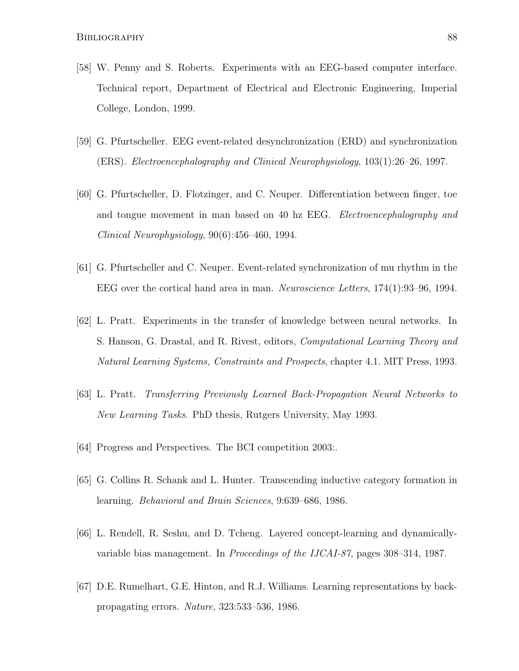- [58] W. Penny and S. Roberts. Experiments with an EEG-based computer interface. Technical report, Department of Electrical and Electronic Engineering, Imperial College, London, 1999.
- [59] G. Pfurtscheller. EEG event-related desynchronization (ERD) and synchronization (ERS). Electroencephalography and Clinical Neurophysiology, 103(1):26–26, 1997.
- [60] G. Pfurtscheller, D. Flotzinger, and C. Neuper. Differentiation between finger, toe and tongue movement in man based on 40 hz EEG. Electroencephalography and Clinical Neurophysiology, 90(6):456–460, 1994.
- [61] G. Pfurtscheller and C. Neuper. Event-related synchronization of mu rhythm in the EEG over the cortical hand area in man. Neuroscience Letters, 174(1):93–96, 1994.
- [62] L. Pratt. Experiments in the transfer of knowledge between neural networks. In S. Hanson, G. Drastal, and R. Rivest, editors, Computational Learning Theory and Natural Learning Systems, Constraints and Prospects, chapter 4.1. MIT Press, 1993.
- [63] L. Pratt. Transferring Previously Learned Back-Propagation Neural Networks to New Learning Tasks. PhD thesis, Rutgers University, May 1993.
- [64] Progress and Perspectives. The BCI competition 2003:.
- [65] G. Collins R. Schank and L. Hunter. Transcending inductive category formation in learning. Behavioral and Brain Sciences, 9:639–686, 1986.
- [66] L. Rendell, R. Seshu, and D. Tcheng. Layered concept-learning and dynamicallyvariable bias management. In Proceedings of the IJCAI-87, pages 308–314, 1987.
- [67] D.E. Rumelhart, G.E. Hinton, and R.J. Williams. Learning representations by backpropagating errors. Nature, 323:533–536, 1986.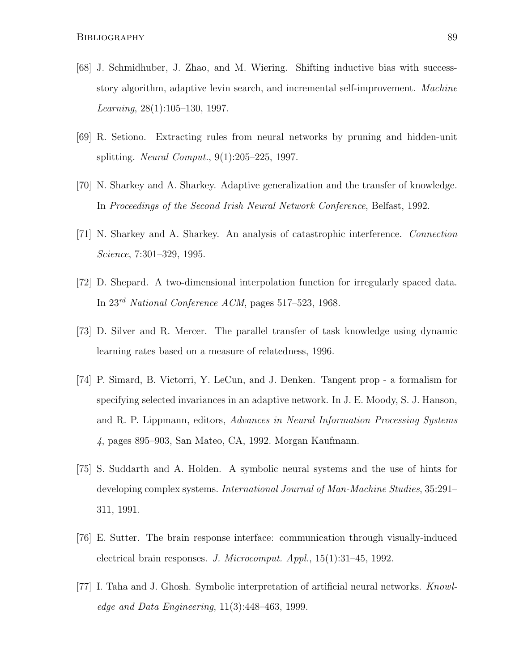- [68] J. Schmidhuber, J. Zhao, and M. Wiering. Shifting inductive bias with successstory algorithm, adaptive levin search, and incremental self-improvement. Machine Learning,  $28(1):105-130$ , 1997.
- [69] R. Setiono. Extracting rules from neural networks by pruning and hidden-unit splitting. Neural Comput., 9(1):205–225, 1997.
- [70] N. Sharkey and A. Sharkey. Adaptive generalization and the transfer of knowledge. In Proceedings of the Second Irish Neural Network Conference, Belfast, 1992.
- [71] N. Sharkey and A. Sharkey. An analysis of catastrophic interference. Connection Science, 7:301–329, 1995.
- [72] D. Shepard. A two-dimensional interpolation function for irregularly spaced data. In 23rd National Conference ACM, pages 517–523, 1968.
- [73] D. Silver and R. Mercer. The parallel transfer of task knowledge using dynamic learning rates based on a measure of relatedness, 1996.
- [74] P. Simard, B. Victorri, Y. LeCun, and J. Denken. Tangent prop a formalism for specifying selected invariances in an adaptive network. In J. E. Moody, S. J. Hanson, and R. P. Lippmann, editors, Advances in Neural Information Processing Systems 4, pages 895–903, San Mateo, CA, 1992. Morgan Kaufmann.
- [75] S. Suddarth and A. Holden. A symbolic neural systems and the use of hints for developing complex systems. International Journal of Man-Machine Studies, 35:291– 311, 1991.
- [76] E. Sutter. The brain response interface: communication through visually-induced electrical brain responses. J. Microcomput. Appl., 15(1):31–45, 1992.
- [77] I. Taha and J. Ghosh. Symbolic interpretation of artificial neural networks. Knowledge and Data Engineering,  $11(3):448-463$ , 1999.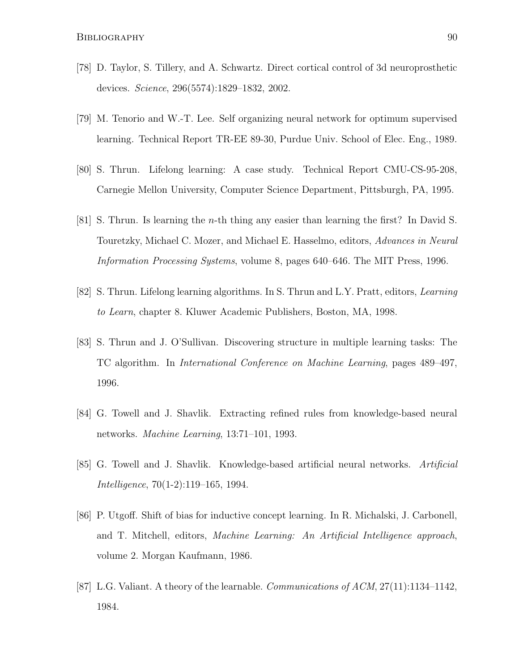- [78] D. Taylor, S. Tillery, and A. Schwartz. Direct cortical control of 3d neuroprosthetic devices. Science, 296(5574):1829–1832, 2002.
- [79] M. Tenorio and W.-T. Lee. Self organizing neural network for optimum supervised learning. Technical Report TR-EE 89-30, Purdue Univ. School of Elec. Eng., 1989.
- [80] S. Thrun. Lifelong learning: A case study. Technical Report CMU-CS-95-208, Carnegie Mellon University, Computer Science Department, Pittsburgh, PA, 1995.
- [81] S. Thrun. Is learning the n-th thing any easier than learning the first? In David S. Touretzky, Michael C. Mozer, and Michael E. Hasselmo, editors, Advances in Neural Information Processing Systems, volume 8, pages 640–646. The MIT Press, 1996.
- [82] S. Thrun. Lifelong learning algorithms. In S. Thrun and L.Y. Pratt, editors, Learning to Learn, chapter 8. Kluwer Academic Publishers, Boston, MA, 1998.
- [83] S. Thrun and J. O'Sullivan. Discovering structure in multiple learning tasks: The TC algorithm. In International Conference on Machine Learning, pages 489–497, 1996.
- [84] G. Towell and J. Shavlik. Extracting refined rules from knowledge-based neural networks. Machine Learning, 13:71–101, 1993.
- [85] G. Towell and J. Shavlik. Knowledge-based artificial neural networks. Artificial Intelligence, 70(1-2):119–165, 1994.
- [86] P. Utgoff. Shift of bias for inductive concept learning. In R. Michalski, J. Carbonell, and T. Mitchell, editors, Machine Learning: An Artificial Intelligence approach, volume 2. Morgan Kaufmann, 1986.
- [87] L.G. Valiant. A theory of the learnable. Communications of ACM, 27(11):1134–1142, 1984.